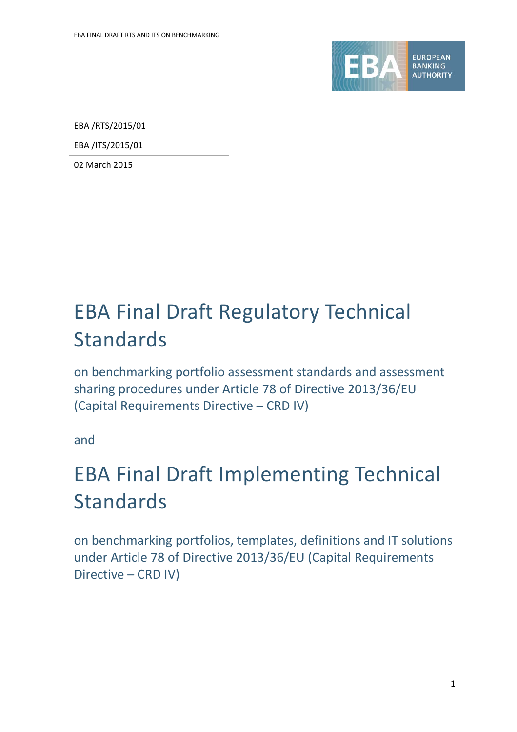

EBA /RTS/2015/01

EBA /ITS/2015/01

02 March 2015

# EBA Final Draft Regulatory Technical Standards

on benchmarking portfolio assessment standards and assessment sharing procedures under Article 78 of Directive 2013/36/EU (Capital Requirements Directive – CRD IV)

and

# EBA Final Draft Implementing Technical Standards

on benchmarking portfolios, templates, definitions and IT solutions under Article 78 of Directive 2013/36/EU (Capital Requirements Directive – CRD IV)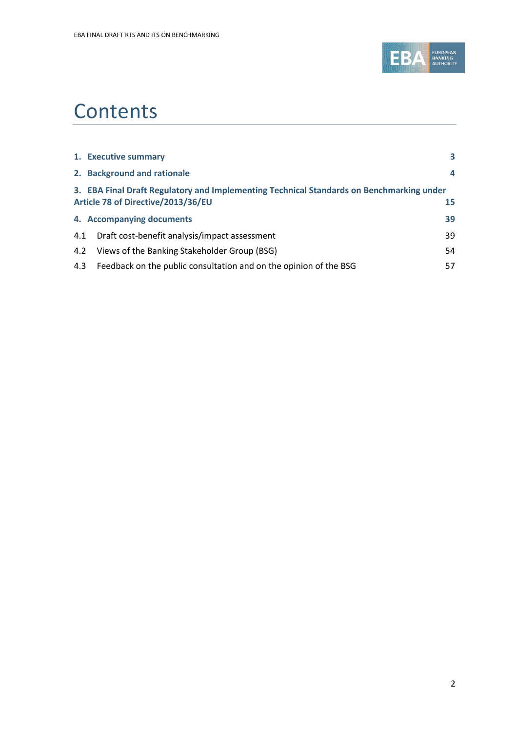

# **Contents**

|     | 1. Executive summary                                                                                                           | 3  |
|-----|--------------------------------------------------------------------------------------------------------------------------------|----|
|     | 2. Background and rationale                                                                                                    | 4  |
|     | 3. EBA Final Draft Regulatory and Implementing Technical Standards on Benchmarking under<br>Article 78 of Directive/2013/36/EU | 15 |
|     | 4. Accompanying documents                                                                                                      | 39 |
| 4.1 | Draft cost-benefit analysis/impact assessment                                                                                  | 39 |
| 4.2 | Views of the Banking Stakeholder Group (BSG)                                                                                   | 54 |
| 4.3 | Feedback on the public consultation and on the opinion of the BSG                                                              | 57 |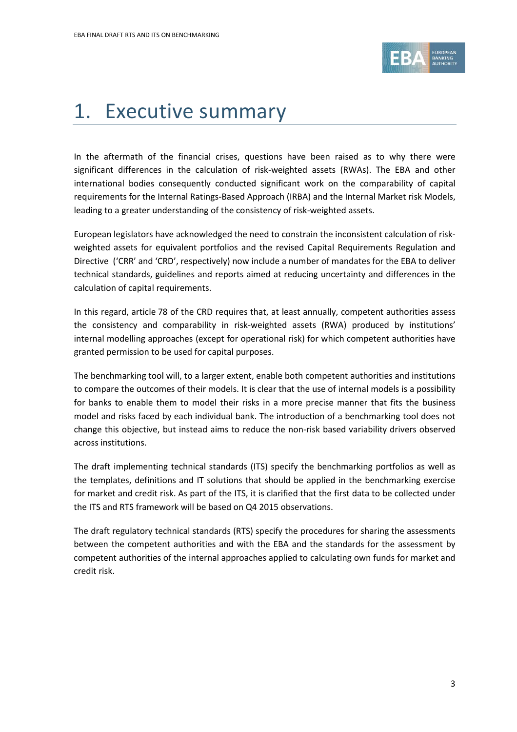

# 1. Executive summary

In the aftermath of the financial crises, questions have been raised as to why there were significant differences in the calculation of risk-weighted assets (RWAs). The EBA and other international bodies consequently conducted significant work on the comparability of capital requirements for the Internal Ratings-Based Approach (IRBA) and the Internal Market risk Models, leading to a greater understanding of the consistency of risk-weighted assets.

European legislators have acknowledged the need to constrain the inconsistent calculation of riskweighted assets for equivalent portfolios and the revised Capital Requirements Regulation and Directive ('CRR' and 'CRD', respectively) now include a number of mandates for the EBA to deliver technical standards, guidelines and reports aimed at reducing uncertainty and differences in the calculation of capital requirements.

In this regard, article 78 of the CRD requires that, at least annually, competent authorities assess the consistency and comparability in risk-weighted assets (RWA) produced by institutions' internal modelling approaches (except for operational risk) for which competent authorities have granted permission to be used for capital purposes.

The benchmarking tool will, to a larger extent, enable both competent authorities and institutions to compare the outcomes of their models. It is clear that the use of internal models is a possibility for banks to enable them to model their risks in a more precise manner that fits the business model and risks faced by each individual bank. The introduction of a benchmarking tool does not change this objective, but instead aims to reduce the non-risk based variability drivers observed across institutions.

The draft implementing technical standards (ITS) specify the benchmarking portfolios as well as the templates, definitions and IT solutions that should be applied in the benchmarking exercise for market and credit risk. As part of the ITS, it is clarified that the first data to be collected under the ITS and RTS framework will be based on Q4 2015 observations.

The draft regulatory technical standards (RTS) specify the procedures for sharing the assessments between the competent authorities and with the EBA and the standards for the assessment by competent authorities of the internal approaches applied to calculating own funds for market and credit risk.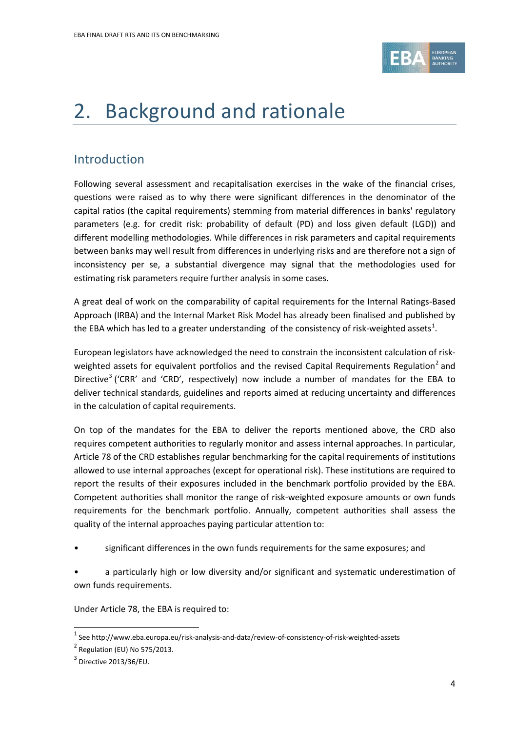

# 2. Background and rationale

# Introduction

Following several assessment and recapitalisation exercises in the wake of the financial crises, questions were raised as to why there were significant differences in the denominator of the capital ratios (the capital requirements) stemming from material differences in banks' regulatory parameters (e.g. for credit risk: probability of default (PD) and loss given default (LGD)) and different modelling methodologies. While differences in risk parameters and capital requirements between banks may well result from differences in underlying risks and are therefore not a sign of inconsistency per se, a substantial divergence may signal that the methodologies used for estimating risk parameters require further analysis in some cases.

A great deal of work on the comparability of capital requirements for the Internal Ratings-Based Approach (IRBA) and the Internal Market Risk Model has already been finalised and published by the EBA which has led to a greater understanding of the consistency of risk-weighted assets<sup>[1](#page-3-0)</sup>.

European legislators have acknowledged the need to constrain the inconsistent calculation of risk-weighted assets for equivalent portfolios and the revised Capital Requirements Regulation<sup>[2](#page-3-1)</sup> and Directive<sup>[3](#page-3-2)</sup> ('CRR' and 'CRD', respectively) now include a number of mandates for the EBA to deliver technical standards, guidelines and reports aimed at reducing uncertainty and differences in the calculation of capital requirements.

On top of the mandates for the EBA to deliver the reports mentioned above, the CRD also requires competent authorities to regularly monitor and assess internal approaches. In particular, Article 78 of the CRD establishes regular benchmarking for the capital requirements of institutions allowed to use internal approaches (except for operational risk). These institutions are required to report the results of their exposures included in the benchmark portfolio provided by the EBA. Competent authorities shall monitor the range of risk-weighted exposure amounts or own funds requirements for the benchmark portfolio. Annually, competent authorities shall assess the quality of the internal approaches paying particular attention to:

• significant differences in the own funds requirements for the same exposures; and

• a particularly high or low diversity and/or significant and systematic underestimation of own funds requirements.

Under Article 78, the EBA is required to:

 $\overline{a}$ 

<span id="page-3-0"></span> $1$  See http://www.eba.europa.eu/risk-analysis-and-data/review-of-consistency-of-risk-weighted-assets

<span id="page-3-1"></span> $2$  Regulation (EU) No 575/2013.

<span id="page-3-2"></span> $3$  Directive 2013/36/EU.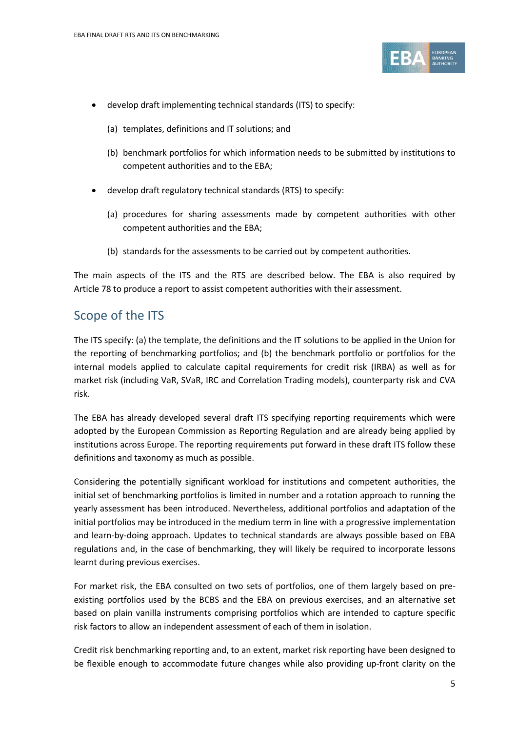

- develop draft implementing technical standards (ITS) to specify:
	- (a) templates, definitions and IT solutions; and
	- (b) benchmark portfolios for which information needs to be submitted by institutions to competent authorities and to the EBA;
- develop draft regulatory technical standards (RTS) to specify:
	- (a) procedures for sharing assessments made by competent authorities with other competent authorities and the EBA;
	- (b) standards for the assessments to be carried out by competent authorities.

The main aspects of the ITS and the RTS are described below. The EBA is also required by Article 78 to produce a report to assist competent authorities with their assessment.

## Scope of the ITS

The ITS specify: (a) the template, the definitions and the IT solutions to be applied in the Union for the reporting of benchmarking portfolios; and (b) the benchmark portfolio or portfolios for the internal models applied to calculate capital requirements for credit risk (IRBA) as well as for market risk (including VaR, SVaR, IRC and Correlation Trading models), counterparty risk and CVA risk.

The EBA has already developed several draft ITS specifying reporting requirements which were adopted by the European Commission as Reporting Regulation and are already being applied by institutions across Europe. The reporting requirements put forward in these draft ITS follow these definitions and taxonomy as much as possible.

Considering the potentially significant workload for institutions and competent authorities, the initial set of benchmarking portfolios is limited in number and a rotation approach to running the yearly assessment has been introduced. Nevertheless, additional portfolios and adaptation of the initial portfolios may be introduced in the medium term in line with a progressive implementation and learn-by-doing approach. Updates to technical standards are always possible based on EBA regulations and, in the case of benchmarking, they will likely be required to incorporate lessons learnt during previous exercises.

For market risk, the EBA consulted on two sets of portfolios, one of them largely based on preexisting portfolios used by the BCBS and the EBA on previous exercises, and an alternative set based on plain vanilla instruments comprising portfolios which are intended to capture specific risk factors to allow an independent assessment of each of them in isolation.

Credit risk benchmarking reporting and, to an extent, market risk reporting have been designed to be flexible enough to accommodate future changes while also providing up-front clarity on the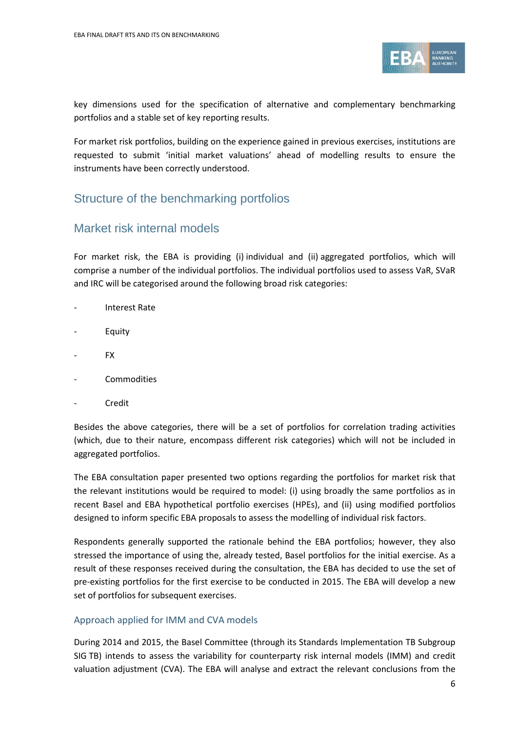

key dimensions used for the specification of alternative and complementary benchmarking portfolios and a stable set of key reporting results.

For market risk portfolios, building on the experience gained in previous exercises, institutions are requested to submit 'initial market valuations' ahead of modelling results to ensure the instruments have been correctly understood.

## Structure of the benchmarking portfolios

## Market risk internal models

For market risk, the EBA is providing (i) individual and (ii) aggregated portfolios, which will comprise a number of the individual portfolios. The individual portfolios used to assess VaR, SVaR and IRC will be categorised around the following broad risk categories:

- Interest Rate
- **Equity**
- FX
- **Commodities**
- **Credit**

Besides the above categories, there will be a set of portfolios for correlation trading activities (which, due to their nature, encompass different risk categories) which will not be included in aggregated portfolios.

The EBA consultation paper presented two options regarding the portfolios for market risk that the relevant institutions would be required to model: (i) using broadly the same portfolios as in recent Basel and EBA hypothetical portfolio exercises (HPEs), and (ii) using modified portfolios designed to inform specific EBA proposals to assess the modelling of individual risk factors.

Respondents generally supported the rationale behind the EBA portfolios; however, they also stressed the importance of using the, already tested, Basel portfolios for the initial exercise. As a result of these responses received during the consultation, the EBA has decided to use the set of pre-existing portfolios for the first exercise to be conducted in 2015. The EBA will develop a new set of portfolios for subsequent exercises.

### Approach applied for IMM and CVA models

During 2014 and 2015, the Basel Committee (through its Standards Implementation TB Subgroup SIG TB) intends to assess the variability for counterparty risk internal models (IMM) and credit valuation adjustment (CVA). The EBA will analyse and extract the relevant conclusions from the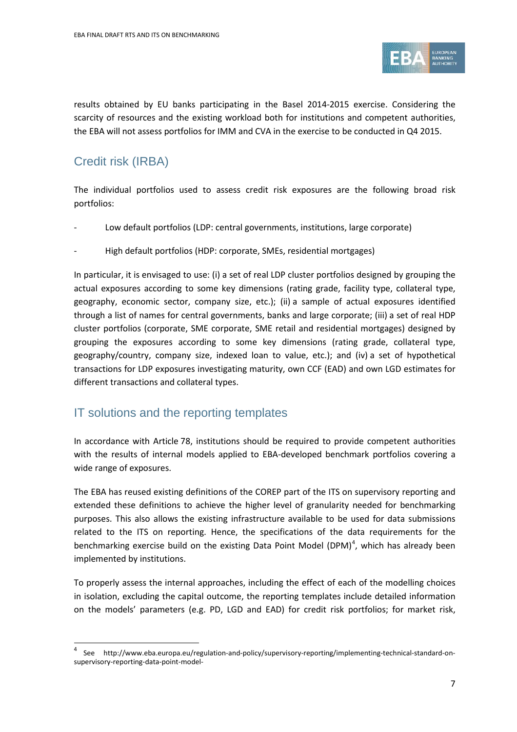

results obtained by EU banks participating in the Basel 2014-2015 exercise. Considering the scarcity of resources and the existing workload both for institutions and competent authorities, the EBA will not assess portfolios for IMM and CVA in the exercise to be conducted in Q4 2015.

# Credit risk (IRBA)

 $\overline{a}$ 

The individual portfolios used to assess credit risk exposures are the following broad risk portfolios:

- Low default portfolios (LDP: central governments, institutions, large corporate)
- High default portfolios (HDP: corporate, SMEs, residential mortgages)

In particular, it is envisaged to use: (i) a set of real LDP cluster portfolios designed by grouping the actual exposures according to some key dimensions (rating grade, facility type, collateral type, geography, economic sector, company size, etc.); (ii) a sample of actual exposures identified through a list of names for central governments, banks and large corporate; (iii) a set of real HDP cluster portfolios (corporate, SME corporate, SME retail and residential mortgages) designed by grouping the exposures according to some key dimensions (rating grade, collateral type, geography/country, company size, indexed loan to value, etc.); and (iv) a set of hypothetical transactions for LDP exposures investigating maturity, own CCF (EAD) and own LGD estimates for different transactions and collateral types.

## IT solutions and the reporting templates

In accordance with Article 78, institutions should be required to provide competent authorities with the results of internal models applied to EBA-developed benchmark portfolios covering a wide range of exposures.

The EBA has reused existing definitions of the COREP part of the ITS on supervisory reporting and extended these definitions to achieve the higher level of granularity needed for benchmarking purposes. This also allows the existing infrastructure available to be used for data submissions related to the ITS on reporting. Hence, the specifications of the data requirements for the benchmarking exercise build on the existing Data Point Model (DPM)<sup>[4](#page-6-0)</sup>, which has already been implemented by institutions.

To properly assess the internal approaches, including the effect of each of the modelling choices in isolation, excluding the capital outcome, the reporting templates include detailed information on the models' parameters (e.g. PD, LGD and EAD) for credit risk portfolios; for market risk,

<span id="page-6-0"></span><sup>4</sup> See http://www.eba.europa.eu/regulation-and-policy/supervisory-reporting/implementing-technical-standard-onsupervisory-reporting-data-point-model-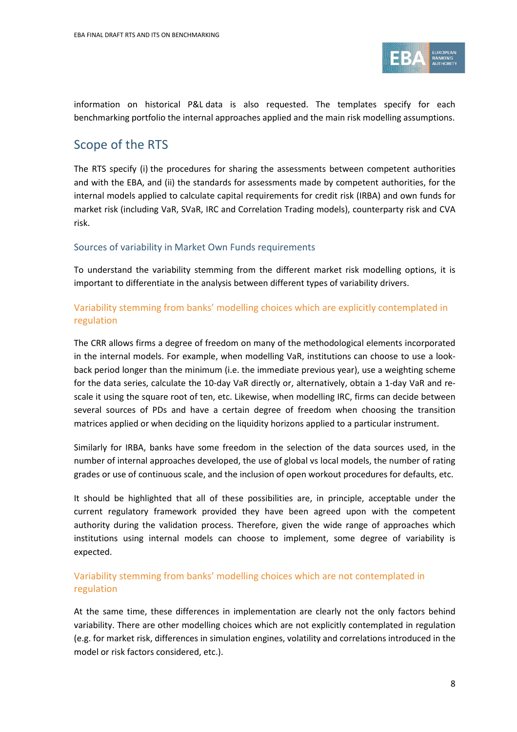

information on historical P&L data is also requested. The templates specify for each benchmarking portfolio the internal approaches applied and the main risk modelling assumptions.

# Scope of the RTS

The RTS specify (i) the procedures for sharing the assessments between competent authorities and with the EBA, and (ii) the standards for assessments made by competent authorities, for the internal models applied to calculate capital requirements for credit risk (IRBA) and own funds for market risk (including VaR, SVaR, IRC and Correlation Trading models), counterparty risk and CVA risk.

#### Sources of variability in Market Own Funds requirements

To understand the variability stemming from the different market risk modelling options, it is important to differentiate in the analysis between different types of variability drivers.

## Variability stemming from banks' modelling choices which are explicitly contemplated in regulation

The CRR allows firms a degree of freedom on many of the methodological elements incorporated in the internal models. For example, when modelling VaR, institutions can choose to use a lookback period longer than the minimum (i.e. the immediate previous year), use a weighting scheme for the data series, calculate the 10-day VaR directly or, alternatively, obtain a 1-day VaR and rescale it using the square root of ten, etc. Likewise, when modelling IRC, firms can decide between several sources of PDs and have a certain degree of freedom when choosing the transition matrices applied or when deciding on the liquidity horizons applied to a particular instrument.

Similarly for IRBA, banks have some freedom in the selection of the data sources used, in the number of internal approaches developed, the use of global vs local models, the number of rating grades or use of continuous scale, and the inclusion of open workout procedures for defaults, etc.

It should be highlighted that all of these possibilities are, in principle, acceptable under the current regulatory framework provided they have been agreed upon with the competent authority during the validation process. Therefore, given the wide range of approaches which institutions using internal models can choose to implement, some degree of variability is expected.

## Variability stemming from banks' modelling choices which are not contemplated in regulation

At the same time, these differences in implementation are clearly not the only factors behind variability. There are other modelling choices which are not explicitly contemplated in regulation (e.g. for market risk, differences in simulation engines, volatility and correlations introduced in the model or risk factors considered, etc.).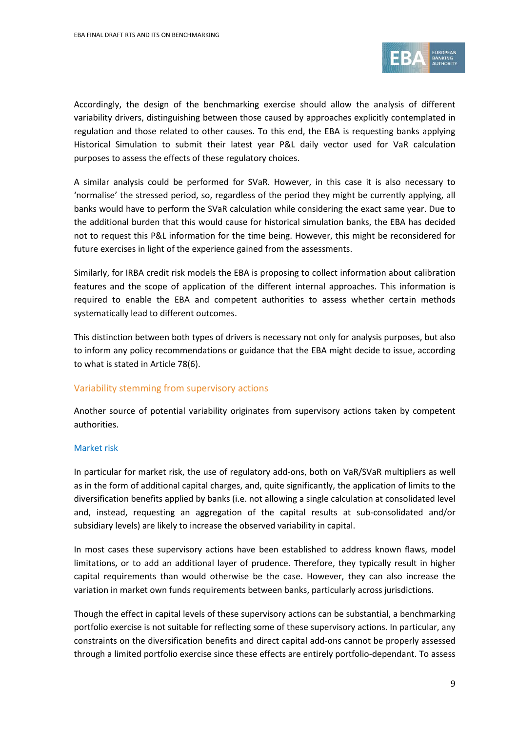

Accordingly, the design of the benchmarking exercise should allow the analysis of different variability drivers, distinguishing between those caused by approaches explicitly contemplated in regulation and those related to other causes. To this end, the EBA is requesting banks applying Historical Simulation to submit their latest year P&L daily vector used for VaR calculation purposes to assess the effects of these regulatory choices.

A similar analysis could be performed for SVaR. However, in this case it is also necessary to 'normalise' the stressed period, so, regardless of the period they might be currently applying, all banks would have to perform the SVaR calculation while considering the exact same year. Due to the additional burden that this would cause for historical simulation banks, the EBA has decided not to request this P&L information for the time being. However, this might be reconsidered for future exercises in light of the experience gained from the assessments.

Similarly, for IRBA credit risk models the EBA is proposing to collect information about calibration features and the scope of application of the different internal approaches. This information is required to enable the EBA and competent authorities to assess whether certain methods systematically lead to different outcomes.

This distinction between both types of drivers is necessary not only for analysis purposes, but also to inform any policy recommendations or guidance that the EBA might decide to issue, according to what is stated in Article 78(6).

#### Variability stemming from supervisory actions

Another source of potential variability originates from supervisory actions taken by competent authorities.

#### Market risk

In particular for market risk, the use of regulatory add-ons, both on VaR/SVaR multipliers as well as in the form of additional capital charges, and, quite significantly, the application of limits to the diversification benefits applied by banks (i.e. not allowing a single calculation at consolidated level and, instead, requesting an aggregation of the capital results at sub-consolidated and/or subsidiary levels) are likely to increase the observed variability in capital.

In most cases these supervisory actions have been established to address known flaws, model limitations, or to add an additional layer of prudence. Therefore, they typically result in higher capital requirements than would otherwise be the case. However, they can also increase the variation in market own funds requirements between banks, particularly across jurisdictions.

Though the effect in capital levels of these supervisory actions can be substantial, a benchmarking portfolio exercise is not suitable for reflecting some of these supervisory actions. In particular, any constraints on the diversification benefits and direct capital add-ons cannot be properly assessed through a limited portfolio exercise since these effects are entirely portfolio-dependant. To assess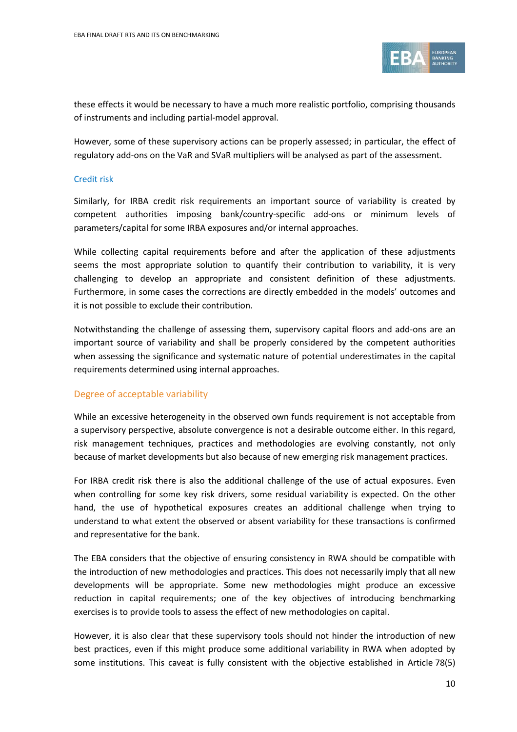

these effects it would be necessary to have a much more realistic portfolio, comprising thousands of instruments and including partial-model approval.

However, some of these supervisory actions can be properly assessed; in particular, the effect of regulatory add-ons on the VaR and SVaR multipliers will be analysed as part of the assessment.

#### Credit risk

Similarly, for IRBA credit risk requirements an important source of variability is created by competent authorities imposing bank/country-specific add-ons or minimum levels of parameters/capital for some IRBA exposures and/or internal approaches.

While collecting capital requirements before and after the application of these adjustments seems the most appropriate solution to quantify their contribution to variability, it is very challenging to develop an appropriate and consistent definition of these adjustments. Furthermore, in some cases the corrections are directly embedded in the models' outcomes and it is not possible to exclude their contribution.

Notwithstanding the challenge of assessing them, supervisory capital floors and add-ons are an important source of variability and shall be properly considered by the competent authorities when assessing the significance and systematic nature of potential underestimates in the capital requirements determined using internal approaches.

#### Degree of acceptable variability

While an excessive heterogeneity in the observed own funds requirement is not acceptable from a supervisory perspective, absolute convergence is not a desirable outcome either. In this regard, risk management techniques, practices and methodologies are evolving constantly, not only because of market developments but also because of new emerging risk management practices.

For IRBA credit risk there is also the additional challenge of the use of actual exposures. Even when controlling for some key risk drivers, some residual variability is expected. On the other hand, the use of hypothetical exposures creates an additional challenge when trying to understand to what extent the observed or absent variability for these transactions is confirmed and representative for the bank.

The EBA considers that the objective of ensuring consistency in RWA should be compatible with the introduction of new methodologies and practices. This does not necessarily imply that all new developments will be appropriate. Some new methodologies might produce an excessive reduction in capital requirements; one of the key objectives of introducing benchmarking exercises is to provide tools to assess the effect of new methodologies on capital.

However, it is also clear that these supervisory tools should not hinder the introduction of new best practices, even if this might produce some additional variability in RWA when adopted by some institutions. This caveat is fully consistent with the objective established in Article 78(5)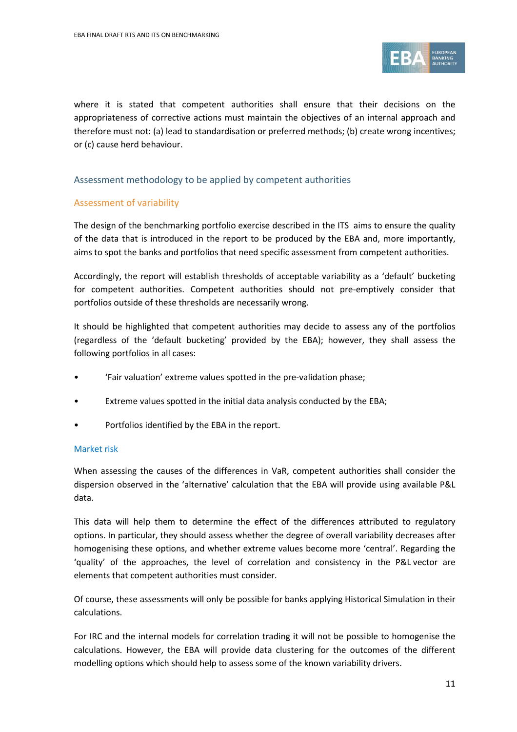

where it is stated that competent authorities shall ensure that their decisions on the appropriateness of corrective actions must maintain the objectives of an internal approach and therefore must not: (a) lead to standardisation or preferred methods; (b) create wrong incentives; or (c) cause herd behaviour.

#### Assessment methodology to be applied by competent authorities

#### Assessment of variability

The design of the benchmarking portfolio exercise described in the ITS aims to ensure the quality of the data that is introduced in the report to be produced by the EBA and, more importantly, aims to spot the banks and portfolios that need specific assessment from competent authorities.

Accordingly, the report will establish thresholds of acceptable variability as a 'default' bucketing for competent authorities. Competent authorities should not pre-emptively consider that portfolios outside of these thresholds are necessarily wrong.

It should be highlighted that competent authorities may decide to assess any of the portfolios (regardless of the 'default bucketing' provided by the EBA); however, they shall assess the following portfolios in all cases:

- 'Fair valuation' extreme values spotted in the pre-validation phase;
- Extreme values spotted in the initial data analysis conducted by the EBA;
- Portfolios identified by the EBA in the report.

#### Market risk

When assessing the causes of the differences in VaR, competent authorities shall consider the dispersion observed in the 'alternative' calculation that the EBA will provide using available P&L data.

This data will help them to determine the effect of the differences attributed to regulatory options. In particular, they should assess whether the degree of overall variability decreases after homogenising these options, and whether extreme values become more 'central'. Regarding the 'quality' of the approaches, the level of correlation and consistency in the P&L vector are elements that competent authorities must consider.

Of course, these assessments will only be possible for banks applying Historical Simulation in their calculations.

For IRC and the internal models for correlation trading it will not be possible to homogenise the calculations. However, the EBA will provide data clustering for the outcomes of the different modelling options which should help to assess some of the known variability drivers.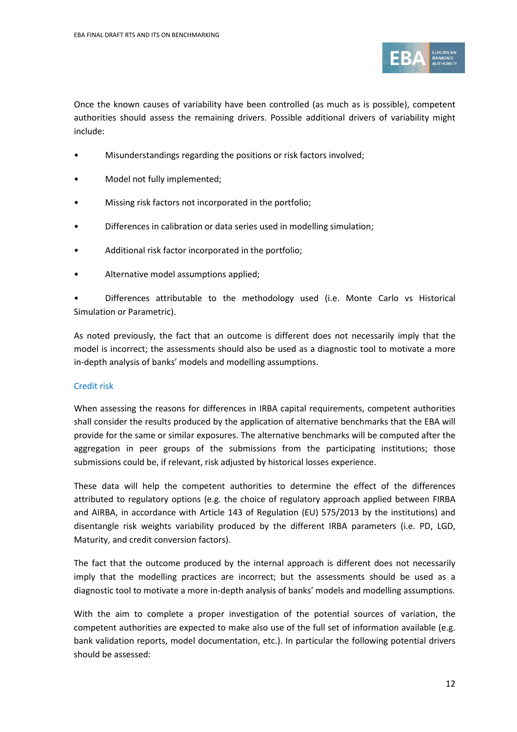

Once the known causes of variability have been controlled (as much as is possible), competent authorities should assess the remaining drivers. Possible additional drivers of variability might include:

- Misunderstandings regarding the positions or risk factors involved;
- Model not fully implemented;
- Missing risk factors not incorporated in the portfolio;
- Differences in calibration or data series used in modelling simulation;
- Additional risk factor incorporated in the portfolio;
- Alternative model assumptions applied;

• Differences attributable to the methodology used (i.e. Monte Carlo vs Historical Simulation or Parametric).

As noted previously, the fact that an outcome is different does not necessarily imply that the model is incorrect; the assessments should also be used as a diagnostic tool to motivate a more in-depth analysis of banks' models and modelling assumptions.

#### Credit risk

When assessing the reasons for differences in IRBA capital requirements, competent authorities shall consider the results produced by the application of alternative benchmarks that the EBA will provide for the same or similar exposures. The alternative benchmarks will be computed after the aggregation in peer groups of the submissions from the participating institutions; those submissions could be, if relevant, risk adjusted by historical losses experience.

These data will help the competent authorities to determine the effect of the differences attributed to regulatory options (e.g. the choice of regulatory approach applied between FIRBA and AIRBA, in accordance with Article 143 of Regulation (EU) 575/2013 by the institutions) and disentangle risk weights variability produced by the different IRBA parameters (i.e. PD, LGD, Maturity, and credit conversion factors).

The fact that the outcome produced by the internal approach is different does not necessarily imply that the modelling practices are incorrect; but the assessments should be used as a diagnostic tool to motivate a more in-depth analysis of banks' models and modelling assumptions.

With the aim to complete a proper investigation of the potential sources of variation, the competent authorities are expected to make also use of the full set of information available (e.g. bank validation reports, model documentation, etc.). In particular the following potential drivers should be assessed: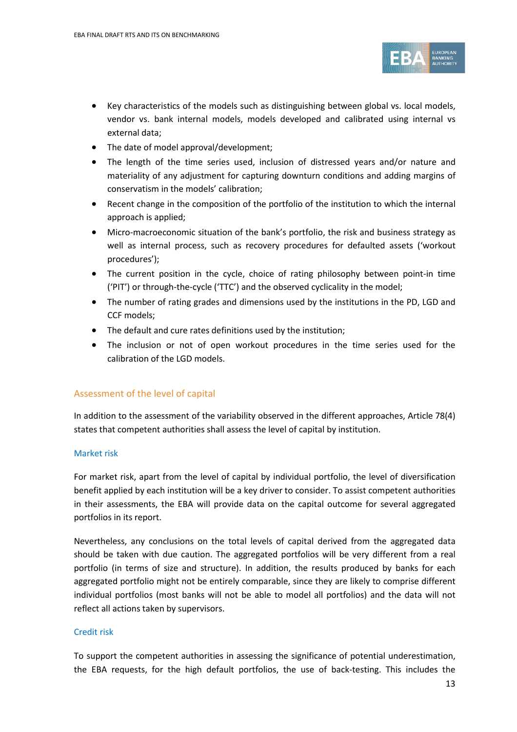

- Key characteristics of the models such as distinguishing between global vs. local models, vendor vs. bank internal models, models developed and calibrated using internal vs external data;
- The date of model approval/development;
- The length of the time series used, inclusion of distressed years and/or nature and materiality of any adjustment for capturing downturn conditions and adding margins of conservatism in the models' calibration;
- Recent change in the composition of the portfolio of the institution to which the internal approach is applied;
- Micro-macroeconomic situation of the bank's portfolio, the risk and business strategy as well as internal process, such as recovery procedures for defaulted assets ('workout procedures');
- The current position in the cycle, choice of rating philosophy between point-in time ('PIT') or through-the-cycle ('TTC') and the observed cyclicality in the model;
- The number of rating grades and dimensions used by the institutions in the PD, LGD and CCF models;
- The default and cure rates definitions used by the institution;
- The inclusion or not of open workout procedures in the time series used for the calibration of the LGD models.

#### Assessment of the level of capital

In addition to the assessment of the variability observed in the different approaches, Article 78(4) states that competent authorities shall assess the level of capital by institution.

#### Market risk

For market risk, apart from the level of capital by individual portfolio, the level of diversification benefit applied by each institution will be a key driver to consider. To assist competent authorities in their assessments, the EBA will provide data on the capital outcome for several aggregated portfolios in its report.

Nevertheless, any conclusions on the total levels of capital derived from the aggregated data should be taken with due caution. The aggregated portfolios will be very different from a real portfolio (in terms of size and structure). In addition, the results produced by banks for each aggregated portfolio might not be entirely comparable, since they are likely to comprise different individual portfolios (most banks will not be able to model all portfolios) and the data will not reflect all actions taken by supervisors.

#### Credit risk

To support the competent authorities in assessing the significance of potential underestimation, the EBA requests, for the high default portfolios, the use of back-testing. This includes the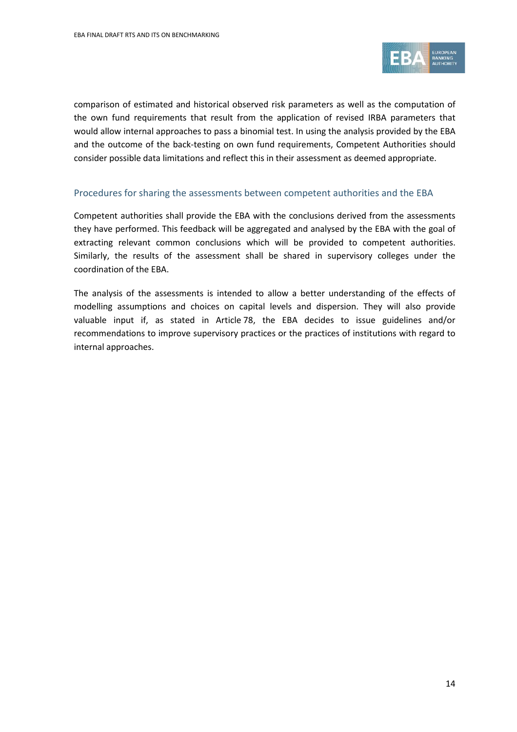

comparison of estimated and historical observed risk parameters as well as the computation of the own fund requirements that result from the application of revised IRBA parameters that would allow internal approaches to pass a binomial test. In using the analysis provided by the EBA and the outcome of the back-testing on own fund requirements, Competent Authorities should consider possible data limitations and reflect this in their assessment as deemed appropriate.

#### Procedures for sharing the assessments between competent authorities and the EBA

Competent authorities shall provide the EBA with the conclusions derived from the assessments they have performed. This feedback will be aggregated and analysed by the EBA with the goal of extracting relevant common conclusions which will be provided to competent authorities. Similarly, the results of the assessment shall be shared in supervisory colleges under the coordination of the EBA.

The analysis of the assessments is intended to allow a better understanding of the effects of modelling assumptions and choices on capital levels and dispersion. They will also provide valuable input if, as stated in Article 78, the EBA decides to issue guidelines and/or recommendations to improve supervisory practices or the practices of institutions with regard to internal approaches.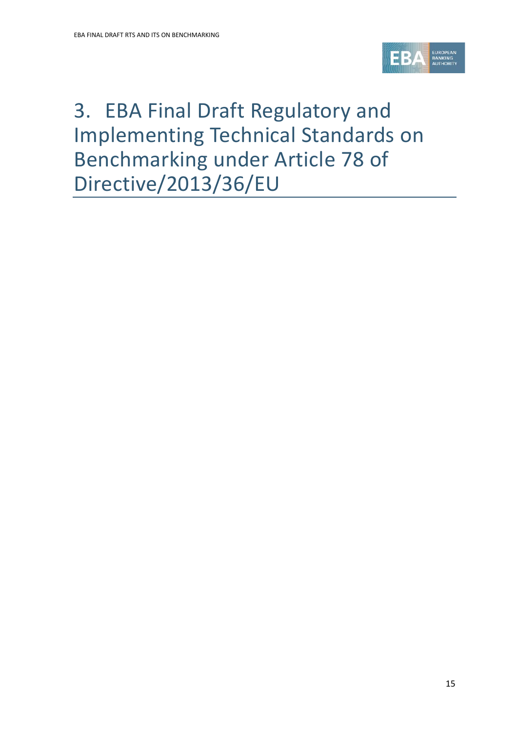

# 3. EBA Final Draft Regulatory and Implementing Technical Standards on Benchmarking under Article 78 of Directive/2013/36/EU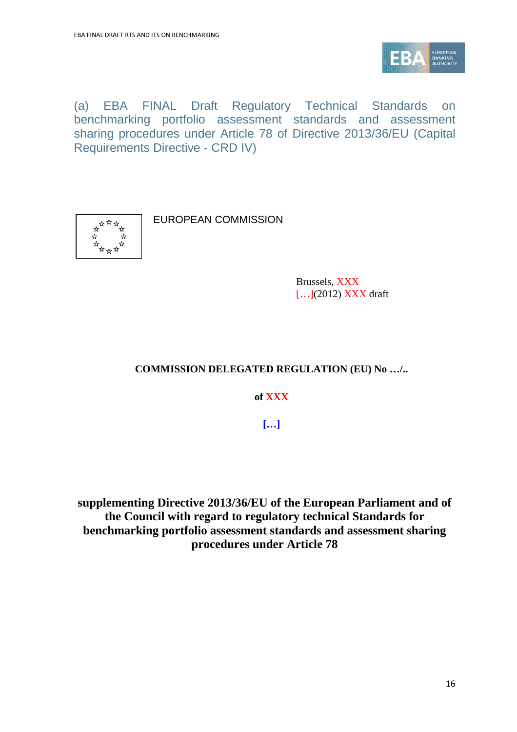

(a) EBA FINAL Draft Regulatory Technical Standards on benchmarking portfolio assessment standards and assessment sharing procedures under Article 78 of Directive 2013/36/EU (Capital Requirements Directive - CRD IV)



EUROPEAN COMMISSION

Brussels, XXX [...](2012) **XXX** draft

## **COMMISSION DELEGATED REGULATION (EU) No …/..**

**of XXX**

**[…]**

**supplementing Directive 2013/36/EU of the European Parliament and of the Council with regard to regulatory technical Standards for benchmarking portfolio assessment standards and assessment sharing procedures under Article 78**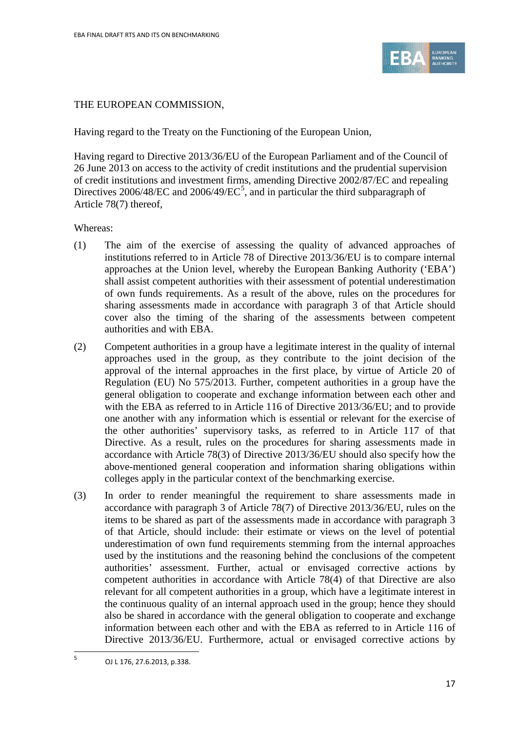

### THE EUROPEAN COMMISSION,

Having regard to the Treaty on the Functioning of the European Union,

Having regard to Directive 2013/36/EU of the European Parliament and of the Council of 26 June 2013 on access to the activity of credit institutions and the prudential supervision of credit institutions and investment firms, amending Directive 2002/87/EC and repealing Directives 2006/48/EC and 2006/49/EC<sup>[5](#page-16-0)</sup>, and in particular the third subparagraph of Article 78(7) thereof,

#### Whereas:

- (1) The aim of the exercise of assessing the quality of advanced approaches of institutions referred to in Article 78 of Directive 2013/36/EU is to compare internal approaches at the Union level, whereby the European Banking Authority ('EBA') shall assist competent authorities with their assessment of potential underestimation of own funds requirements. As a result of the above, rules on the procedures for sharing assessments made in accordance with paragraph 3 of that Article should cover also the timing of the sharing of the assessments between competent authorities and with EBA.
- (2) Competent authorities in a group have a legitimate interest in the quality of internal approaches used in the group, as they contribute to the joint decision of the approval of the internal approaches in the first place, by virtue of Article 20 of Regulation (EU) No 575/2013. Further, competent authorities in a group have the general obligation to cooperate and exchange information between each other and with the EBA as referred to in Article 116 of Directive 2013/36/EU; and to provide one another with any information which is essential or relevant for the exercise of the other authorities' supervisory tasks, as referred to in Article 117 of that Directive. As a result, rules on the procedures for sharing assessments made in accordance with Article 78(3) of Directive 2013/36/EU should also specify how the above-mentioned general cooperation and information sharing obligations within colleges apply in the particular context of the benchmarking exercise.
- (3) In order to render meaningful the requirement to share assessments made in accordance with paragraph 3 of Article 78(7) of Directive 2013/36/EU, rules on the items to be shared as part of the assessments made in accordance with paragraph 3 of that Article, should include: their estimate or views on the level of potential underestimation of own fund requirements stemming from the internal approaches used by the institutions and the reasoning behind the conclusions of the competent authorities' assessment. Further, actual or envisaged corrective actions by competent authorities in accordance with Article 78(4) of that Directive are also relevant for all competent authorities in a group, which have a legitimate interest in the continuous quality of an internal approach used in the group; hence they should also be shared in accordance with the general obligation to cooperate and exchange information between each other and with the EBA as referred to in Article 116 of Directive 2013/36/EU. Furthermore, actual or envisaged corrective actions by

 $\overline{a}$ 

<span id="page-16-0"></span> $5$  OJ L 176, 27.6.2013, p.338.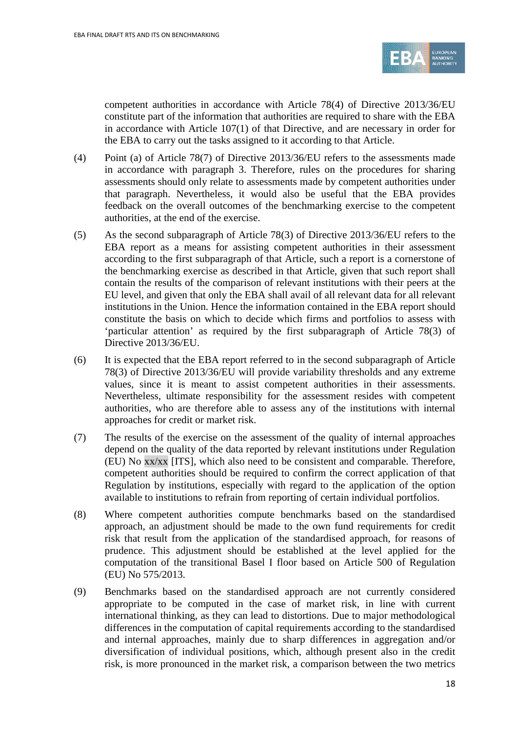

competent authorities in accordance with Article 78(4) of Directive 2013/36/EU constitute part of the information that authorities are required to share with the EBA in accordance with Article 107(1) of that Directive, and are necessary in order for the EBA to carry out the tasks assigned to it according to that Article.

- (4) Point (a) of Article 78(7) of Directive 2013/36/EU refers to the assessments made in accordance with paragraph 3. Therefore, rules on the procedures for sharing assessments should only relate to assessments made by competent authorities under that paragraph. Nevertheless, it would also be useful that the EBA provides feedback on the overall outcomes of the benchmarking exercise to the competent authorities, at the end of the exercise.
- (5) As the second subparagraph of Article 78(3) of Directive 2013/36/EU refers to the EBA report as a means for assisting competent authorities in their assessment according to the first subparagraph of that Article, such a report is a cornerstone of the benchmarking exercise as described in that Article, given that such report shall contain the results of the comparison of relevant institutions with their peers at the EU level, and given that only the EBA shall avail of all relevant data for all relevant institutions in the Union. Hence the information contained in the EBA report should constitute the basis on which to decide which firms and portfolios to assess with 'particular attention' as required by the first subparagraph of Article 78(3) of Directive 2013/36/EU.
- (6) It is expected that the EBA report referred to in the second subparagraph of Article 78(3) of Directive 2013/36/EU will provide variability thresholds and any extreme values, since it is meant to assist competent authorities in their assessments. Nevertheless, ultimate responsibility for the assessment resides with competent authorities, who are therefore able to assess any of the institutions with internal approaches for credit or market risk.
- (7) The results of the exercise on the assessment of the quality of internal approaches depend on the quality of the data reported by relevant institutions under Regulation (EU) No xx/xx [ITS], which also need to be consistent and comparable. Therefore, competent authorities should be required to confirm the correct application of that Regulation by institutions, especially with regard to the application of the option available to institutions to refrain from reporting of certain individual portfolios.
- (8) Where competent authorities compute benchmarks based on the standardised approach, an adjustment should be made to the own fund requirements for credit risk that result from the application of the standardised approach, for reasons of prudence. This adjustment should be established at the level applied for the computation of the transitional Basel I floor based on Article 500 of Regulation (EU) No 575/2013.
- (9) Benchmarks based on the standardised approach are not currently considered appropriate to be computed in the case of market risk, in line with current international thinking, as they can lead to distortions. Due to major methodological differences in the computation of capital requirements according to the standardised and internal approaches, mainly due to sharp differences in aggregation and/or diversification of individual positions, which, although present also in the credit risk, is more pronounced in the market risk, a comparison between the two metrics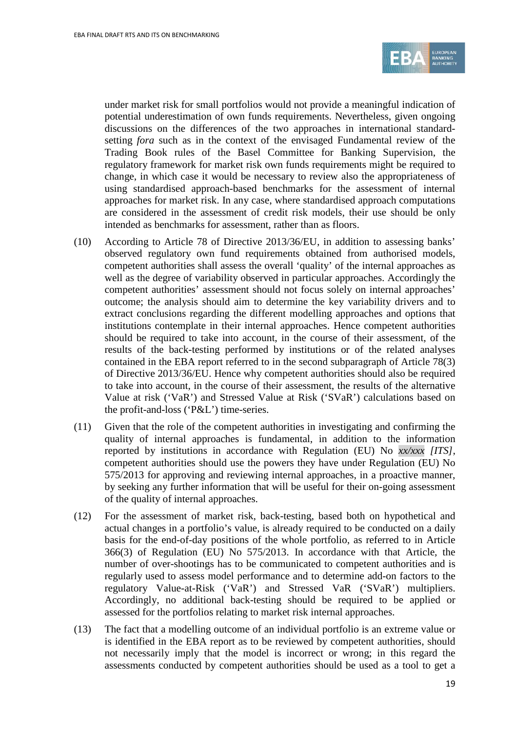

under market risk for small portfolios would not provide a meaningful indication of potential underestimation of own funds requirements. Nevertheless, given ongoing discussions on the differences of the two approaches in international standardsetting *fora* such as in the context of the envisaged Fundamental review of the Trading Book rules of the Basel Committee for Banking Supervision, the regulatory framework for market risk own funds requirements might be required to change, in which case it would be necessary to review also the appropriateness of using standardised approach-based benchmarks for the assessment of internal approaches for market risk. In any case, where standardised approach computations are considered in the assessment of credit risk models, their use should be only intended as benchmarks for assessment, rather than as floors.

- (10) According to Article 78 of Directive 2013/36/EU, in addition to assessing banks' observed regulatory own fund requirements obtained from authorised models, competent authorities shall assess the overall 'quality' of the internal approaches as well as the degree of variability observed in particular approaches. Accordingly the competent authorities' assessment should not focus solely on internal approaches' outcome; the analysis should aim to determine the key variability drivers and to extract conclusions regarding the different modelling approaches and options that institutions contemplate in their internal approaches. Hence competent authorities should be required to take into account, in the course of their assessment, of the results of the back-testing performed by institutions or of the related analyses contained in the EBA report referred to in the second subparagraph of Article 78(3) of Directive 2013/36/EU. Hence why competent authorities should also be required to take into account, in the course of their assessment, the results of the alternative Value at risk ('VaR') and Stressed Value at Risk ('SVaR') calculations based on the profit-and-loss ('P&L') time-series.
- (11) Given that the role of the competent authorities in investigating and confirming the quality of internal approaches is fundamental, in addition to the information reported by institutions in accordance with Regulation (EU) No *xx/xxx [ITS]*, competent authorities should use the powers they have under Regulation (EU) No 575/2013 for approving and reviewing internal approaches, in a proactive manner, by seeking any further information that will be useful for their on-going assessment of the quality of internal approaches.
- (12) For the assessment of market risk, back-testing, based both on hypothetical and actual changes in a portfolio's value, is already required to be conducted on a daily basis for the end-of-day positions of the whole portfolio, as referred to in Article 366(3) of Regulation (EU) No 575/2013. In accordance with that Article, the number of over-shootings has to be communicated to competent authorities and is regularly used to assess model performance and to determine add-on factors to the regulatory Value-at-Risk ('VaR') and Stressed VaR ('SVaR') multipliers. Accordingly, no additional back-testing should be required to be applied or assessed for the portfolios relating to market risk internal approaches.
- (13) The fact that a modelling outcome of an individual portfolio is an extreme value or is identified in the EBA report as to be reviewed by competent authorities, should not necessarily imply that the model is incorrect or wrong; in this regard the assessments conducted by competent authorities should be used as a tool to get a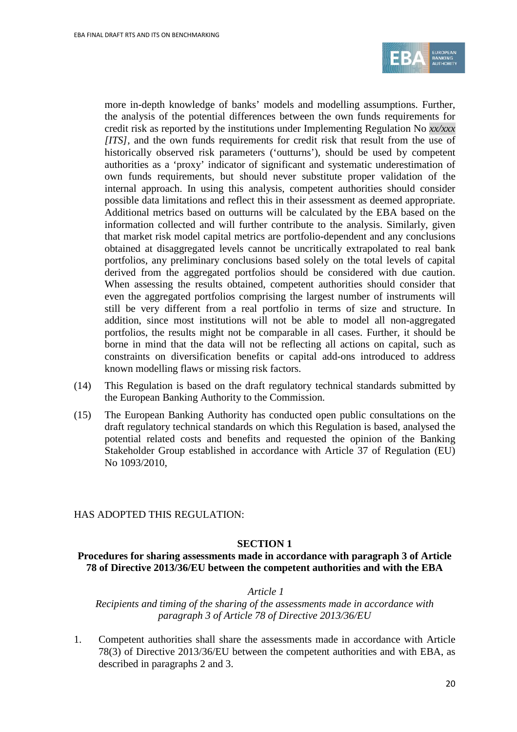

more in-depth knowledge of banks' models and modelling assumptions. Further, the analysis of the potential differences between the own funds requirements for credit risk as reported by the institutions under Implementing Regulation No *xx/xxx [ITS]*, and the own funds requirements for credit risk that result from the use of historically observed risk parameters ('outturns'), should be used by competent authorities as a 'proxy' indicator of significant and systematic underestimation of own funds requirements, but should never substitute proper validation of the internal approach. In using this analysis, competent authorities should consider possible data limitations and reflect this in their assessment as deemed appropriate. Additional metrics based on outturns will be calculated by the EBA based on the information collected and will further contribute to the analysis. Similarly, given that market risk model capital metrics are portfolio-dependent and any conclusions obtained at disaggregated levels cannot be uncritically extrapolated to real bank portfolios, any preliminary conclusions based solely on the total levels of capital derived from the aggregated portfolios should be considered with due caution. When assessing the results obtained, competent authorities should consider that even the aggregated portfolios comprising the largest number of instruments will still be very different from a real portfolio in terms of size and structure. In addition, since most institutions will not be able to model all non-aggregated portfolios, the results might not be comparable in all cases. Further, it should be borne in mind that the data will not be reflecting all actions on capital, such as constraints on diversification benefits or capital add-ons introduced to address known modelling flaws or missing risk factors.

- (14) This Regulation is based on the draft regulatory technical standards submitted by the European Banking Authority to the Commission.
- (15) The European Banking Authority has conducted open public consultations on the draft regulatory technical standards on which this Regulation is based, analysed the potential related costs and benefits and requested the opinion of the Banking Stakeholder Group established in accordance with Article 37 of Regulation (EU) No 1093/2010,

#### HAS ADOPTED THIS REGULATION:

#### **SECTION 1**

#### **Procedures for sharing assessments made in accordance with paragraph 3 of Article 78 of Directive 2013/36/EU between the competent authorities and with the EBA**

#### *Article 1*

*Recipients and timing of the sharing of the assessments made in accordance with paragraph 3 of Article 78 of Directive 2013/36/EU*

1. Competent authorities shall share the assessments made in accordance with Article 78(3) of Directive 2013/36/EU between the competent authorities and with EBA, as described in paragraphs 2 and 3.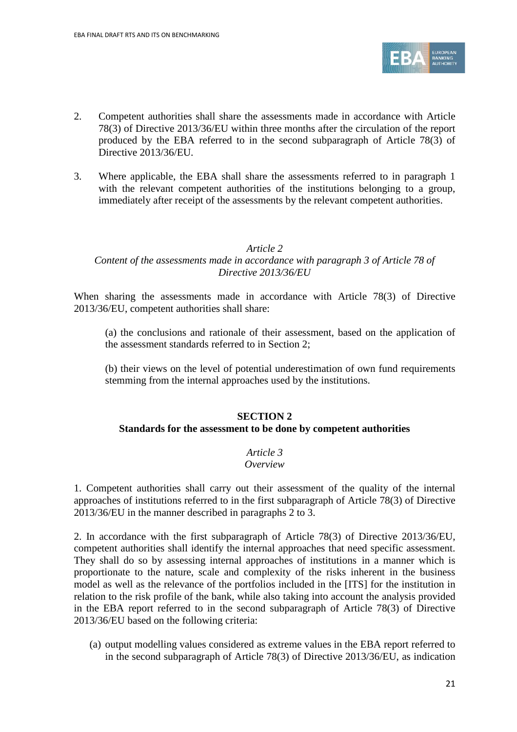

- 2. Competent authorities shall share the assessments made in accordance with Article 78(3) of Directive 2013/36/EU within three months after the circulation of the report produced by the EBA referred to in the second subparagraph of Article 78(3) of Directive 2013/36/EU.
- 3. Where applicable, the EBA shall share the assessments referred to in paragraph 1 with the relevant competent authorities of the institutions belonging to a group, immediately after receipt of the assessments by the relevant competent authorities.

#### *Article 2*

#### *Content of the assessments made in accordance with paragraph 3 of Article 78 of Directive 2013/36/EU*

When sharing the assessments made in accordance with Article 78(3) of Directive 2013/36/EU, competent authorities shall share:

(a) the conclusions and rationale of their assessment, based on the application of the assessment standards referred to in Section 2;

(b) their views on the level of potential underestimation of own fund requirements stemming from the internal approaches used by the institutions.

## **SECTION 2 Standards for the assessment to be done by competent authorities**

# *Article 3*

#### *Overview*

1. Competent authorities shall carry out their assessment of the quality of the internal approaches of institutions referred to in the first subparagraph of Article 78(3) of Directive 2013/36/EU in the manner described in paragraphs 2 to 3.

2. In accordance with the first subparagraph of Article 78(3) of Directive 2013/36/EU, competent authorities shall identify the internal approaches that need specific assessment. They shall do so by assessing internal approaches of institutions in a manner which is proportionate to the nature, scale and complexity of the risks inherent in the business model as well as the relevance of the portfolios included in the [ITS] for the institution in relation to the risk profile of the bank, while also taking into account the analysis provided in the EBA report referred to in the second subparagraph of Article 78(3) of Directive 2013/36/EU based on the following criteria:

(a) output modelling values considered as extreme values in the EBA report referred to in the second subparagraph of Article 78(3) of Directive 2013/36/EU, as indication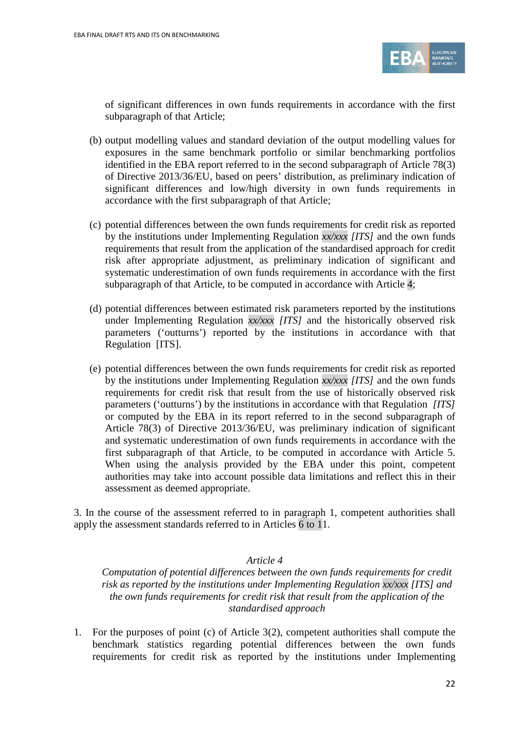

of significant differences in own funds requirements in accordance with the first subparagraph of that Article;

- (b) output modelling values and standard deviation of the output modelling values for exposures in the same benchmark portfolio or similar benchmarking portfolios identified in the EBA report referred to in the second subparagraph of Article 78(3) of Directive 2013/36/EU, based on peers' distribution, as preliminary indication of significant differences and low/high diversity in own funds requirements in accordance with the first subparagraph of that Article;
- (c) potential differences between the own funds requirements for credit risk as reported by the institutions under Implementing Regulation *xx/xxx [ITS]* and the own funds requirements that result from the application of the standardised approach for credit risk after appropriate adjustment, as preliminary indication of significant and systematic underestimation of own funds requirements in accordance with the first subparagraph of that Article, to be computed in accordance with Article 4;
- (d) potential differences between estimated risk parameters reported by the institutions under Implementing Regulation *xx/xxx [ITS]* and the historically observed risk parameters ('outturns') reported by the institutions in accordance with that Regulation [ITS].
- (e) potential differences between the own funds requirements for credit risk as reported by the institutions under Implementing Regulation *xx/xxx [ITS]* and the own funds requirements for credit risk that result from the use of historically observed risk parameters ('outturns') by the institutions in accordance with that Regulation *[ITS]* or computed by the EBA in its report referred to in the second subparagraph of Article 78(3) of Directive 2013/36/EU, was preliminary indication of significant and systematic underestimation of own funds requirements in accordance with the first subparagraph of that Article, to be computed in accordance with Article 5. When using the analysis provided by the EBA under this point, competent authorities may take into account possible data limitations and reflect this in their assessment as deemed appropriate.

3. In the course of the assessment referred to in paragraph 1, competent authorities shall apply the assessment standards referred to in Articles 6 to 11.

#### *Article 4*

*Computation of potential differences between the own funds requirements for credit risk as reported by the institutions under Implementing Regulation xx/xxx [ITS] and the own funds requirements for credit risk that result from the application of the standardised approach*

1. For the purposes of point (c) of Article 3(2), competent authorities shall compute the benchmark statistics regarding potential differences between the own funds requirements for credit risk as reported by the institutions under Implementing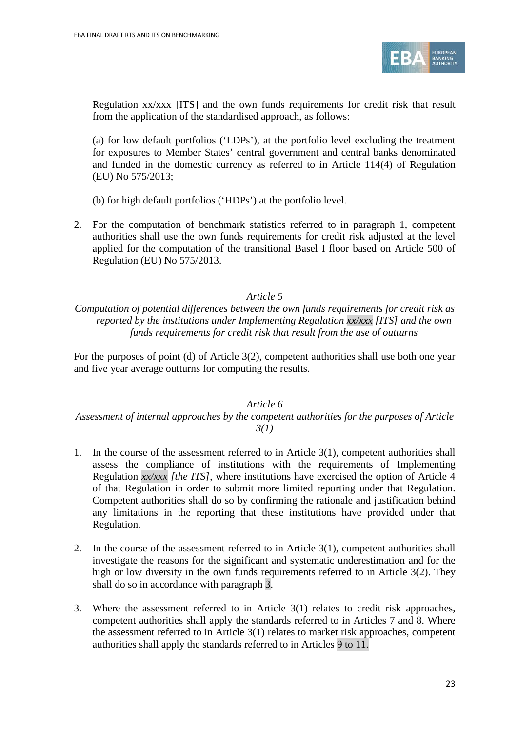

Regulation xx/xxx [ITS] and the own funds requirements for credit risk that result from the application of the standardised approach, as follows:

(a) for low default portfolios ('LDPs'), at the portfolio level excluding the treatment for exposures to Member States' central government and central banks denominated and funded in the domestic currency as referred to in Article 114(4) of Regulation (EU) No 575/2013;

(b) for high default portfolios ('HDPs') at the portfolio level.

2. For the computation of benchmark statistics referred to in paragraph 1, competent authorities shall use the own funds requirements for credit risk adjusted at the level applied for the computation of the transitional Basel I floor based on Article 500 of Regulation (EU) No 575/2013.

#### *Article 5*

*Computation of potential differences between the own funds requirements for credit risk as reported by the institutions under Implementing Regulation xx/xxx [ITS] and the own funds requirements for credit risk that result from the use of outturns* 

For the purposes of point (d) of Article 3(2), competent authorities shall use both one year and five year average outturns for computing the results.

#### *Article 6*

#### *Assessment of internal approaches by the competent authorities for the purposes of Article 3(1)*

- 1. In the course of the assessment referred to in Article 3(1), competent authorities shall assess the compliance of institutions with the requirements of Implementing Regulation *xx/xxx [the ITS]*, where institutions have exercised the option of Article 4 of that Regulation in order to submit more limited reporting under that Regulation. Competent authorities shall do so by confirming the rationale and justification behind any limitations in the reporting that these institutions have provided under that Regulation.
- 2. In the course of the assessment referred to in Article 3(1), competent authorities shall investigate the reasons for the significant and systematic underestimation and for the high or low diversity in the own funds requirements referred to in Article 3(2). They shall do so in accordance with paragraph 3.
- 3. Where the assessment referred to in Article 3(1) relates to credit risk approaches, competent authorities shall apply the standards referred to in Articles 7 and 8. Where the assessment referred to in Article 3(1) relates to market risk approaches, competent authorities shall apply the standards referred to in Articles 9 to 11.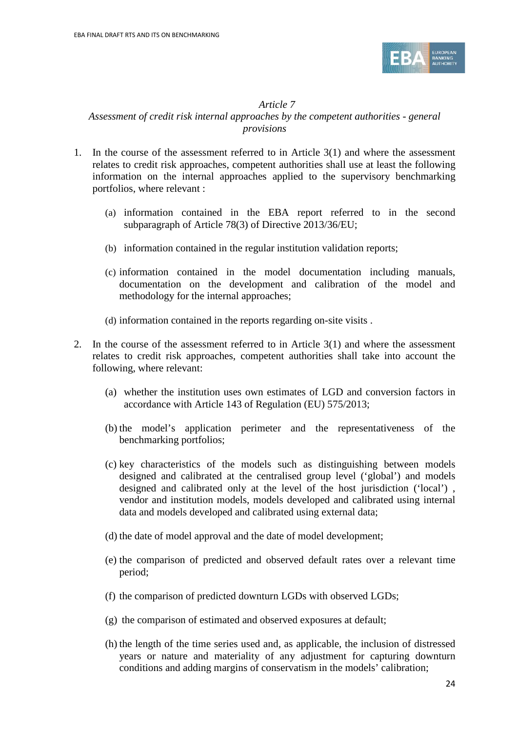

#### *Article 7 Assessment of credit risk internal approaches by the competent authorities - general provisions*

- 1. In the course of the assessment referred to in Article 3(1) and where the assessment relates to credit risk approaches, competent authorities shall use at least the following information on the internal approaches applied to the supervisory benchmarking portfolios, where relevant :
	- (a) information contained in the EBA report referred to in the second subparagraph of Article 78(3) of Directive 2013/36/EU;
	- (b) information contained in the regular institution validation reports;
	- (c) information contained in the model documentation including manuals, documentation on the development and calibration of the model and methodology for the internal approaches;
	- (d) information contained in the reports regarding on-site visits .
- 2. In the course of the assessment referred to in Article  $3(1)$  and where the assessment relates to credit risk approaches, competent authorities shall take into account the following, where relevant:
	- (a) whether the institution uses own estimates of LGD and conversion factors in accordance with Article 143 of Regulation (EU) 575/2013;
	- (b) the model's application perimeter and the representativeness of the benchmarking portfolios;
	- (c) key characteristics of the models such as distinguishing between models designed and calibrated at the centralised group level ('global') and models designed and calibrated only at the level of the host jurisdiction ('local') , vendor and institution models, models developed and calibrated using internal data and models developed and calibrated using external data;
	- (d) the date of model approval and the date of model development;
	- (e) the comparison of predicted and observed default rates over a relevant time period;
	- (f) the comparison of predicted downturn LGDs with observed LGDs;
	- (g) the comparison of estimated and observed exposures at default;
	- (h) the length of the time series used and, as applicable, the inclusion of distressed years or nature and materiality of any adjustment for capturing downturn conditions and adding margins of conservatism in the models' calibration;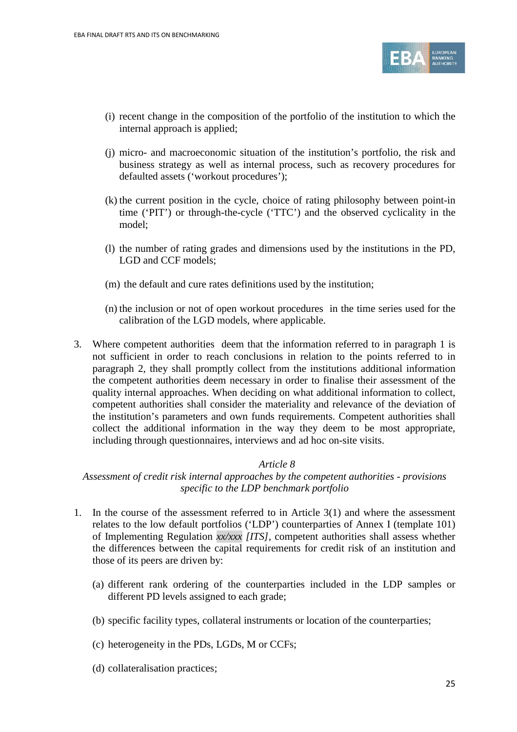

- (i) recent change in the composition of the portfolio of the institution to which the internal approach is applied;
- (j) micro- and macroeconomic situation of the institution's portfolio, the risk and business strategy as well as internal process, such as recovery procedures for defaulted assets ('workout procedures');
- (k) the current position in the cycle, choice of rating philosophy between point-in time ('PIT') or through-the-cycle ('TTC') and the observed cyclicality in the model;
- (l) the number of rating grades and dimensions used by the institutions in the PD, LGD and CCF models;
- (m) the default and cure rates definitions used by the institution;
- (n) the inclusion or not of open workout procedures in the time series used for the calibration of the LGD models, where applicable.
- 3. Where competent authorities deem that the information referred to in paragraph 1 is not sufficient in order to reach conclusions in relation to the points referred to in paragraph 2, they shall promptly collect from the institutions additional information the competent authorities deem necessary in order to finalise their assessment of the quality internal approaches. When deciding on what additional information to collect, competent authorities shall consider the materiality and relevance of the deviation of the institution's parameters and own funds requirements. Competent authorities shall collect the additional information in the way they deem to be most appropriate, including through questionnaires, interviews and ad hoc on-site visits.

#### *Article 8*

*Assessment of credit risk internal approaches by the competent authorities - provisions specific to the LDP benchmark portfolio*

- 1. In the course of the assessment referred to in Article 3(1) and where the assessment relates to the low default portfolios ('LDP') counterparties of Annex I (template 101) of Implementing Regulation *xx/xxx [ITS]*, competent authorities shall assess whether the differences between the capital requirements for credit risk of an institution and those of its peers are driven by:
	- (a) different rank ordering of the counterparties included in the LDP samples or different PD levels assigned to each grade;
	- (b) specific facility types, collateral instruments or location of the counterparties;
	- (c) heterogeneity in the PDs, LGDs, M or CCFs;
	- (d) collateralisation practices;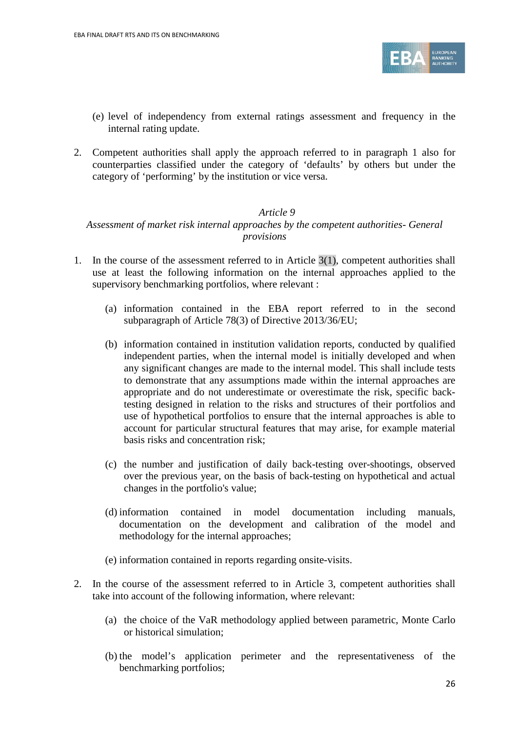

- (e) level of independency from external ratings assessment and frequency in the internal rating update.
- 2. Competent authorities shall apply the approach referred to in paragraph 1 also for counterparties classified under the category of 'defaults' by others but under the category of 'performing' by the institution or vice versa.

#### *Article 9*

#### *Assessment of market risk internal approaches by the competent authorities- General provisions*

- 1. In the course of the assessment referred to in Article  $3(1)$ , competent authorities shall use at least the following information on the internal approaches applied to the supervisory benchmarking portfolios, where relevant :
	- (a) information contained in the EBA report referred to in the second subparagraph of Article 78(3) of Directive 2013/36/EU;
	- (b) information contained in institution validation reports, conducted by qualified independent parties, when the internal model is initially developed and when any significant changes are made to the internal model. This shall include tests to demonstrate that any assumptions made within the internal approaches are appropriate and do not underestimate or overestimate the risk, specific backtesting designed in relation to the risks and structures of their portfolios and use of hypothetical portfolios to ensure that the internal approaches is able to account for particular structural features that may arise, for example material basis risks and concentration risk;
	- (c) the number and justification of daily back-testing over-shootings, observed over the previous year, on the basis of back-testing on hypothetical and actual changes in the portfolio's value;
	- (d) information contained in model documentation including manuals, documentation on the development and calibration of the model and methodology for the internal approaches;
	- (e) information contained in reports regarding onsite-visits.
- 2. In the course of the assessment referred to in Article 3, competent authorities shall take into account of the following information, where relevant:
	- (a) the choice of the VaR methodology applied between parametric, Monte Carlo or historical simulation;
	- (b) the model's application perimeter and the representativeness of the benchmarking portfolios;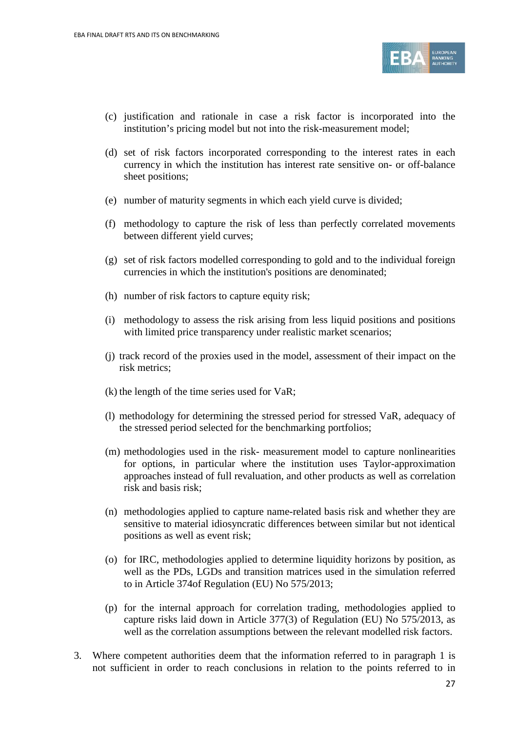

- (c) justification and rationale in case a risk factor is incorporated into the institution's pricing model but not into the risk-measurement model;
- (d) set of risk factors incorporated corresponding to the interest rates in each currency in which the institution has interest rate sensitive on- or off-balance sheet positions;
- (e) number of maturity segments in which each yield curve is divided;
- (f) methodology to capture the risk of less than perfectly correlated movements between different yield curves;
- (g) set of risk factors modelled corresponding to gold and to the individual foreign currencies in which the institution's positions are denominated;
- (h) number of risk factors to capture equity risk;
- (i) methodology to assess the risk arising from less liquid positions and positions with limited price transparency under realistic market scenarios;
- (j) track record of the proxies used in the model, assessment of their impact on the risk metrics;
- (k) the length of the time series used for VaR;
- (l) methodology for determining the stressed period for stressed VaR, adequacy of the stressed period selected for the benchmarking portfolios;
- (m) methodologies used in the risk- measurement model to capture nonlinearities for options, in particular where the institution uses Taylor-approximation approaches instead of full revaluation, and other products as well as correlation risk and basis risk;
- (n) methodologies applied to capture name-related basis risk and whether they are sensitive to material idiosyncratic differences between similar but not identical positions as well as event risk;
- (o) for IRC, methodologies applied to determine liquidity horizons by position, as well as the PDs, LGDs and transition matrices used in the simulation referred to in Article 374of Regulation (EU) No 575/2013;
- (p) for the internal approach for correlation trading, methodologies applied to capture risks laid down in Article 377(3) of Regulation (EU) No 575/2013, as well as the correlation assumptions between the relevant modelled risk factors.
- 3. Where competent authorities deem that the information referred to in paragraph 1 is not sufficient in order to reach conclusions in relation to the points referred to in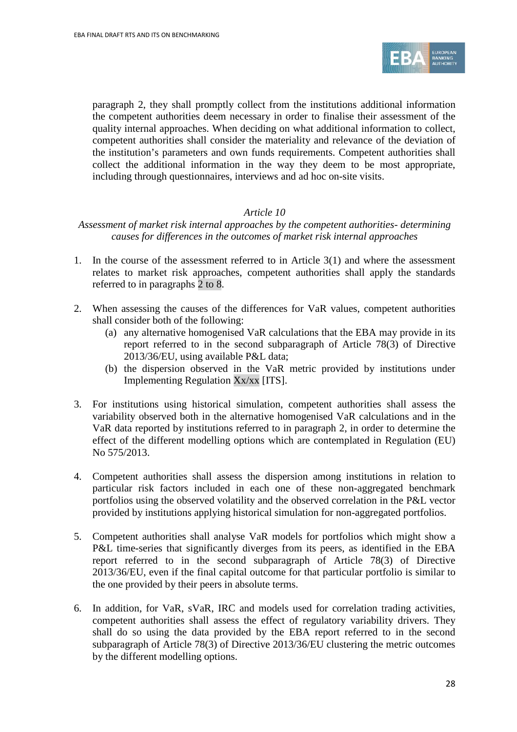

paragraph 2, they shall promptly collect from the institutions additional information the competent authorities deem necessary in order to finalise their assessment of the quality internal approaches. When deciding on what additional information to collect, competent authorities shall consider the materiality and relevance of the deviation of the institution's parameters and own funds requirements. Competent authorities shall collect the additional information in the way they deem to be most appropriate, including through questionnaires, interviews and ad hoc on-site visits.

#### *Article 10*

*Assessment of market risk internal approaches by the competent authorities- determining causes for differences in the outcomes of market risk internal approaches*

- 1. In the course of the assessment referred to in Article 3(1) and where the assessment relates to market risk approaches, competent authorities shall apply the standards referred to in paragraphs 2 to 8.
- 2. When assessing the causes of the differences for VaR values, competent authorities shall consider both of the following:
	- (a) any alternative homogenised VaR calculations that the EBA may provide in its report referred to in the second subparagraph of Article 78(3) of Directive 2013/36/EU, using available P&L data;
	- (b) the dispersion observed in the VaR metric provided by institutions under Implementing Regulation Xx/xx [ITS].
- 3. For institutions using historical simulation, competent authorities shall assess the variability observed both in the alternative homogenised VaR calculations and in the VaR data reported by institutions referred to in paragraph 2, in order to determine the effect of the different modelling options which are contemplated in Regulation (EU) No 575/2013.
- 4. Competent authorities shall assess the dispersion among institutions in relation to particular risk factors included in each one of these non-aggregated benchmark portfolios using the observed volatility and the observed correlation in the P&L vector provided by institutions applying historical simulation for non-aggregated portfolios.
- 5. Competent authorities shall analyse VaR models for portfolios which might show a P&L time-series that significantly diverges from its peers, as identified in the EBA report referred to in the second subparagraph of Article 78(3) of Directive 2013/36/EU, even if the final capital outcome for that particular portfolio is similar to the one provided by their peers in absolute terms.
- 6. In addition, for VaR, sVaR, IRC and models used for correlation trading activities, competent authorities shall assess the effect of regulatory variability drivers. They shall do so using the data provided by the EBA report referred to in the second subparagraph of Article 78(3) of Directive 2013/36/EU clustering the metric outcomes by the different modelling options.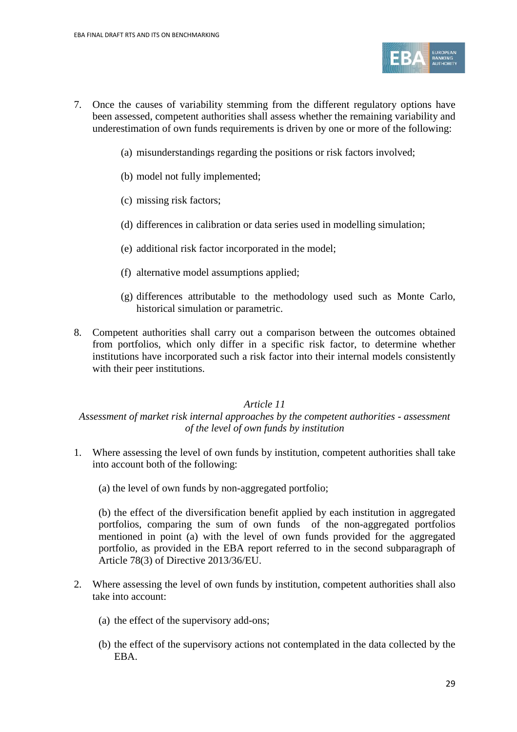

- 7. Once the causes of variability stemming from the different regulatory options have been assessed, competent authorities shall assess whether the remaining variability and underestimation of own funds requirements is driven by one or more of the following:
	- (a) misunderstandings regarding the positions or risk factors involved;
	- (b) model not fully implemented;
	- (c) missing risk factors;
	- (d) differences in calibration or data series used in modelling simulation;
	- (e) additional risk factor incorporated in the model;
	- (f) alternative model assumptions applied;
	- (g) differences attributable to the methodology used such as Monte Carlo, historical simulation or parametric.
- 8. Competent authorities shall carry out a comparison between the outcomes obtained from portfolios, which only differ in a specific risk factor, to determine whether institutions have incorporated such a risk factor into their internal models consistently with their peer institutions.

#### *Article 11*

#### *Assessment of market risk internal approaches by the competent authorities - assessment of the level of own funds by institution*

- 1. Where assessing the level of own funds by institution, competent authorities shall take into account both of the following:
	- (a) the level of own funds by non-aggregated portfolio;

(b) the effect of the diversification benefit applied by each institution in aggregated portfolios, comparing the sum of own funds of the non-aggregated portfolios mentioned in point (a) with the level of own funds provided for the aggregated portfolio, as provided in the EBA report referred to in the second subparagraph of Article 78(3) of Directive 2013/36/EU.

- 2. Where assessing the level of own funds by institution, competent authorities shall also take into account:
	- (a) the effect of the supervisory add-ons;
	- (b) the effect of the supervisory actions not contemplated in the data collected by the EBA.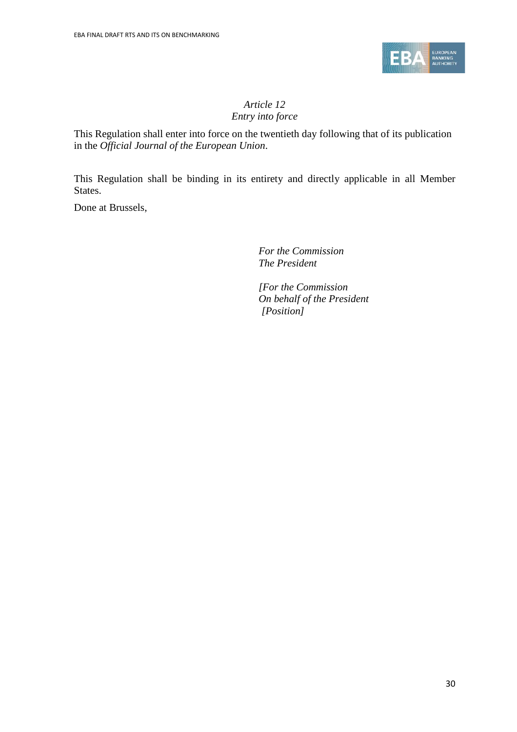

## *Article 12 Entry into force*

This Regulation shall enter into force on the twentieth day following that of its publication in the *Official Journal of the European Union*.

This Regulation shall be binding in its entirety and directly applicable in all Member States.

Done at Brussels,

*For the Commission The President*

*[For the Commission On behalf of the President [Position]*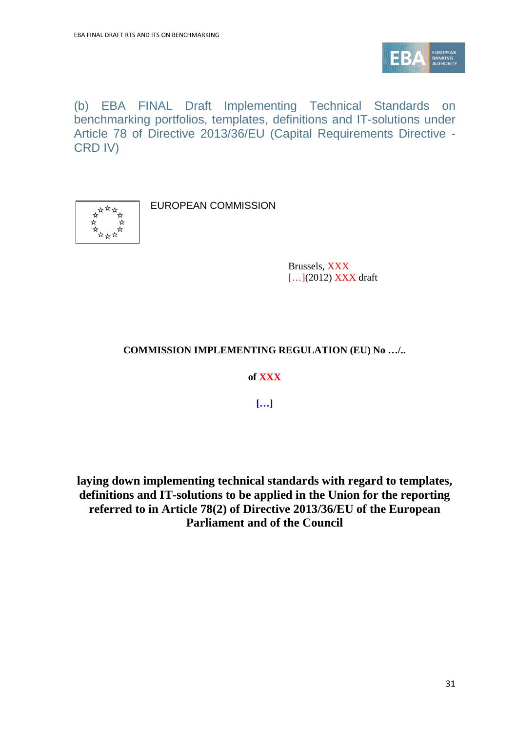

(b) EBA FINAL Draft Implementing Technical Standards on benchmarking portfolios, templates, definitions and IT-solutions under Article 78 of Directive 2013/36/EU (Capital Requirements Directive - CRD IV)



EUROPEAN COMMISSION

Brussels, XXX [...](2012) **XXX** draft

## **COMMISSION IMPLEMENTING REGULATION (EU) No …/..**

**of XXX**

**[…]**

**laying down implementing technical standards with regard to templates, definitions and IT-solutions to be applied in the Union for the reporting referred to in Article 78(2) of Directive 2013/36/EU of the European Parliament and of the Council**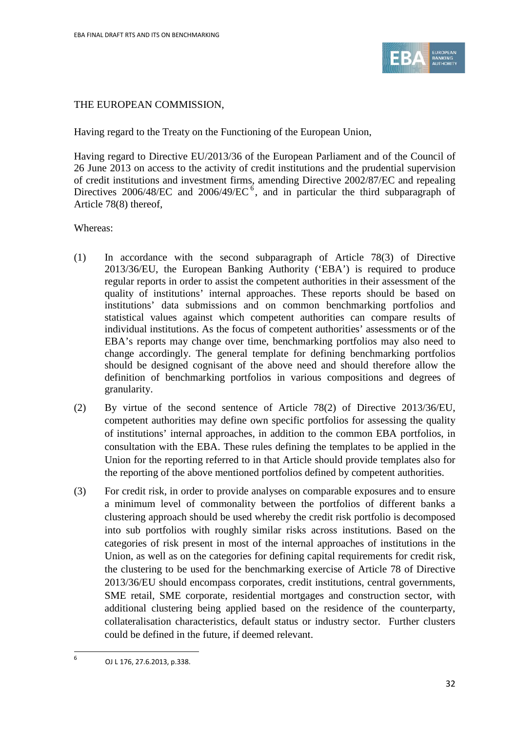

### THE EUROPEAN COMMISSION,

Having regard to the Treaty on the Functioning of the European Union,

Having regard to Directive EU/2013/36 of the European Parliament and of the Council of 26 June 2013 on access to the activity of credit institutions and the prudential supervision of credit institutions and investment firms, amending Directive 2002/87/EC and repealing Directives 200[6](#page-31-0)/48/EC and 2006/49/EC<sup>6</sup>, and in particular the third subparagraph of Article 78(8) thereof,

#### Whereas:

- (1) In accordance with the second subparagraph of Article 78(3) of Directive 2013/36/EU, the European Banking Authority ('EBA') is required to produce regular reports in order to assist the competent authorities in their assessment of the quality of institutions' internal approaches. These reports should be based on institutions' data submissions and on common benchmarking portfolios and statistical values against which competent authorities can compare results of individual institutions. As the focus of competent authorities' assessments or of the EBA's reports may change over time, benchmarking portfolios may also need to change accordingly. The general template for defining benchmarking portfolios should be designed cognisant of the above need and should therefore allow the definition of benchmarking portfolios in various compositions and degrees of granularity.
- (2) By virtue of the second sentence of Article 78(2) of Directive 2013/36/EU, competent authorities may define own specific portfolios for assessing the quality of institutions' internal approaches, in addition to the common EBA portfolios, in consultation with the EBA. These rules defining the templates to be applied in the Union for the reporting referred to in that Article should provide templates also for the reporting of the above mentioned portfolios defined by competent authorities.
- (3) For credit risk, in order to provide analyses on comparable exposures and to ensure a minimum level of commonality between the portfolios of different banks a clustering approach should be used whereby the credit risk portfolio is decomposed into sub portfolios with roughly similar risks across institutions. Based on the categories of risk present in most of the internal approaches of institutions in the Union, as well as on the categories for defining capital requirements for credit risk, the clustering to be used for the benchmarking exercise of Article 78 of Directive 2013/36/EU should encompass corporates, credit institutions, central governments, SME retail, SME corporate, residential mortgages and construction sector, with additional clustering being applied based on the residence of the counterparty, collateralisation characteristics, default status or industry sector. Further clusters could be defined in the future, if deemed relevant.

<span id="page-31-0"></span><sup>6</sup> OJ L 176, 27.6.2013, p.338.

 $\overline{a}$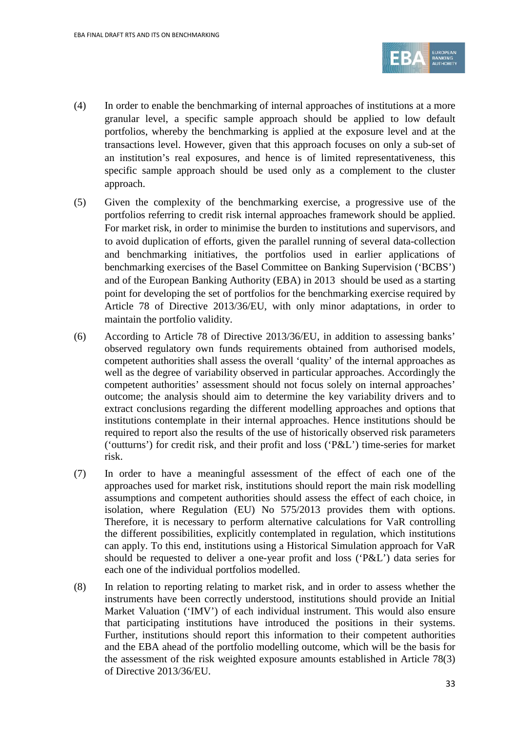

- (4) In order to enable the benchmarking of internal approaches of institutions at a more granular level, a specific sample approach should be applied to low default portfolios, whereby the benchmarking is applied at the exposure level and at the transactions level. However, given that this approach focuses on only a sub-set of an institution's real exposures, and hence is of limited representativeness, this specific sample approach should be used only as a complement to the cluster approach.
- (5) Given the complexity of the benchmarking exercise, a progressive use of the portfolios referring to credit risk internal approaches framework should be applied. For market risk, in order to minimise the burden to institutions and supervisors, and to avoid duplication of efforts, given the parallel running of several data-collection and benchmarking initiatives, the portfolios used in earlier applications of benchmarking exercises of the Basel Committee on Banking Supervision ('BCBS') and of the European Banking Authority (EBA) in 2013 should be used as a starting point for developing the set of portfolios for the benchmarking exercise required by Article 78 of Directive 2013/36/EU, with only minor adaptations, in order to maintain the portfolio validity.
- (6) According to Article 78 of Directive 2013/36/EU, in addition to assessing banks' observed regulatory own funds requirements obtained from authorised models, competent authorities shall assess the overall 'quality' of the internal approaches as well as the degree of variability observed in particular approaches. Accordingly the competent authorities' assessment should not focus solely on internal approaches' outcome; the analysis should aim to determine the key variability drivers and to extract conclusions regarding the different modelling approaches and options that institutions contemplate in their internal approaches. Hence institutions should be required to report also the results of the use of historically observed risk parameters ('outturns') for credit risk, and their profit and loss ('P&L') time-series for market risk.
- (7) In order to have a meaningful assessment of the effect of each one of the approaches used for market risk, institutions should report the main risk modelling assumptions and competent authorities should assess the effect of each choice, in isolation, where Regulation (EU) No 575/2013 provides them with options. Therefore, it is necessary to perform alternative calculations for VaR controlling the different possibilities, explicitly contemplated in regulation, which institutions can apply. To this end, institutions using a Historical Simulation approach for VaR should be requested to deliver a one-year profit and loss ('P&L') data series for each one of the individual portfolios modelled.
- (8) In relation to reporting relating to market risk, and in order to assess whether the instruments have been correctly understood, institutions should provide an Initial Market Valuation ('IMV') of each individual instrument. This would also ensure that participating institutions have introduced the positions in their systems. Further, institutions should report this information to their competent authorities and the EBA ahead of the portfolio modelling outcome, which will be the basis for the assessment of the risk weighted exposure amounts established in Article 78(3) of Directive 2013/36/EU.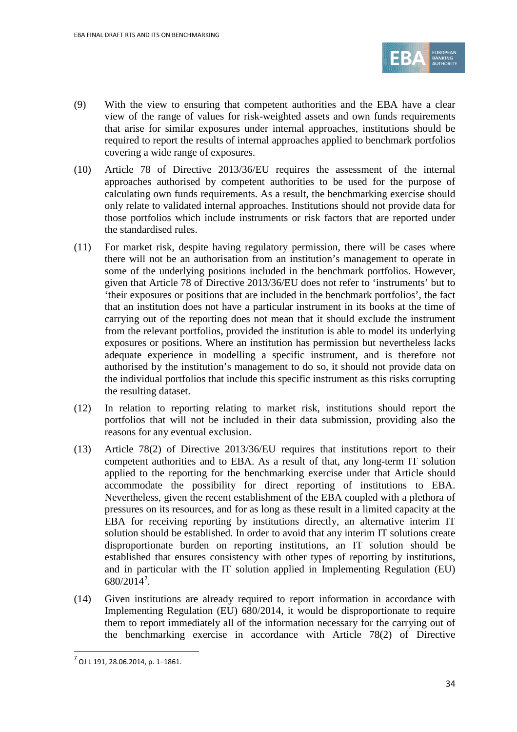

- (9) With the view to ensuring that competent authorities and the EBA have a clear view of the range of values for risk-weighted assets and own funds requirements that arise for similar exposures under internal approaches, institutions should be required to report the results of internal approaches applied to benchmark portfolios covering a wide range of exposures.
- (10) Article 78 of Directive 2013/36/EU requires the assessment of the internal approaches authorised by competent authorities to be used for the purpose of calculating own funds requirements. As a result, the benchmarking exercise should only relate to validated internal approaches. Institutions should not provide data for those portfolios which include instruments or risk factors that are reported under the standardised rules.
- (11) For market risk, despite having regulatory permission, there will be cases where there will not be an authorisation from an institution's management to operate in some of the underlying positions included in the benchmark portfolios. However, given that Article 78 of Directive 2013/36/EU does not refer to 'instruments' but to 'their exposures or positions that are included in the benchmark portfolios', the fact that an institution does not have a particular instrument in its books at the time of carrying out of the reporting does not mean that it should exclude the instrument from the relevant portfolios, provided the institution is able to model its underlying exposures or positions. Where an institution has permission but nevertheless lacks adequate experience in modelling a specific instrument, and is therefore not authorised by the institution's management to do so, it should not provide data on the individual portfolios that include this specific instrument as this risks corrupting the resulting dataset.
- (12) In relation to reporting relating to market risk, institutions should report the portfolios that will not be included in their data submission, providing also the reasons for any eventual exclusion.
- (13) Article 78(2) of Directive 2013/36/EU requires that institutions report to their competent authorities and to EBA. As a result of that, any long-term IT solution applied to the reporting for the benchmarking exercise under that Article should accommodate the possibility for direct reporting of institutions to EBA. Nevertheless, given the recent establishment of the EBA coupled with a plethora of pressures on its resources, and for as long as these result in a limited capacity at the EBA for receiving reporting by institutions directly, an alternative interim IT solution should be established. In order to avoid that any interim IT solutions create disproportionate burden on reporting institutions, an IT solution should be established that ensures consistency with other types of reporting by institutions, and in particular with the IT solution applied in Implementing Regulation (EU) 680/2014[7](#page-33-0) .
- (14) Given institutions are already required to report information in accordance with Implementing Regulation (EU) 680/2014, it would be disproportionate to require them to report immediately all of the information necessary for the carrying out of the benchmarking exercise in accordance with Article 78(2) of Directive

 $\overline{a}$ 

<span id="page-33-0"></span> $<sup>7</sup>$  OJ L 191, 28.06.2014, p. 1–1861.</sup>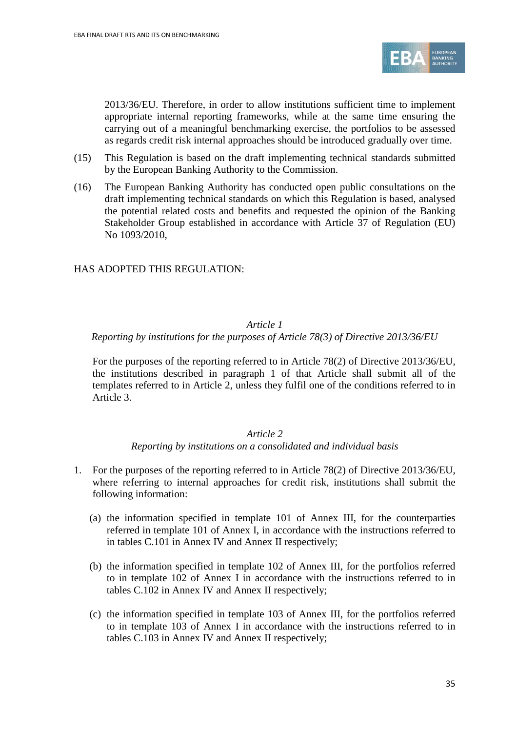

2013/36/EU. Therefore, in order to allow institutions sufficient time to implement appropriate internal reporting frameworks, while at the same time ensuring the carrying out of a meaningful benchmarking exercise, the portfolios to be assessed as regards credit risk internal approaches should be introduced gradually over time.

- (15) This Regulation is based on the draft implementing technical standards submitted by the European Banking Authority to the Commission.
- (16) The European Banking Authority has conducted open public consultations on the draft implementing technical standards on which this Regulation is based, analysed the potential related costs and benefits and requested the opinion of the Banking Stakeholder Group established in accordance with Article 37 of Regulation (EU) No 1093/2010,

### HAS ADOPTED THIS REGULATION:

#### *Article 1*

#### *Reporting by institutions for the purposes of Article 78(3) of Directive 2013/36/EU*

For the purposes of the reporting referred to in Article 78(2) of Directive 2013/36/EU, the institutions described in paragraph 1 of that Article shall submit all of the templates referred to in Article 2, unless they fulfil one of the conditions referred to in Article 3.

#### *Article 2*

#### *Reporting by institutions on a consolidated and individual basis*

- 1. For the purposes of the reporting referred to in Article 78(2) of Directive 2013/36/EU, where referring to internal approaches for credit risk, institutions shall submit the following information:
	- (a) the information specified in template 101 of Annex III, for the counterparties referred in template 101 of Annex I, in accordance with the instructions referred to in tables C.101 in Annex IV and Annex II respectively;
	- (b) the information specified in template 102 of Annex III, for the portfolios referred to in template 102 of Annex I in accordance with the instructions referred to in tables C.102 in Annex IV and Annex II respectively;
	- (c) the information specified in template 103 of Annex III, for the portfolios referred to in template 103 of Annex I in accordance with the instructions referred to in tables C.103 in Annex IV and Annex II respectively;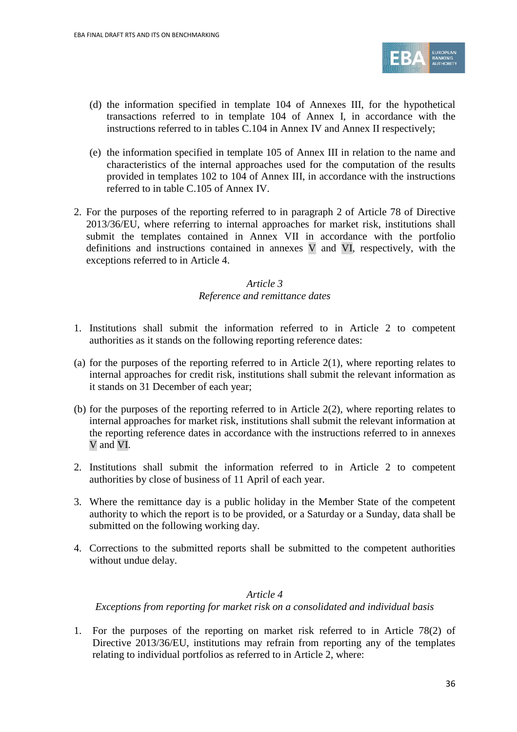

- (d) the information specified in template 104 of Annexes III, for the hypothetical transactions referred to in template 104 of Annex I, in accordance with the instructions referred to in tables C.104 in Annex IV and Annex II respectively;
- (e) the information specified in template 105 of Annex III in relation to the name and characteristics of the internal approaches used for the computation of the results provided in templates 102 to 104 of Annex III, in accordance with the instructions referred to in table C.105 of Annex IV.
- 2. For the purposes of the reporting referred to in paragraph 2 of Article 78 of Directive 2013/36/EU, where referring to internal approaches for market risk, institutions shall submit the templates contained in Annex VII in accordance with the portfolio definitions and instructions contained in annexes V and VI, respectively, with the exceptions referred to in Article 4.

### *Article 3 Reference and remittance dates*

- 1. Institutions shall submit the information referred to in Article 2 to competent authorities as it stands on the following reporting reference dates:
- (a) for the purposes of the reporting referred to in Article  $2(1)$ , where reporting relates to internal approaches for credit risk, institutions shall submit the relevant information as it stands on 31 December of each year;
- (b) for the purposes of the reporting referred to in Article 2(2), where reporting relates to internal approaches for market risk, institutions shall submit the relevant information at the reporting reference dates in accordance with the instructions referred to in annexes V and VI.
- 2. Institutions shall submit the information referred to in Article 2 to competent authorities by close of business of 11 April of each year.
- 3. Where the remittance day is a public holiday in the Member State of the competent authority to which the report is to be provided, or a Saturday or a Sunday, data shall be submitted on the following working day.
- 4. Corrections to the submitted reports shall be submitted to the competent authorities without undue delay.

#### *Article 4*

*Exceptions from reporting for market risk on a consolidated and individual basis*

1. For the purposes of the reporting on market risk referred to in Article 78(2) of Directive 2013/36/EU, institutions may refrain from reporting any of the templates relating to individual portfolios as referred to in Article 2, where: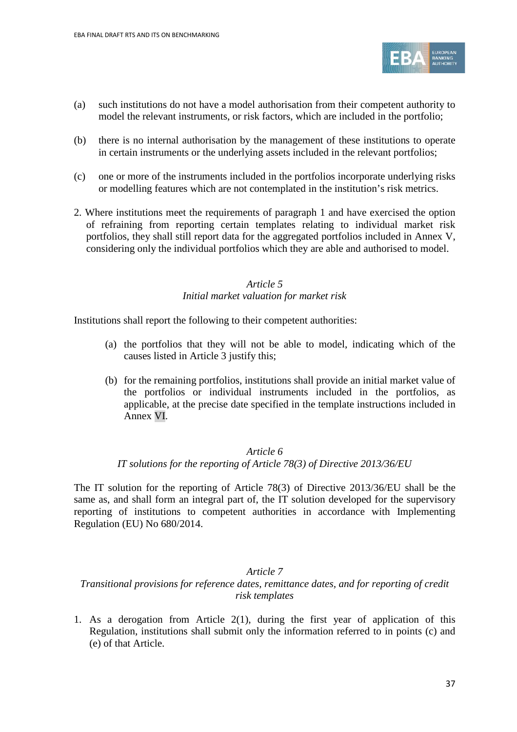

- (a) such institutions do not have a model authorisation from their competent authority to model the relevant instruments, or risk factors, which are included in the portfolio;
- (b) there is no internal authorisation by the management of these institutions to operate in certain instruments or the underlying assets included in the relevant portfolios;
- (c) one or more of the instruments included in the portfolios incorporate underlying risks or modelling features which are not contemplated in the institution's risk metrics.
- 2. Where institutions meet the requirements of paragraph 1 and have exercised the option of refraining from reporting certain templates relating to individual market risk portfolios, they shall still report data for the aggregated portfolios included in Annex V, considering only the individual portfolios which they are able and authorised to model.

### *Article 5 Initial market valuation for market risk*

Institutions shall report the following to their competent authorities:

- (a) the portfolios that they will not be able to model, indicating which of the causes listed in Article 3 justify this;
- (b) for the remaining portfolios, institutions shall provide an initial market value of the portfolios or individual instruments included in the portfolios, as applicable, at the precise date specified in the template instructions included in Annex VI.

#### *Article 6*

#### *IT solutions for the reporting of Article 78(3) of Directive 2013/36/EU*

The IT solution for the reporting of Article 78(3) of Directive 2013/36/EU shall be the same as, and shall form an integral part of, the IT solution developed for the supervisory reporting of institutions to competent authorities in accordance with Implementing Regulation (EU) No 680/2014.

#### *Article 7*

#### *Transitional provisions for reference dates, remittance dates, and for reporting of credit risk templates*

1. As a derogation from Article 2(1), during the first year of application of this Regulation, institutions shall submit only the information referred to in points (c) and (e) of that Article.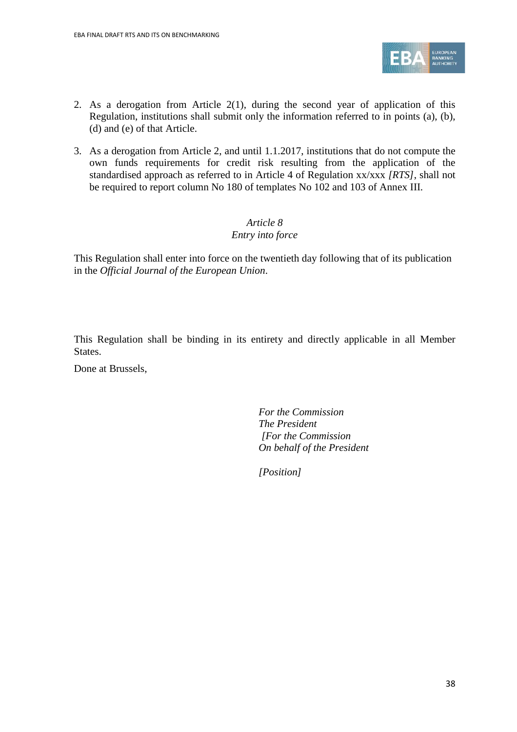

- 2. As a derogation from Article 2(1), during the second year of application of this Regulation, institutions shall submit only the information referred to in points (a), (b), (d) and (e) of that Article.
- 3. As a derogation from Article 2, and until 1.1.2017, institutions that do not compute the own funds requirements for credit risk resulting from the application of the standardised approach as referred to in Article 4 of Regulation xx/xxx *[RTS]*, shall not be required to report column No 180 of templates No 102 and 103 of Annex III.

### *Article 8 Entry into force*

This Regulation shall enter into force on the twentieth day following that of its publication in the *Official Journal of the European Union*.

This Regulation shall be binding in its entirety and directly applicable in all Member States.

Done at Brussels,

*For the Commission The President [For the Commission On behalf of the President*

*[Position]*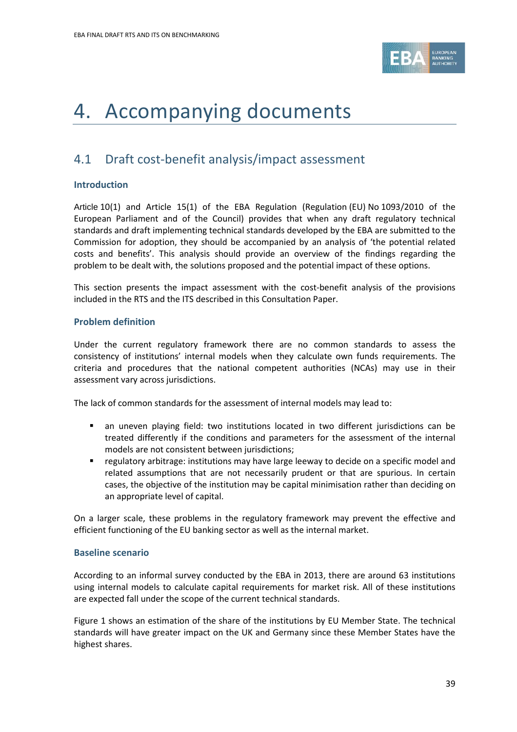

# 4. Accompanying documents

## 4.1 Draft cost-benefit analysis/impact assessment

#### **Introduction**

Article 10(1) and Article 15(1) of the EBA Regulation (Regulation (EU) No 1093/2010 of the European Parliament and of the Council) provides that when any draft regulatory technical standards and draft implementing technical standards developed by the EBA are submitted to the Commission for adoption, they should be accompanied by an analysis of 'the potential related costs and benefits'. This analysis should provide an overview of the findings regarding the problem to be dealt with, the solutions proposed and the potential impact of these options.

This section presents the impact assessment with the cost-benefit analysis of the provisions included in the RTS and the ITS described in this Consultation Paper.

#### **Problem definition**

Under the current regulatory framework there are no common standards to assess the consistency of institutions' internal models when they calculate own funds requirements. The criteria and procedures that the national competent authorities (NCAs) may use in their assessment vary across jurisdictions.

The lack of common standards for the assessment of internal models may lead to:

- an uneven playing field: two institutions located in two different jurisdictions can be treated differently if the conditions and parameters for the assessment of the internal models are not consistent between jurisdictions;
- regulatory arbitrage: institutions may have large leeway to decide on a specific model and related assumptions that are not necessarily prudent or that are spurious. In certain cases, the objective of the institution may be capital minimisation rather than deciding on an appropriate level of capital.

On a larger scale, these problems in the regulatory framework may prevent the effective and efficient functioning of the EU banking sector as well as the internal market.

#### **Baseline scenario**

According to an informal survey conducted by the EBA in 2013, there are around 63 institutions using internal models to calculate capital requirements for market risk. All of these institutions are expected fall under the scope of the current technical standards[.](#page-38-0) 

<span id="page-38-0"></span>[Figure 1](#page-38-0) shows an estimation of the share of the institutions by EU Member State. The technical standards will have greater impact on the UK and Germany since these Member States have the highest shares.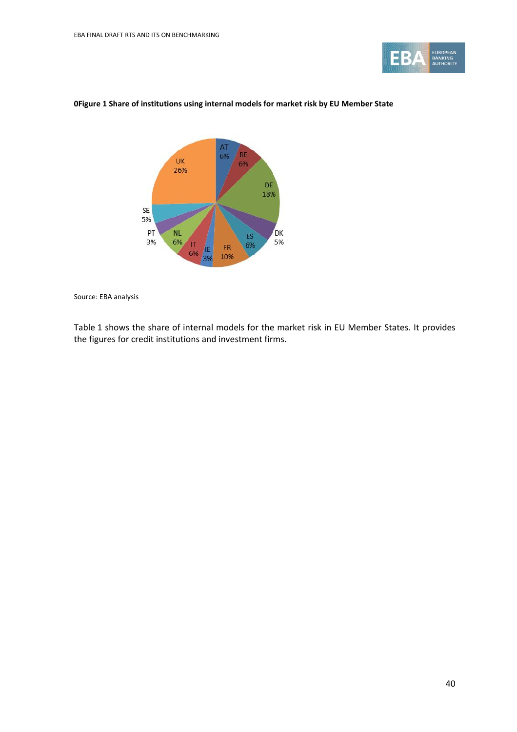

#### **0Figure 1 Share of institutions using internal models for market risk by EU Member State**



Source: EBA analysis

[Table](#page-40-0) 1 shows the share of internal models for the market risk in EU Member States. It provides the figures for credit institutions and investment firms.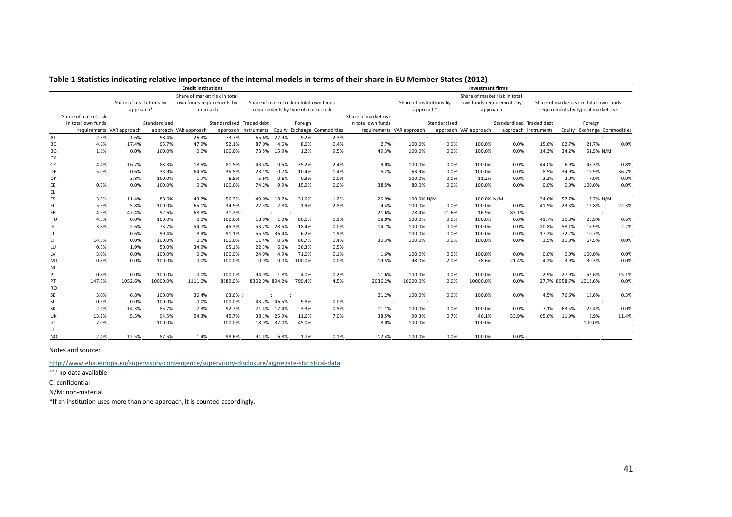|                |                           |                          |              | <b>Credit institutions</b>    |                          |                      |       |                                         |                             |                      |                           |              | <b>Investment firms</b>       |                          |                      |               |                                         |       |
|----------------|---------------------------|--------------------------|--------------|-------------------------------|--------------------------|----------------------|-------|-----------------------------------------|-----------------------------|----------------------|---------------------------|--------------|-------------------------------|--------------------------|----------------------|---------------|-----------------------------------------|-------|
|                |                           |                          |              | Share of market risk in total |                          |                      |       |                                         |                             |                      |                           |              | Share of market risk in total |                          |                      |               |                                         |       |
|                |                           | Share of institutions by |              | own funds requirements by     |                          |                      |       | Share of market risk in total own funds |                             |                      | Share of institutions by  |              | own funds requirements by     |                          |                      |               | Share of market risk in total own funds |       |
|                |                           | approach*                |              | approach                      |                          |                      |       | requirements by type of market risk     |                             |                      | approach*                 |              | approach                      |                          |                      |               | requirements by type of market risk     |       |
|                | Share of market risk      |                          |              |                               |                          |                      |       |                                         |                             | Share of market risk |                           |              |                               |                          |                      |               |                                         |       |
|                | in total own funds        |                          | Standardised |                               | Standardised Traded debt |                      |       | Foreign                                 |                             | in total own funds   |                           | Standardised |                               | Standardised Traded debt |                      |               | Foreign                                 |       |
|                | requirements VAR approach |                          |              | approach VAR approach         |                          | approach instruments |       |                                         | Equity Exchange Commodities |                      | requirements VAR approach |              | approach VAR approach         |                          | approach instruments |               | Equity Exchange Commodities             |       |
| AT             | 2.3%                      | 1.6%                     | 98.4%        | 26.3%                         | 73.7%                    | 65.6%                | 22.9% | 9.2%                                    | $2.3\%$ :                   |                      |                           |              | ÷                             |                          |                      |               |                                         |       |
| BE             | 4.6%                      | 17.4%                    | 95.7%        | 47.9%                         | 52.1%                    | 87.0%                | 4.6%  | 8.0%                                    | 0.4%                        | 2.7%                 | 100.0%                    | 0.0%         | 100.0%                        | 0.0%                     | 15.6%                | 62.7%         | 21.7%                                   | 0.0%  |
| ВG             | 1.1%                      | 0.0%                     | 100.0%       | 0.0%                          | 100.0%                   | 73.5%                | 15.9% | 1.2%                                    | 9.5%                        | 49.3%                | 100.0%                    | 0.0%         | 100.0%                        | 0.0%                     | 14.3%                | 34.2%         | 51.5% N/M                               |       |
| CY             |                           |                          |              |                               |                          |                      |       |                                         |                             |                      |                           |              |                               |                          |                      |               |                                         |       |
| CZ             | 4.4%                      | 16.7%                    | 83.3%        | 18.5%                         | 81.5%                    | 43.4%                | 0.5%  | 35.2%                                   | 2.4%                        | 9.0%                 | 100.0%                    | 0.0%         | 100.0%                        | 0.0%                     | 44.0%                | 6.9%          | 48.3%                                   | 0.8%  |
| DE             | 5.0%                      | 0.6%                     | 33.9%        | 64.5%                         | 35.5%                    | 23.1%                | 0.7%  | 10.4%                                   | 1.4%                        | 5.2%                 | 63.9%                     | 0.0%         | 100.0%                        | 0.0%                     | 8.5%                 | 34.9%         | 19.9%                                   | 36.7% |
| DK             |                           | 3.8%                     | 100.0%       | 1.7%                          | 6.5%                     | 5.6%                 | 0.6%  | 0.3%                                    | 0.0%                        |                      | 100.0%                    | 0.0%         | 11.2%                         | 0.0%                     | 2.2%                 | 2.0%          | 7.0%                                    | 0.0%  |
| EE<br>EL       | 0.7%                      | 0.0%                     | 100.0%       | 0.0%                          | 100.0%                   | 74.2%                | 9.9%  | 15.9%                                   | 0.0%                        | 38.5%                | 80.0%                     | 0.0%         | 100.0%                        | 0.0%                     | 0.0%                 | 0.0%          | 100.0%                                  | 0.0%  |
| ES             | 3.5%                      | 11.4%                    | 88.6%        | 43.7%                         | 56.3%                    | 49.0%                | 18.7% | 31.0%                                   | 1.2%                        | 20.9%                | 100.0% N/M                |              | 100.0% N/M                    |                          | 34.6%                | 57.7%         | 7.7% N/M                                |       |
| FI             | 5.3%                      | 5.8%                     | 100.0%       | 65.1%                         | 34.9%                    | 27.3%                | 2.8%  | 1.9%                                    | 2.8%                        | 4.4%                 | 100.0%                    | 0.0%         | 100.0%                        | 0.0%                     | 41.5%                | 23.3%         | 12.8%                                   | 22.3% |
| FR             | 4.5%                      | 47.4%                    | 52.6%        | 68.8%                         | $31.2%$ :                |                      |       |                                         |                             | 21.6%                | 78.4%                     | 21.6%        | 16.9%                         | 83.1% :                  |                      |               |                                         |       |
| HU             | 4.3%                      | 0.0%                     | 100.0%       | 0.0%                          | 100.0%                   | 18.9%                | 1.0%  | 80.1%                                   | 0.1%                        | 18.0%                | 100.0%                    | 0.0%         | 100.0%                        | 0.0%                     | 41.7%                | 31.8%         | 25.9%                                   | 0.6%  |
| IE             | 3.8%                      | 2.6%                     | 73.7%        | 54.7%                         | 45.3%                    | 53.2%                | 28.5% | 18.4%                                   | 0.0%                        | 14.7%                | 100.0%                    | 0.0%         | 100.0%                        | 0.0%                     | 20.8%                | 58.1%         | 18.9%                                   | 2.2%  |
| ΙT             |                           | 0.6%                     | 99.4%        | 8.9%                          | 91.1%                    | 55.5%                | 36.4% | 6.2%                                    | 1.9%                        |                      | 100.0%                    | 0.0%         | 100.0%                        | 0.0%                     | 17.2%                | 72.2%         | 10.7%                                   |       |
| LT             | 14.5%                     | 0.0%                     | 100.0%       | 0.0%                          | 100.0%                   | 11.4%                | 0.5%  | 86.7%                                   | 1.4%                        | 30.3%                | 100.0%                    | 0.0%         | 100.0%                        | 0.0%                     | 1.5%                 | 31.0%         | 67.5%                                   | 0.0%  |
| LU             | 0.5%                      | 1.9%                     | 50.0%        | 34.9%                         | 65.1%                    | 22.3%                | 6.0%  | 36.3%                                   | 0.5%                        |                      |                           |              |                               |                          |                      |               |                                         |       |
| LV             | 3.0%                      | 0.0%                     | 100.0%       | 0.0%                          | 100.0%                   | 24.0%                | 4.9%  | 71.0%                                   | 0.1%                        | 1.6%                 | 100.0%                    | 0.0%         | 100.0%                        | 0.0%                     | 0.0%                 | 0.0%          | 100.0%                                  | 0.0%  |
| MT             | 0.8%                      | 0.0%                     | 100.0%       | 0.0%                          | 100.0%                   | 0.0%                 | 0.0%  | 100.0%                                  | 0.0%                        | 19.5%                | 98.0%                     | 2.0%         | 78.6%                         | 21.4%                    | 4.2%                 | 3.9%          | 30.3%                                   | 0.0%  |
| NL             |                           |                          |              |                               |                          |                      |       |                                         |                             |                      |                           |              |                               |                          |                      |               |                                         |       |
| PL             | 0.8%                      | 0.0%                     | 100.0%       | 0.0%                          | 100.0%                   | 94.0%                | 1.8%  | 4.0%                                    | 0.2%                        | 11.6%                | 100.0%                    | 0.0%         | 100.0%                        | 0.0%                     | 2.9%                 | 27.9%         | 52.6%                                   | 15.1% |
| PT             | 147.5%                    | 1052.6%                  | 10000.0%     | 1111.0%                       | 8889.0%                  | 8302.0% 894.2%       |       | 799.4%                                  | 4.5%                        | 2036.2%              | 10000.0%                  | 0.0%         | 10000.0%                      | 0.0%                     |                      | 27.7% 8958.7% | 1013.6%                                 | 0.0%  |
| <b>RO</b>      |                           |                          |              |                               |                          |                      |       |                                         |                             |                      |                           |              |                               |                          |                      |               |                                         |       |
| SE             | 3.0%                      | 6.8%                     | 100.0%       | 36.4%                         | 63.6%:                   |                      |       | $\cdot$ :                               |                             | 21.2%                | 100.0%                    | 0.0%         | 100.0%                        | 0.0%                     | 4.5%                 | 76.6%         | 18.6%                                   | 0.3%  |
| SI             | 0.5%                      | 0.0%                     | 100.0%       | 0.0%                          | 100.0%                   | 43.7%                | 46.5% | 9.8%                                    | $0.0\%$ :                   |                      |                           |              | :                             |                          |                      |               | - 1                                     |       |
| SK             | 2.1%                      | 14.3%                    | 85.7%        | 7.3%                          | 92.7%                    | 71.4%                | 17.4% | 3.3%                                    | 0.5%                        | 11.1%                | 100.0%                    | 0.0%         | 100.0%                        | 0.0%                     | 7.1%                 | 63.5%         | 29.4%                                   | 0.0%  |
| UK             | 13.2%                     | 5.5%                     | 94.5%        | 54.3%                         | 45.7%                    | 38.1%                | 25.9% | 11.6%                                   | 7.0%                        | 38.5%                | 99.3%                     | 0.7%         | 46.1%                         | 53.9%                    | 65.6%                | 11.9%         | 8.9%                                    | 11.4% |
| IC             | 7.0%                      |                          | 100.0%       |                               | 100.0%                   | 18.0%                | 37.0% | 45.0%                                   |                             | 8.0%                 | 100.0%                    |              | 100.0%                        |                          |                      |               | 100.0%                                  |       |
| п<br><b>NO</b> | 2.4%                      | 12.5%                    | 87.5%        | 1.4%                          | 98.6%                    | 91.4%                | 6.8%  | 1.7%                                    | 0.1%                        | 12.4%                | 100.0%                    | 0.0%         | 100.0%                        | 0.0%                     |                      |               |                                         |       |

**Table 1 Statistics indicating relative importance of the internal models in terms of their share in EU Member States (2012)**

<span id="page-40-0"></span>Notes and source:

<http://www.eba.europa.eu/supervisory-convergence/supervisory-disclosure/aggregate-statistical-data>

":' no data available

C: confidential

N/M: non-material

\*If an institution uses more than one approach, it is counted accordingly.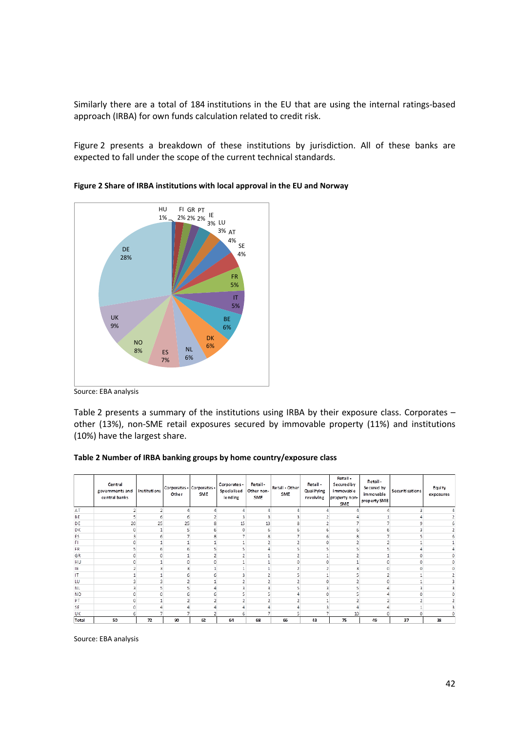Similarly there are a total of 184 institutions in the EU that are using the internal ratings-based approach (IRBA) for own funds calculation related to credit risk[.](#page-41-0) 

<span id="page-41-0"></span>[Figure](#page-41-0) 2 presents a breakdown of these institutions by jurisdiction. All of these banks are expected to fall under the scope of the current technical standards.





[Table](#page-41-1) 2 presents a summary of the institutions using IRBA by their exposure class. Corporates – other (13%), non-SME retail exposures secured by immovable property (11%) and institutions (10%) have the largest share.

#### <span id="page-41-1"></span>**Table 2 Number of IRBA banking groups by home country/exposure class**

|           | Central<br>governments and<br>central banks | Instituti ons | Corporates - Corporates -<br>Other | SME | Corporates -<br>Specialised<br>lending | Retail-<br>Other non-<br>SME | Retail - Other<br>SME | Retail -<br>Qual if ying<br>revolving | Retail -<br>Secured by<br>i mmovable<br>property non-<br><b>SME</b> | Retail-<br>Secured by<br>immovable<br>property SME | Securiti sations | Equity<br>exposures |
|-----------|---------------------------------------------|---------------|------------------------------------|-----|----------------------------------------|------------------------------|-----------------------|---------------------------------------|---------------------------------------------------------------------|----------------------------------------------------|------------------|---------------------|
| AT        |                                             |               |                                    |     |                                        |                              |                       |                                       |                                                                     |                                                    | 2                |                     |
| BE        |                                             |               | 6                                  |     |                                        |                              |                       |                                       |                                                                     |                                                    |                  |                     |
| DE        | 20                                          | 25            | 25                                 |     | 15                                     | 13                           |                       |                                       |                                                                     |                                                    |                  |                     |
| DK        |                                             |               |                                    |     |                                        | 6                            |                       |                                       |                                                                     |                                                    |                  |                     |
| ES        |                                             |               |                                    |     |                                        | 8                            |                       |                                       |                                                                     |                                                    |                  |                     |
| F         |                                             |               |                                    |     |                                        |                              |                       |                                       |                                                                     |                                                    |                  |                     |
| FR        |                                             |               |                                    |     |                                        |                              |                       |                                       |                                                                     |                                                    |                  |                     |
| GR        |                                             |               |                                    |     |                                        |                              |                       |                                       |                                                                     |                                                    |                  |                     |
| HU        |                                             |               |                                    |     |                                        |                              |                       |                                       |                                                                     |                                                    |                  |                     |
| ΙE        |                                             |               | 3                                  |     |                                        |                              |                       |                                       |                                                                     |                                                    |                  |                     |
| IT        |                                             |               | 6                                  |     |                                        |                              |                       |                                       |                                                                     |                                                    |                  |                     |
| LU        |                                             |               | o                                  |     |                                        |                              |                       |                                       |                                                                     |                                                    |                  |                     |
| <b>NL</b> |                                             |               | 5                                  |     |                                        |                              |                       |                                       |                                                                     |                                                    |                  |                     |
| NO        |                                             |               |                                    |     |                                        |                              |                       |                                       |                                                                     |                                                    |                  |                     |
| PT        |                                             |               |                                    |     |                                        |                              |                       |                                       |                                                                     |                                                    |                  |                     |
| <b>SE</b> |                                             |               |                                    |     |                                        |                              |                       |                                       |                                                                     |                                                    |                  |                     |
| UK        |                                             |               |                                    |     |                                        |                              |                       |                                       | 10                                                                  |                                                    |                  |                     |
| Total     | 50                                          | 72            | 90                                 | 62  | 64                                     | 68                           | 66                    | 43                                    | 75                                                                  | 49                                                 | 37               | 38                  |

Source: EBA analysis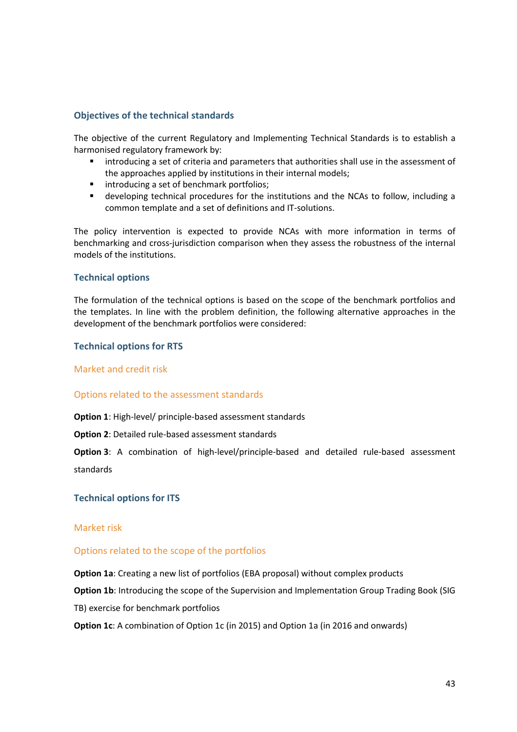#### **Objectives of the technical standards**

The objective of the current Regulatory and Implementing Technical Standards is to establish a harmonised regulatory framework by:

- introducing a set of criteria and parameters that authorities shall use in the assessment of the approaches applied by institutions in their internal models;
- **·** introducing a set of benchmark portfolios;
- developing technical procedures for the institutions and the NCAs to follow, including a common template and a set of definitions and IT-solutions.

The policy intervention is expected to provide NCAs with more information in terms of benchmarking and cross-jurisdiction comparison when they assess the robustness of the internal models of the institutions.

#### **Technical options**

The formulation of the technical options is based on the scope of the benchmark portfolios and the templates. In line with the problem definition, the following alternative approaches in the development of the benchmark portfolios were considered:

#### **Technical options for RTS**

Market and credit risk

#### Options related to the assessment standards

**Option 1**: High-level/ principle-based assessment standards

**Option 2**: Detailed rule-based assessment standards

**Option 3**: A combination of high-level/principle-based and detailed rule-based assessment standards

**Technical options for ITS**

#### Market risk

#### Options related to the scope of the portfolios

**Option 1a**: Creating a new list of portfolios (EBA proposal) without complex products

**Option 1b**: Introducing the scope of the Supervision and Implementation Group Trading Book (SIG

TB) exercise for benchmark portfolios

**Option 1c**: A combination of Option 1c (in 2015) and Option 1a (in 2016 and onwards)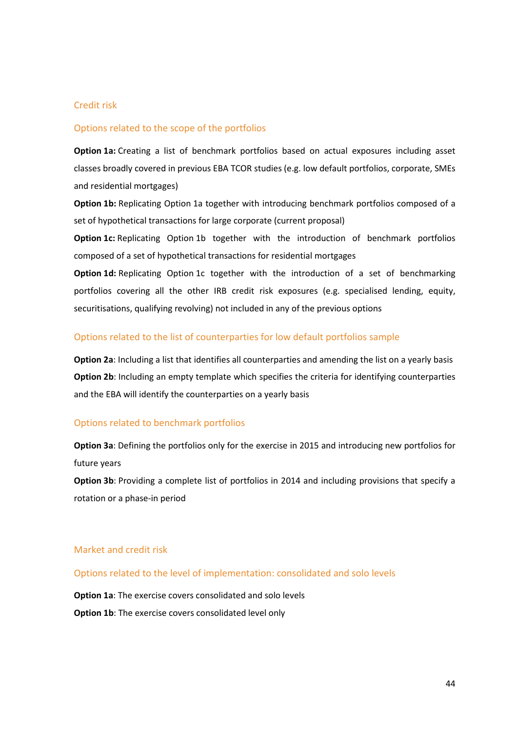#### Credit risk

#### Options related to the scope of the portfolios

**Option 1a:** Creating a list of benchmark portfolios based on actual exposures including asset classes broadly covered in previous EBA TCOR studies (e.g. low default portfolios, corporate, SMEs and residential mortgages)

**Option 1b:** Replicating Option 1a together with introducing benchmark portfolios composed of a set of hypothetical transactions for large corporate (current proposal)

**Option 1c:** Replicating Option 1b together with the introduction of benchmark portfolios composed of a set of hypothetical transactions for residential mortgages

**Option 1d:** Replicating Option 1c together with the introduction of a set of benchmarking portfolios covering all the other IRB credit risk exposures (e.g. specialised lending, equity, securitisations, qualifying revolving) not included in any of the previous options

#### Options related to the list of counterparties for low default portfolios sample

**Option 2a**: Including a list that identifies all counterparties and amending the list on a yearly basis **Option 2b**: Including an empty template which specifies the criteria for identifying counterparties and the EBA will identify the counterparties on a yearly basis

#### Options related to benchmark portfolios

**Option 3a**: Defining the portfolios only for the exercise in 2015 and introducing new portfolios for future years

**Option 3b**: Providing a complete list of portfolios in 2014 and including provisions that specify a rotation or a phase-in period

### Market and credit risk

Options related to the level of implementation: consolidated and solo levels

**Option 1a**: The exercise covers consolidated and solo levels **Option 1b**: The exercise covers consolidated level only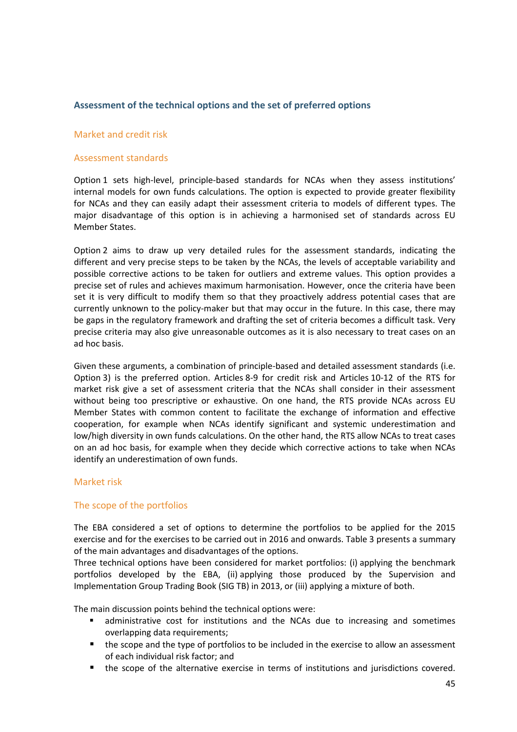#### **Assessment of the technical options and the set of preferred options**

#### Market and credit risk

#### Assessment standards

Option 1 sets high-level, principle-based standards for NCAs when they assess institutions' internal models for own funds calculations. The option is expected to provide greater flexibility for NCAs and they can easily adapt their assessment criteria to models of different types. The major disadvantage of this option is in achieving a harmonised set of standards across EU Member States.

Option 2 aims to draw up very detailed rules for the assessment standards, indicating the different and very precise steps to be taken by the NCAs, the levels of acceptable variability and possible corrective actions to be taken for outliers and extreme values. This option provides a precise set of rules and achieves maximum harmonisation. However, once the criteria have been set it is very difficult to modify them so that they proactively address potential cases that are currently unknown to the policy-maker but that may occur in the future. In this case, there may be gaps in the regulatory framework and drafting the set of criteria becomes a difficult task. Very precise criteria may also give unreasonable outcomes as it is also necessary to treat cases on an ad hoc basis.

Given these arguments, a combination of principle-based and detailed assessment standards (i.e. Option 3) is the preferred option. Articles 8-9 for credit risk and Articles 10-12 of the RTS for market risk give a set of assessment criteria that the NCAs shall consider in their assessment without being too prescriptive or exhaustive. On one hand, the RTS provide NCAs across EU Member States with common content to facilitate the exchange of information and effective cooperation, for example when NCAs identify significant and systemic underestimation and low/high diversity in own funds calculations. On the other hand, the RTS allow NCAs to treat cases on an ad hoc basis, for example when they decide which corrective actions to take when NCAs identify an underestimation of own funds.

#### Market risk

#### The scope of the portfolios

The EBA considered a set of options to determine the portfolios to be applied for the 2015 exercise and for the exercises to be carried out in 2016 and onwards. [Table](#page-45-0) 3 presents a summary of the main advantages and disadvantages of the options.

Three technical options have been considered for market portfolios: (i) applying the benchmark portfolios developed by the EBA, (ii) applying those produced by the Supervision and Implementation Group Trading Book (SIG TB) in 2013, or (iii) applying a mixture of both.

The main discussion points behind the technical options were:

- administrative cost for institutions and the NCAs due to increasing and sometimes overlapping data requirements;
- the scope and the type of portfolios to be included in the exercise to allow an assessment of each individual risk factor; and
- the scope of the alternative exercise in terms of institutions and jurisdictions covered.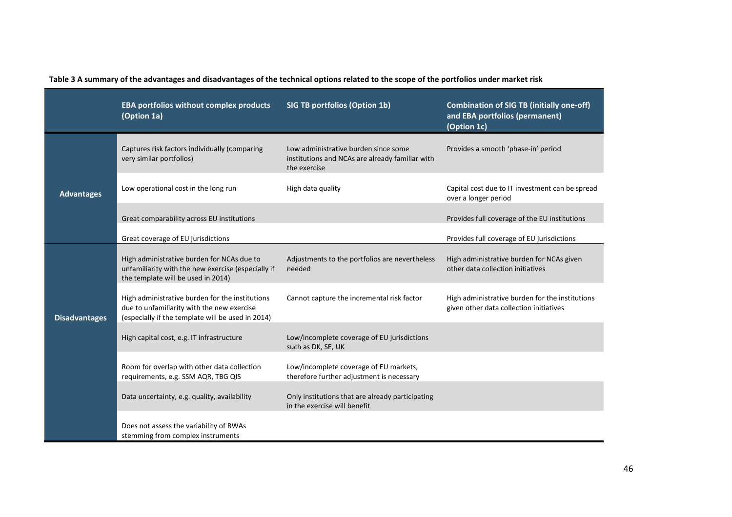<span id="page-45-0"></span>

|                      | <b>EBA portfolios without complex products</b><br>(Option 1a)                                                                                      | <b>SIG TB portfolios (Option 1b)</b>                                                                    | <b>Combination of SIG TB (initially one-off)</b><br>and EBA portfolios (permanent)<br>(Option 1c) |
|----------------------|----------------------------------------------------------------------------------------------------------------------------------------------------|---------------------------------------------------------------------------------------------------------|---------------------------------------------------------------------------------------------------|
|                      | Captures risk factors individually (comparing<br>very similar portfolios)                                                                          | Low administrative burden since some<br>institutions and NCAs are already familiar with<br>the exercise | Provides a smooth 'phase-in' period                                                               |
| <b>Advantages</b>    | Low operational cost in the long run                                                                                                               | High data quality                                                                                       | Capital cost due to IT investment can be spread<br>over a longer period                           |
|                      | Great comparability across EU institutions                                                                                                         |                                                                                                         | Provides full coverage of the EU institutions                                                     |
|                      | Great coverage of EU jurisdictions                                                                                                                 |                                                                                                         | Provides full coverage of EU jurisdictions                                                        |
|                      | High administrative burden for NCAs due to<br>unfamiliarity with the new exercise (especially if<br>the template will be used in 2014)             | Adjustments to the portfolios are nevertheless<br>needed                                                | High administrative burden for NCAs given<br>other data collection initiatives                    |
| <b>Disadvantages</b> | High administrative burden for the institutions<br>due to unfamiliarity with the new exercise<br>(especially if the template will be used in 2014) | Cannot capture the incremental risk factor                                                              | High administrative burden for the institutions<br>given other data collection initiatives        |
|                      | High capital cost, e.g. IT infrastructure                                                                                                          | Low/incomplete coverage of EU jurisdictions<br>such as DK, SE, UK                                       |                                                                                                   |
|                      | Room for overlap with other data collection<br>requirements, e.g. SSM AQR, TBG QIS                                                                 | Low/incomplete coverage of EU markets,<br>therefore further adjustment is necessary                     |                                                                                                   |
|                      | Data uncertainty, e.g. quality, availability                                                                                                       | Only institutions that are already participating<br>in the exercise will benefit                        |                                                                                                   |
|                      | Does not assess the variability of RWAs<br>stemming from complex instruments                                                                       |                                                                                                         |                                                                                                   |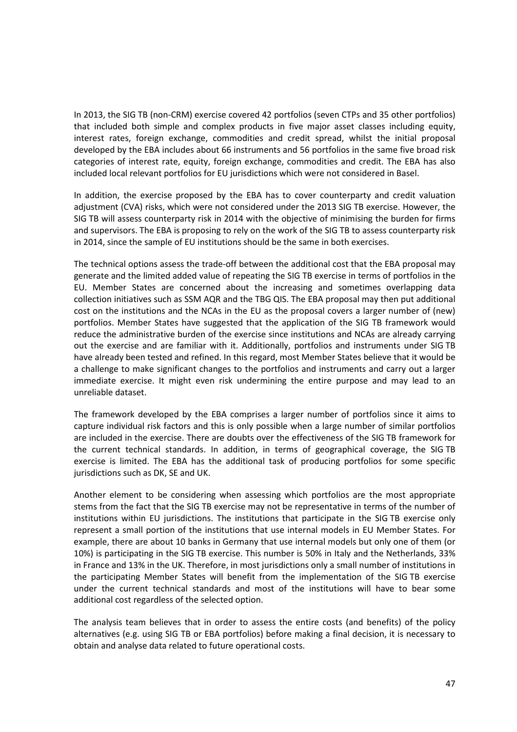In 2013, the SIG TB (non-CRM) exercise covered 42 portfolios (seven CTPs and 35 other portfolios) that included both simple and complex products in five major asset classes including equity, interest rates, foreign exchange, commodities and credit spread, whilst the initial proposal developed by the EBA includes about 66 instruments and 56 portfolios in the same five broad risk categories of interest rate, equity, foreign exchange, commodities and credit. The EBA has also included local relevant portfolios for EU jurisdictions which were not considered in Basel.

In addition, the exercise proposed by the EBA has to cover counterparty and credit valuation adjustment (CVA) risks, which were not considered under the 2013 SIG TB exercise. However, the SIG TB will assess counterparty risk in 2014 with the objective of minimising the burden for firms and supervisors. The EBA is proposing to rely on the work of the SIG TB to assess counterparty risk in 2014, since the sample of EU institutions should be the same in both exercises.

The technical options assess the trade-off between the additional cost that the EBA proposal may generate and the limited added value of repeating the SIG TB exercise in terms of portfolios in the EU. Member States are concerned about the increasing and sometimes overlapping data collection initiatives such as SSM AQR and the TBG QIS. The EBA proposal may then put additional cost on the institutions and the NCAs in the EU as the proposal covers a larger number of (new) portfolios. Member States have suggested that the application of the SIG TB framework would reduce the administrative burden of the exercise since institutions and NCAs are already carrying out the exercise and are familiar with it. Additionally, portfolios and instruments under SIG TB have already been tested and refined. In this regard, most Member States believe that it would be a challenge to make significant changes to the portfolios and instruments and carry out a larger immediate exercise. It might even risk undermining the entire purpose and may lead to an unreliable dataset.

The framework developed by the EBA comprises a larger number of portfolios since it aims to capture individual risk factors and this is only possible when a large number of similar portfolios are included in the exercise. There are doubts over the effectiveness of the SIG TB framework for the current technical standards. In addition, in terms of geographical coverage, the SIG TB exercise is limited. The EBA has the additional task of producing portfolios for some specific jurisdictions such as DK, SE and UK.

Another element to be considering when assessing which portfolios are the most appropriate stems from the fact that the SIG TB exercise may not be representative in terms of the number of institutions within EU jurisdictions. The institutions that participate in the SIG TB exercise only represent a small portion of the institutions that use internal models in EU Member States. For example, there are about 10 banks in Germany that use internal models but only one of them (or 10%) is participating in the SIG TB exercise. This number is 50% in Italy and the Netherlands, 33% in France and 13% in the UK. Therefore, in most jurisdictions only a small number of institutions in the participating Member States will benefit from the implementation of the SIG TB exercise under the current technical standards and most of the institutions will have to bear some additional cost regardless of the selected option.

The analysis team believes that in order to assess the entire costs (and benefits) of the policy alternatives (e.g. using SIG TB or EBA portfolios) before making a final decision, it is necessary to obtain and analyse data related to future operational costs.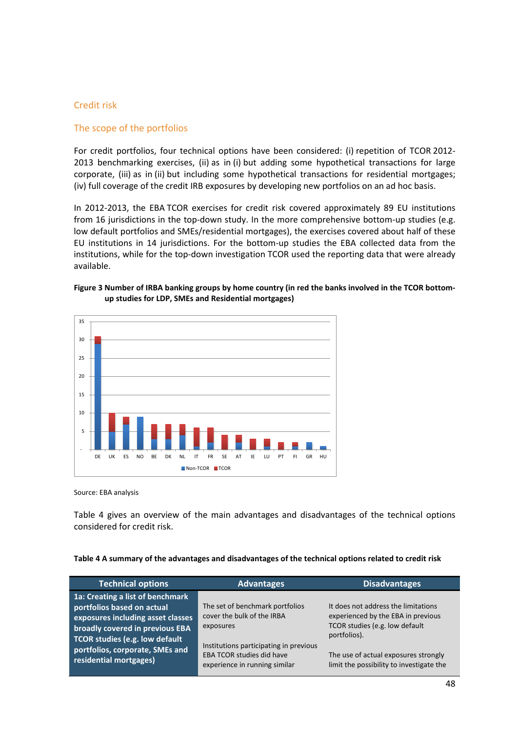#### Credit risk

#### The scope of the portfolios

For credit portfolios, four technical options have been considered: (i) repetition of TCOR 2012- 2013 benchmarking exercises, (ii) as in (i) but adding some hypothetical transactions for large corporate, (iii) as in (ii) but including some hypothetical transactions for residential mortgages; (iv) full coverage of the credit IRB exposures by developing new portfolios on an ad hoc basis.

In 2012-2013, the EBA TCOR exercises for credit risk covered approximately 89 EU institutions from 16 jurisdictions in the top-down study. In the more comprehensive bottom-up studies (e.g. low default portfolios and SMEs/residential mortgages), the exercises covered about half of these EU institutions in 14 jurisdictions. For the bottom-up studies the EBA collected data from the institutions, while for the top-down investigation TCOR used the reporting data that were already available.

#### **Figure 3 Number of IRBA banking groups by home country (in red the banks involved in the TCOR bottomup studies for LDP, SMEs and Residential mortgages)**



Source: EBA analysis

[Table 4](#page-47-0) gives an overview of the main advantages and disadvantages of the technical options considered for credit risk.

<span id="page-47-0"></span>

| Table 4 A summary of the advantages and disadvantages of the technical options related to credit risk |
|-------------------------------------------------------------------------------------------------------|
|                                                                                                       |

| <b>Technical options</b>                                                                                                                                                                                                                     | <b>Advantages</b>                                                                                                                                        | <b>Disadvantages</b>                                                                                                                                                |
|----------------------------------------------------------------------------------------------------------------------------------------------------------------------------------------------------------------------------------------------|----------------------------------------------------------------------------------------------------------------------------------------------------------|---------------------------------------------------------------------------------------------------------------------------------------------------------------------|
| 1a: Creating a list of benchmark<br>portfolios based on actual<br>exposures including asset classes<br>broadly covered in previous EBA<br><b>TCOR studies (e.g. low default</b><br>portfolios, corporate, SMEs and<br>residential mortgages) | The set of benchmark portfolios<br>cover the bulk of the IRBA<br>exposures<br>Institutions participating in previous<br><b>EBA TCOR studies did have</b> | It does not address the limitations<br>experienced by the EBA in previous<br>TCOR studies (e.g. low default<br>portfolios).<br>The use of actual exposures strongly |
|                                                                                                                                                                                                                                              | experience in running similar                                                                                                                            | limit the possibility to investigate the                                                                                                                            |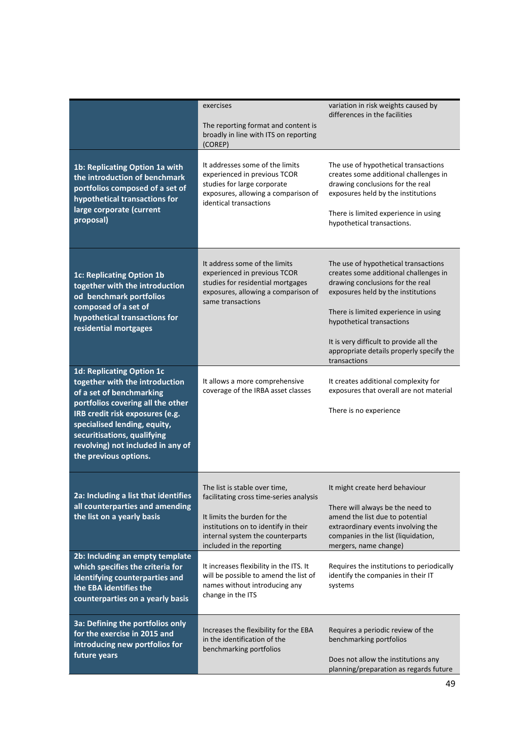|                                                                                                                                                                                                                                                                                                     | exercises<br>The reporting format and content is<br>broadly in line with ITS on reporting<br>(COREP)                                                                                                              | variation in risk weights caused by<br>differences in the facilities                                                                                                                                                                                                                                                                |
|-----------------------------------------------------------------------------------------------------------------------------------------------------------------------------------------------------------------------------------------------------------------------------------------------------|-------------------------------------------------------------------------------------------------------------------------------------------------------------------------------------------------------------------|-------------------------------------------------------------------------------------------------------------------------------------------------------------------------------------------------------------------------------------------------------------------------------------------------------------------------------------|
| 1b: Replicating Option 1a with<br>the introduction of benchmark<br>portfolios composed of a set of<br>hypothetical transactions for<br>large corporate (current<br>proposal)                                                                                                                        | It addresses some of the limits<br>experienced in previous TCOR<br>studies for large corporate<br>exposures, allowing a comparison of<br>identical transactions                                                   | The use of hypothetical transactions<br>creates some additional challenges in<br>drawing conclusions for the real<br>exposures held by the institutions<br>There is limited experience in using<br>hypothetical transactions.                                                                                                       |
| <b>1c: Replicating Option 1b</b><br>together with the introduction<br>od benchmark portfolios<br>composed of a set of<br>hypothetical transactions for<br>residential mortgages                                                                                                                     | It address some of the limits<br>experienced in previous TCOR<br>studies for residential mortgages<br>exposures, allowing a comparison of<br>same transactions                                                    | The use of hypothetical transactions<br>creates some additional challenges in<br>drawing conclusions for the real<br>exposures held by the institutions<br>There is limited experience in using<br>hypothetical transactions<br>It is very difficult to provide all the<br>appropriate details properly specify the<br>transactions |
| <b>1d: Replicating Option 1c</b><br>together with the introduction<br>of a set of benchmarking<br>portfolios covering all the other<br>IRB credit risk exposures (e.g.<br>specialised lending, equity,<br>securitisations, qualifying<br>revolving) not included in any of<br>the previous options. | It allows a more comprehensive<br>coverage of the IRBA asset classes                                                                                                                                              | It creates additional complexity for<br>exposures that overall are not material<br>There is no experience                                                                                                                                                                                                                           |
| 2a: Including a list that identifies<br>all counterparties and amending<br>the list on a yearly basis                                                                                                                                                                                               | The list is stable over time,<br>facilitating cross time-series analysis<br>It limits the burden for the<br>institutions on to identify in their<br>internal system the counterparts<br>included in the reporting | It might create herd behaviour<br>There will always be the need to<br>amend the list due to potential<br>extraordinary events involving the<br>companies in the list (liquidation,<br>mergers, name change)                                                                                                                         |
| 2b: Including an empty template<br>which specifies the criteria for<br>identifying counterparties and<br>the EBA identifies the<br>counterparties on a yearly basis                                                                                                                                 | It increases flexibility in the ITS. It<br>will be possible to amend the list of<br>names without introducing any<br>change in the ITS                                                                            | Requires the institutions to periodically<br>identify the companies in their IT<br>systems                                                                                                                                                                                                                                          |
| 3a: Defining the portfolios only<br>for the exercise in 2015 and<br>introducing new portfolios for<br>future years                                                                                                                                                                                  | Increases the flexibility for the EBA<br>in the identification of the<br>benchmarking portfolios                                                                                                                  | Requires a periodic review of the<br>benchmarking portfolios<br>Does not allow the institutions any<br>planning/preparation as regards future                                                                                                                                                                                       |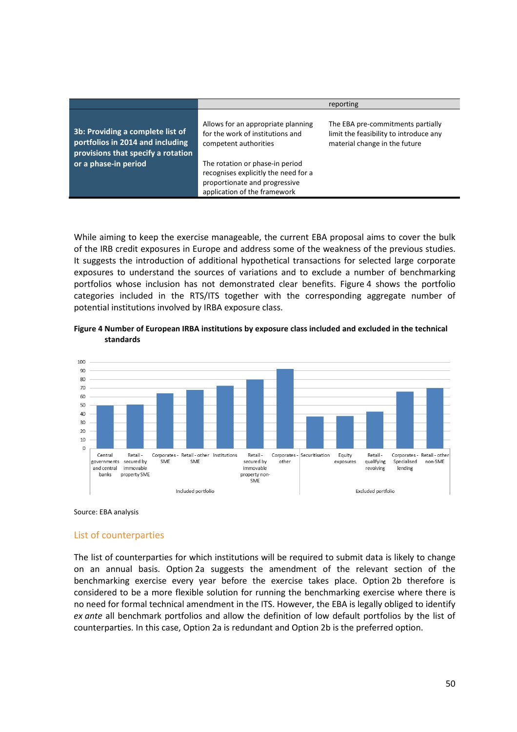|                                                                                                            |                                                                                                                                          | reporting                                                                                                    |
|------------------------------------------------------------------------------------------------------------|------------------------------------------------------------------------------------------------------------------------------------------|--------------------------------------------------------------------------------------------------------------|
| 3b: Providing a complete list of<br>portfolios in 2014 and including<br>provisions that specify a rotation | Allows for an appropriate planning<br>for the work of institutions and<br>competent authorities                                          | The EBA pre-commitments partially<br>limit the feasibility to introduce any<br>material change in the future |
| or a phase-in period                                                                                       | The rotation or phase-in period<br>recognises explicitly the need for a<br>proportionate and progressive<br>application of the framework |                                                                                                              |

While aiming to keep the exercise manageable, the current EBA proposal aims to cover the bulk of the IRB credit exposures in Europe and address some of the weakness of the previous studies. It suggests the introduction of additional hypothetical transactions for selected large corporate exposures to understand the sources of variations and to exclude a number of benchmarking portfolios whose inclusion has not demonstrated clear benefits. [Figure](#page-49-0) 4 shows the portfolio categories included in the RTS/ITS together with the corresponding aggregate number of potential institutions involved by IRBA exposure class.

#### <span id="page-49-0"></span>**Figure 4 Number of European IRBA institutions by exposure class included and excluded in the technical standards**



Source: EBA analysis

#### List of counterparties

The list of counterparties for which institutions will be required to submit data is likely to change on an annual basis. Option 2a suggests the amendment of the relevant section of the benchmarking exercise every year before the exercise takes place. Option 2b therefore is considered to be a more flexible solution for running the benchmarking exercise where there is no need for formal technical amendment in the ITS. However, the EBA is legally obliged to identify *ex ante* all benchmark portfolios and allow the definition of low default portfolios by the list of counterparties. In this case, Option 2a is redundant and Option 2b is the preferred option.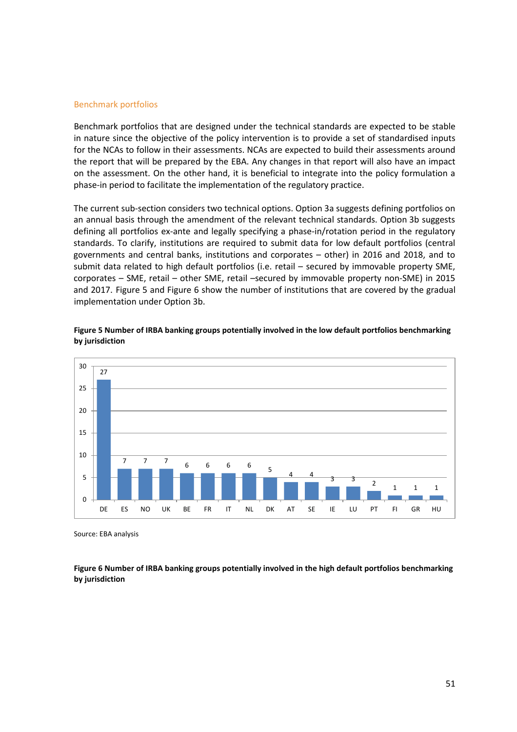#### Benchmark portfolios

Benchmark portfolios that are designed under the technical standards are expected to be stable in nature since the objective of the policy intervention is to provide a set of standardised inputs for the NCAs to follow in their assessments. NCAs are expected to build their assessments around the report that will be prepared by the EBA. Any changes in that report will also have an impact on the assessment. On the other hand, it is beneficial to integrate into the policy formulation a phase-in period to facilitate the implementation of the regulatory practice.

The current sub-section considers two technical options. Option 3a suggests defining portfolios on an annual basis through the amendment of the relevant technical standards. Option 3b suggests defining all portfolios ex-ante and legally specifying a phase-in/rotation period in the regulatory standards. To clarify, institutions are required to submit data for low default portfolios (central governments and central banks, institutions and corporates – other) in 2016 and 2018, and to submit data related to high default portfolios (i.e. retail – secured by immovable property SME, corporates – SME, retail – other SME, retail –secured by immovable property non-SME) in 2015 and 2017. [Figure](#page-50-0) 5 and [Figure](#page-50-1) 6 show the number of institutions that are covered by the gradual implementation under Option 3b.



<span id="page-50-0"></span>**Figure 5 Number of IRBA banking groups potentially involved in the low default portfolios benchmarking by jurisdiction**

Source: EBA analysis

<span id="page-50-1"></span>**Figure 6 Number of IRBA banking groups potentially involved in the high default portfolios benchmarking by jurisdiction**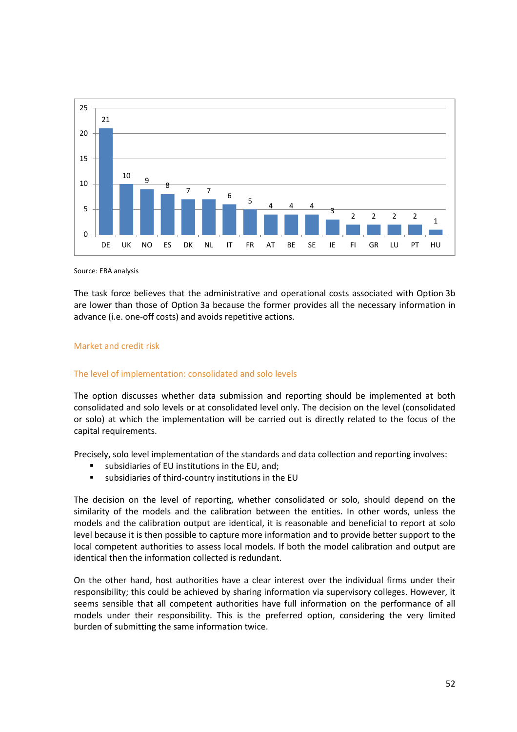

Source: EBA analysis

The task force believes that the administrative and operational costs associated with Option 3b are lower than those of Option 3a because the former provides all the necessary information in advance (i.e. one-off costs) and avoids repetitive actions.

#### Market and credit risk

#### The level of implementation: consolidated and solo levels

The option discusses whether data submission and reporting should be implemented at both consolidated and solo levels or at consolidated level only. The decision on the level (consolidated or solo) at which the implementation will be carried out is directly related to the focus of the capital requirements.

Precisely, solo level implementation of the standards and data collection and reporting involves:

- subsidiaries of EU institutions in the EU, and;
- subsidiaries of third-country institutions in the EU

The decision on the level of reporting, whether consolidated or solo, should depend on the similarity of the models and the calibration between the entities. In other words, unless the models and the calibration output are identical, it is reasonable and beneficial to report at solo level because it is then possible to capture more information and to provide better support to the local competent authorities to assess local models. If both the model calibration and output are identical then the information collected is redundant.

On the other hand, host authorities have a clear interest over the individual firms under their responsibility; this could be achieved by sharing information via supervisory colleges. However, it seems sensible that all competent authorities have full information on the performance of all models under their responsibility. This is the preferred option, considering the very limited burden of submitting the same information twice.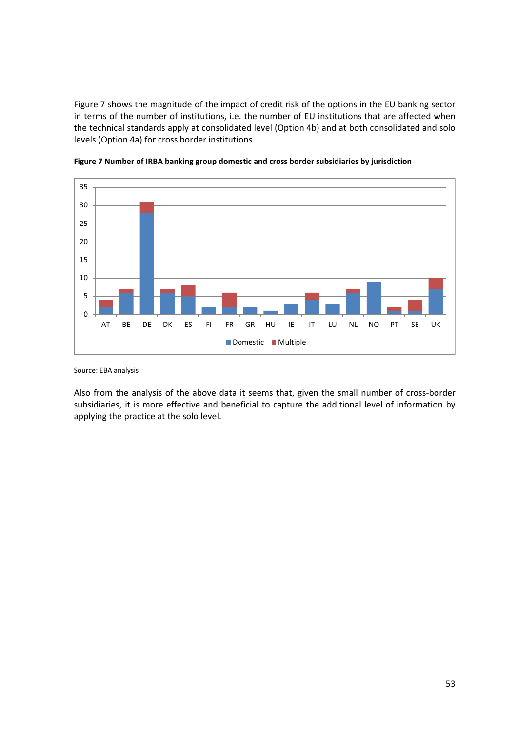[Figure](#page-52-0) 7 shows the magnitude of the impact of credit risk of the options in the EU banking sector in terms of the number of institutions, i.e. the number of EU institutions that are affected when the technical standards apply at consolidated level (Option 4b) and at both consolidated and solo levels (Option 4a) for cross border institutions.



<span id="page-52-0"></span>

Source: EBA analysis

Also from the analysis of the above data it seems that, given the small number of cross-border subsidiaries, it is more effective and beneficial to capture the additional level of information by applying the practice at the solo level.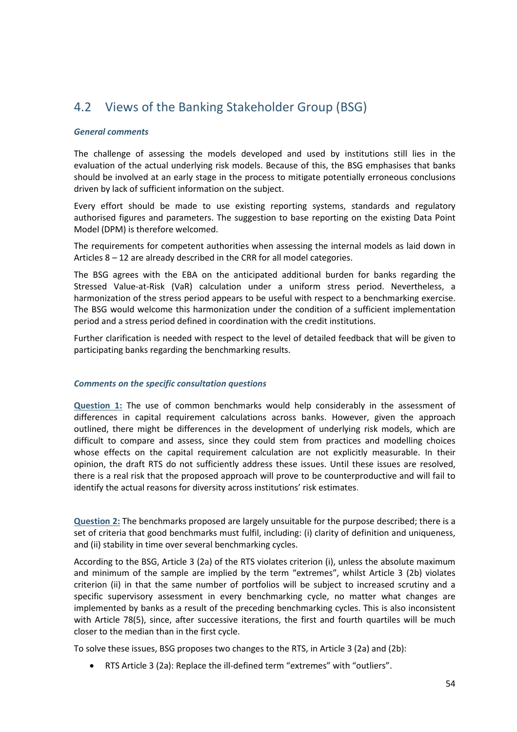## 4.2 Views of the Banking Stakeholder Group (BSG)

#### *General comments*

The challenge of assessing the models developed and used by institutions still lies in the evaluation of the actual underlying risk models. Because of this, the BSG emphasises that banks should be involved at an early stage in the process to mitigate potentially erroneous conclusions driven by lack of sufficient information on the subject.

Every effort should be made to use existing reporting systems, standards and regulatory authorised figures and parameters. The suggestion to base reporting on the existing Data Point Model (DPM) is therefore welcomed.

The requirements for competent authorities when assessing the internal models as laid down in Articles 8 – 12 are already described in the CRR for all model categories.

The BSG agrees with the EBA on the anticipated additional burden for banks regarding the Stressed Value-at-Risk (VaR) calculation under a uniform stress period. Nevertheless, a harmonization of the stress period appears to be useful with respect to a benchmarking exercise. The BSG would welcome this harmonization under the condition of a sufficient implementation period and a stress period defined in coordination with the credit institutions.

Further clarification is needed with respect to the level of detailed feedback that will be given to participating banks regarding the benchmarking results.

#### *Comments on the specific consultation questions*

**Question 1:** The use of common benchmarks would help considerably in the assessment of differences in capital requirement calculations across banks. However, given the approach outlined, there might be differences in the development of underlying risk models, which are difficult to compare and assess, since they could stem from practices and modelling choices whose effects on the capital requirement calculation are not explicitly measurable. In their opinion, the draft RTS do not sufficiently address these issues. Until these issues are resolved, there is a real risk that the proposed approach will prove to be counterproductive and will fail to identify the actual reasons for diversity across institutions' risk estimates.

**Question 2:** The benchmarks proposed are largely unsuitable for the purpose described; there is a set of criteria that good benchmarks must fulfil, including: (i) clarity of definition and uniqueness, and (ii) stability in time over several benchmarking cycles.

According to the BSG, Article 3 (2a) of the RTS violates criterion (i), unless the absolute maximum and minimum of the sample are implied by the term "extremes", whilst Article 3 (2b) violates criterion (ii) in that the same number of portfolios will be subject to increased scrutiny and a specific supervisory assessment in every benchmarking cycle, no matter what changes are implemented by banks as a result of the preceding benchmarking cycles. This is also inconsistent with Article 78(5), since, after successive iterations, the first and fourth quartiles will be much closer to the median than in the first cycle.

To solve these issues, BSG proposes two changes to the RTS, in Article 3 (2a) and (2b):

• RTS Article 3 (2a): Replace the ill-defined term "extremes" with "outliers".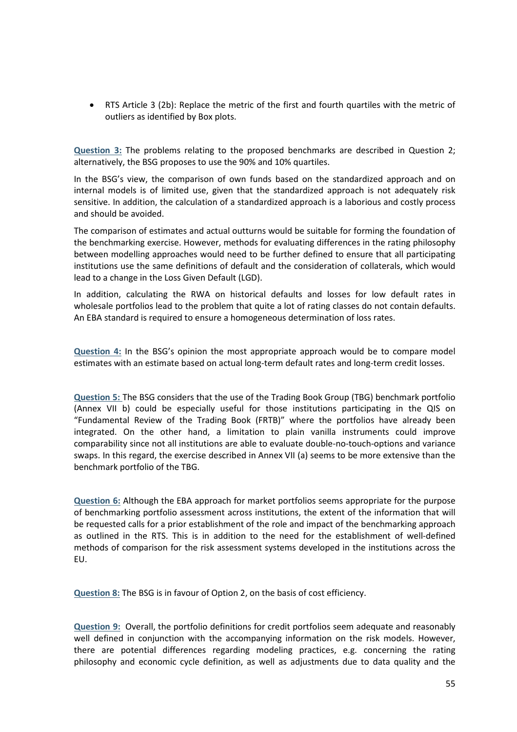• RTS Article 3 (2b): Replace the metric of the first and fourth quartiles with the metric of outliers as identified by Box plots.

**Question 3:** The problems relating to the proposed benchmarks are described in Question 2; alternatively, the BSG proposes to use the 90% and 10% quartiles.

In the BSG's view, the comparison of own funds based on the standardized approach and on internal models is of limited use, given that the standardized approach is not adequately risk sensitive. In addition, the calculation of a standardized approach is a laborious and costly process and should be avoided.

The comparison of estimates and actual outturns would be suitable for forming the foundation of the benchmarking exercise. However, methods for evaluating differences in the rating philosophy between modelling approaches would need to be further defined to ensure that all participating institutions use the same definitions of default and the consideration of collaterals, which would lead to a change in the Loss Given Default (LGD).

In addition, calculating the RWA on historical defaults and losses for low default rates in wholesale portfolios lead to the problem that quite a lot of rating classes do not contain defaults. An EBA standard is required to ensure a homogeneous determination of loss rates.

**Question 4:** In the BSG's opinion the most appropriate approach would be to compare model estimates with an estimate based on actual long-term default rates and long-term credit losses.

**Question 5:** The BSG considers that the use of the Trading Book Group (TBG) benchmark portfolio (Annex VII b) could be especially useful for those institutions participating in the QIS on "Fundamental Review of the Trading Book (FRTB)" where the portfolios have already been integrated. On the other hand, a limitation to plain vanilla instruments could improve comparability since not all institutions are able to evaluate double-no-touch-options and variance swaps. In this regard, the exercise described in Annex VII (a) seems to be more extensive than the benchmark portfolio of the TBG.

**Question 6:** Although the EBA approach for market portfolios seems appropriate for the purpose of benchmarking portfolio assessment across institutions, the extent of the information that will be requested calls for a prior establishment of the role and impact of the benchmarking approach as outlined in the RTS. This is in addition to the need for the establishment of well-defined methods of comparison for the risk assessment systems developed in the institutions across the EU.

**Question 8:** The BSG is in favour of Option 2, on the basis of cost efficiency.

**Question 9:** Overall, the portfolio definitions for credit portfolios seem adequate and reasonably well defined in conjunction with the accompanying information on the risk models. However, there are potential differences regarding modeling practices, e.g. concerning the rating philosophy and economic cycle definition, as well as adjustments due to data quality and the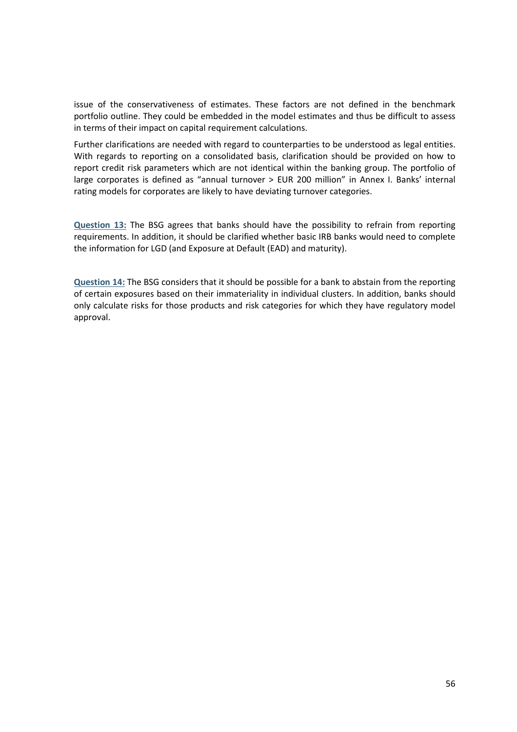issue of the conservativeness of estimates. These factors are not defined in the benchmark portfolio outline. They could be embedded in the model estimates and thus be difficult to assess in terms of their impact on capital requirement calculations.

Further clarifications are needed with regard to counterparties to be understood as legal entities. With regards to reporting on a consolidated basis, clarification should be provided on how to report credit risk parameters which are not identical within the banking group. The portfolio of large corporates is defined as "annual turnover > EUR 200 million" in Annex I. Banks' internal rating models for corporates are likely to have deviating turnover categories.

**Question 13:** The BSG agrees that banks should have the possibility to refrain from reporting requirements. In addition, it should be clarified whether basic IRB banks would need to complete the information for LGD (and Exposure at Default (EAD) and maturity).

**Question 14:** The BSG considers that it should be possible for a bank to abstain from the reporting of certain exposures based on their immateriality in individual clusters. In addition, banks should only calculate risks for those products and risk categories for which they have regulatory model approval.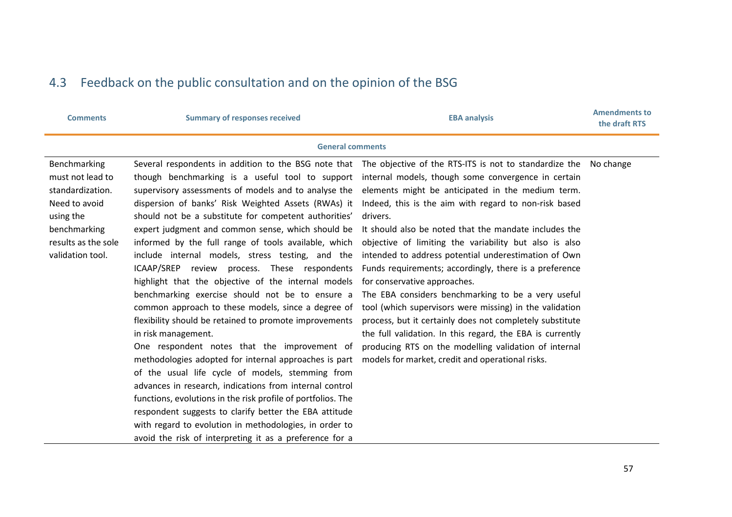## 4.3 Feedback on the public consultation and on the opinion of the BSG

| <b>Comments</b>                                                                                                                               | <b>Summary of responses received</b>                                                                                                                                                                                                                                                                                                                                                                                                                                                                                                                                                                                                                                                                                                                                                                                                                                                                                                                                                                                                                                                                                                                                | <b>EBA analysis</b>                                                                                                                                                                                                                                                                                                                                                                                                                                                                                                                                                                                                                                                                                                                                                                                                                                                                                                                | <b>Amendments to</b><br>the draft RTS |  |  |  |  |  |
|-----------------------------------------------------------------------------------------------------------------------------------------------|---------------------------------------------------------------------------------------------------------------------------------------------------------------------------------------------------------------------------------------------------------------------------------------------------------------------------------------------------------------------------------------------------------------------------------------------------------------------------------------------------------------------------------------------------------------------------------------------------------------------------------------------------------------------------------------------------------------------------------------------------------------------------------------------------------------------------------------------------------------------------------------------------------------------------------------------------------------------------------------------------------------------------------------------------------------------------------------------------------------------------------------------------------------------|------------------------------------------------------------------------------------------------------------------------------------------------------------------------------------------------------------------------------------------------------------------------------------------------------------------------------------------------------------------------------------------------------------------------------------------------------------------------------------------------------------------------------------------------------------------------------------------------------------------------------------------------------------------------------------------------------------------------------------------------------------------------------------------------------------------------------------------------------------------------------------------------------------------------------------|---------------------------------------|--|--|--|--|--|
| <b>General comments</b>                                                                                                                       |                                                                                                                                                                                                                                                                                                                                                                                                                                                                                                                                                                                                                                                                                                                                                                                                                                                                                                                                                                                                                                                                                                                                                                     |                                                                                                                                                                                                                                                                                                                                                                                                                                                                                                                                                                                                                                                                                                                                                                                                                                                                                                                                    |                                       |  |  |  |  |  |
| Benchmarking<br>must not lead to<br>standardization.<br>Need to avoid<br>using the<br>benchmarking<br>results as the sole<br>validation tool. | though benchmarking is a useful tool to support<br>supervisory assessments of models and to analyse the<br>dispersion of banks' Risk Weighted Assets (RWAs) it<br>should not be a substitute for competent authorities'<br>expert judgment and common sense, which should be<br>informed by the full range of tools available, which<br>include internal models, stress testing, and the<br>ICAAP/SREP<br>review process. These respondents<br>highlight that the objective of the internal models<br>benchmarking exercise should not be to ensure a<br>common approach to these models, since a degree of<br>flexibility should be retained to promote improvements<br>in risk management.<br>One respondent notes that the improvement of<br>methodologies adopted for internal approaches is part<br>of the usual life cycle of models, stemming from<br>advances in research, indications from internal control<br>functions, evolutions in the risk profile of portfolios. The<br>respondent suggests to clarify better the EBA attitude<br>with regard to evolution in methodologies, in order to<br>avoid the risk of interpreting it as a preference for a | Several respondents in addition to the BSG note that The objective of the RTS-ITS is not to standardize the No change<br>internal models, though some convergence in certain<br>elements might be anticipated in the medium term.<br>Indeed, this is the aim with regard to non-risk based<br>drivers.<br>It should also be noted that the mandate includes the<br>objective of limiting the variability but also is also<br>intended to address potential underestimation of Own<br>Funds requirements; accordingly, there is a preference<br>for conservative approaches.<br>The EBA considers benchmarking to be a very useful<br>tool (which supervisors were missing) in the validation<br>process, but it certainly does not completely substitute<br>the full validation. In this regard, the EBA is currently<br>producing RTS on the modelling validation of internal<br>models for market, credit and operational risks. |                                       |  |  |  |  |  |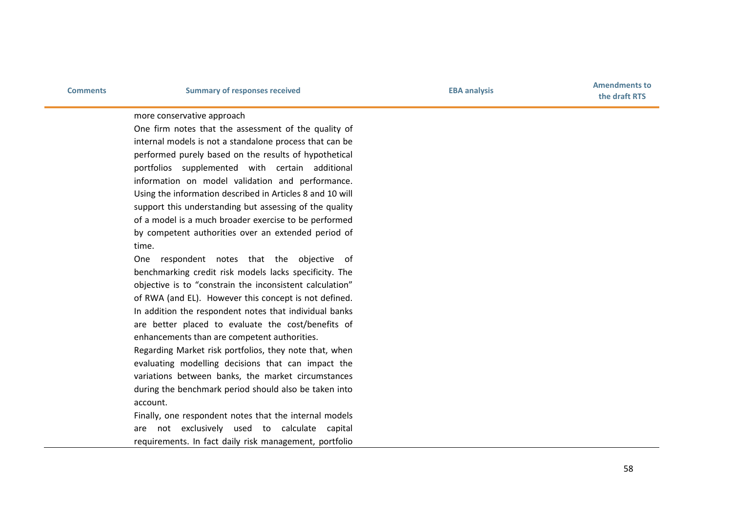**the draft RTS**

#### more conservative approach

One firm notes that the assessment of the quality of internal models is not a standalone process that can be performed purely based on the results of hypothetical portfolios supplemented with certain additional information on model validation and performance. Using the information described in Articles 8 and 10 will support this understanding but assessing of the quality of a model is a much broader exercise to be performed by competent authorities over an extended period of time.

One respondent notes that the objective of benchmarking credit risk models lacks specificity. The objective is to "constrain the inconsistent calculation" of RWA (and EL). However this concept is not defined. In addition the respondent notes that individual banks are better placed to evaluate the cost/benefits of enhancements than are competent authorities.

Regarding Market risk portfolios, they note that, when evaluating modelling decisions that can impact the variations between banks, the market circumstances during the benchmark period should also be taken into account.

Finally, one respondent notes that the internal models are not exclusively used to calculate capital requirements. In fact daily risk management, portfolio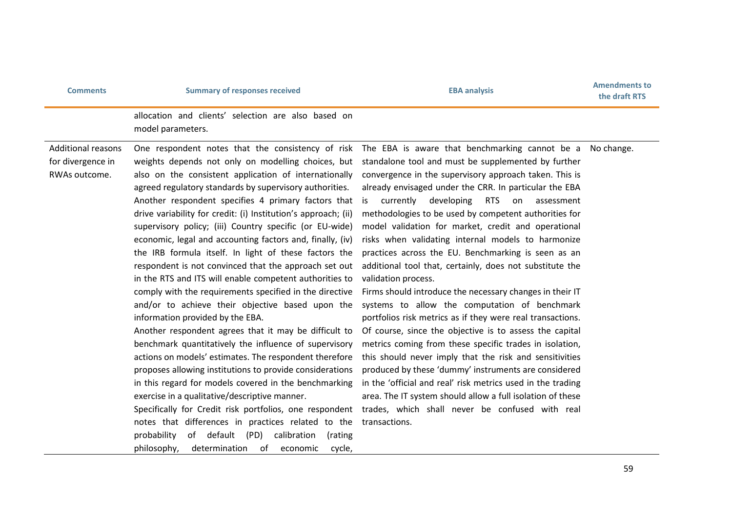## **Comments EBA analysis Comments EBA Amendments Comments EBA Amendments EBA Amendments Comments EBA Amendments Comments Comments Comments Comments Comments Comments Comments Comments**

**the draft RTS**

allocation and clients' selection are also based on model parameters.

Additional reasons for divergence in RWAs outcome.

weights depends not only on modelling choices, but also on the consistent application of internationally agreed regulatory standards by supervisory authorities. Another respondent specifies 4 primary factors that drive variability for credit: (i) Institution's approach; (ii) supervisory policy; (iii) Country specific (or EU-wide) economic, legal and accounting factors and, finally, (iv) the IRB formula itself. In light of these factors the respondent is not convinced that the approach set out in the RTS and ITS will enable competent authorities to comply with the requirements specified in the directive and/or to achieve their objective based upon the information provided by the EBA.

Another respondent agrees that it may be difficult to benchmark quantitatively the influence of supervisory actions on models' estimates. The respondent therefore proposes allowing institutions to provide considerations in this regard for models covered in the benchmarking exercise in a qualitative/descriptive manner.

Specifically for Credit risk portfolios, one respondent notes that differences in practices related to the probability of default (PD) calibration (rating philosophy, determination of economic cycle,

One respondent notes that the consistency of risk The EBA is aware that benchmarking cannot be a Nochange. standalone tool and must be supplemented by further convergence in the supervisory approach taken. This is already envisaged under the CRR. In particular the EBA is currently developing RTS on assessment methodologies to be used by competent authorities for model validation for market, credit and operational risks when validating internal models to harmonize practices across the EU. Benchmarking is seen as an additional tool that, certainly, does not substitute the validation process.

> Firms should introduce the necessary changes in their IT systems to allow the computation of benchmark portfolios risk metrics as if they were real transactions. Of course, since the objective is to assess the capital metrics coming from these specific trades in isolation, this should never imply that the risk and sensitivities produced by these 'dummy' instruments are considered in the 'official and real' risk metrics used in the trading area. The IT system should allow a full isolation of these trades, which shall never be confused with real transactions.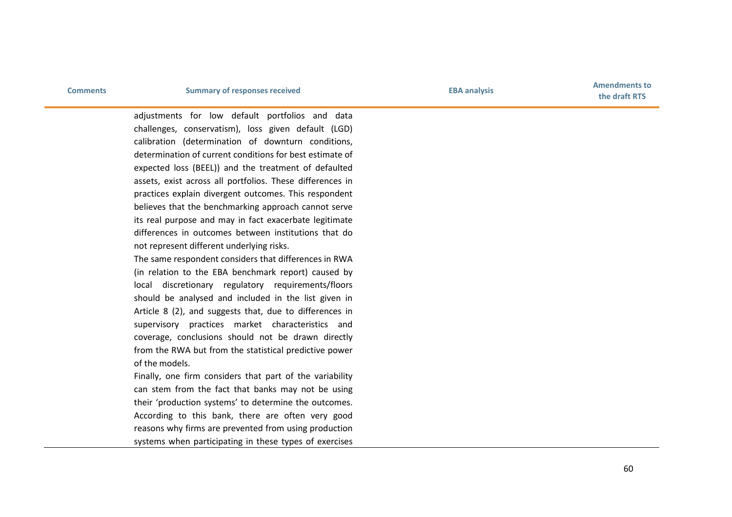**Comments EBA analysis Comments EBA Amendments Comments EBA Amendments EBA Amendments Comments EBA Amendments Comments Comments Comments Comments Comments Comments Comments Comments the draft RTS**

> adjustments for low default portfolios and data challenges, conservatism), loss given default (LGD) calibration (determination of downturn conditions, determination of current conditions for best estimate of expected loss (BEEL)) and the treatment of defaulted assets, exist across all portfolios. These differences in practices explain divergent outcomes. This respondent believes that the benchmarking approach cannot serve its real purpose and may in fact exacerbate legitimate differences in outcomes between institutions that do not represent different underlying risks.

The same respondent considers that differences in RWA (in relation to the EBA benchmark report) caused by local discretionary regulatory requirements/floors should be analysed and included in the list given in Article 8 (2), and suggests that, due to differences in supervisory practices market characteristics and coverage, conclusions should not be drawn directly from the RWA but from the statistical predictive power of the models.

Finally, one firm considers that part of the variability can stem from the fact that banks may not be using their 'production systems' to determine the outcomes. According to this bank, there are often very good reasons why firms are prevented from using production systems when participating in these types of exercises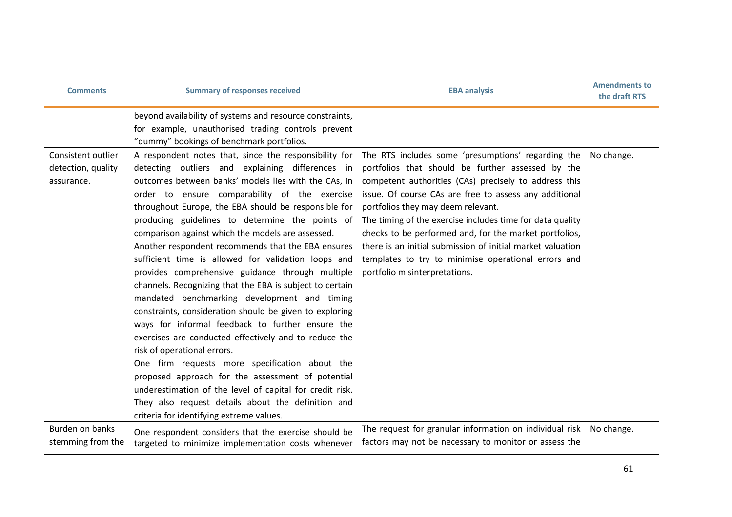| <b>Comments</b>                                        | <b>Summary of responses received</b>                                                                                                                                                                                                                                                                                                                                                                                                                                                                                                                                                                                                                                                                                                                                                                                                                                                                                                                                                                                                                                                                                                        | <b>EBA analysis</b>                                                                                                                                                                                                                                                                                                                                                                                                                                                                                                                           | <b>Amendments to</b><br>the draft RTS |
|--------------------------------------------------------|---------------------------------------------------------------------------------------------------------------------------------------------------------------------------------------------------------------------------------------------------------------------------------------------------------------------------------------------------------------------------------------------------------------------------------------------------------------------------------------------------------------------------------------------------------------------------------------------------------------------------------------------------------------------------------------------------------------------------------------------------------------------------------------------------------------------------------------------------------------------------------------------------------------------------------------------------------------------------------------------------------------------------------------------------------------------------------------------------------------------------------------------|-----------------------------------------------------------------------------------------------------------------------------------------------------------------------------------------------------------------------------------------------------------------------------------------------------------------------------------------------------------------------------------------------------------------------------------------------------------------------------------------------------------------------------------------------|---------------------------------------|
|                                                        | beyond availability of systems and resource constraints,<br>for example, unauthorised trading controls prevent<br>"dummy" bookings of benchmark portfolios.                                                                                                                                                                                                                                                                                                                                                                                                                                                                                                                                                                                                                                                                                                                                                                                                                                                                                                                                                                                 |                                                                                                                                                                                                                                                                                                                                                                                                                                                                                                                                               |                                       |
| Consistent outlier<br>detection, quality<br>assurance. | A respondent notes that, since the responsibility for<br>detecting outliers and explaining differences in<br>outcomes between banks' models lies with the CAs, in<br>order to ensure comparability of the exercise<br>throughout Europe, the EBA should be responsible for<br>producing guidelines to determine the points of<br>comparison against which the models are assessed.<br>Another respondent recommends that the EBA ensures<br>sufficient time is allowed for validation loops and<br>provides comprehensive guidance through multiple<br>channels. Recognizing that the EBA is subject to certain<br>mandated benchmarking development and timing<br>constraints, consideration should be given to exploring<br>ways for informal feedback to further ensure the<br>exercises are conducted effectively and to reduce the<br>risk of operational errors.<br>One firm requests more specification about the<br>proposed approach for the assessment of potential<br>underestimation of the level of capital for credit risk.<br>They also request details about the definition and<br>criteria for identifying extreme values. | The RTS includes some 'presumptions' regarding the<br>portfolios that should be further assessed by the<br>competent authorities (CAs) precisely to address this<br>issue. Of course CAs are free to assess any additional<br>portfolios they may deem relevant.<br>The timing of the exercise includes time for data quality<br>checks to be performed and, for the market portfolios,<br>there is an initial submission of initial market valuation<br>templates to try to minimise operational errors and<br>portfolio misinterpretations. | No change.                            |
| Burden on banks<br>stemming from the                   | One respondent considers that the exercise should be<br>targeted to minimize implementation costs whenever                                                                                                                                                                                                                                                                                                                                                                                                                                                                                                                                                                                                                                                                                                                                                                                                                                                                                                                                                                                                                                  | The request for granular information on individual risk No change.<br>factors may not be necessary to monitor or assess the                                                                                                                                                                                                                                                                                                                                                                                                                   |                                       |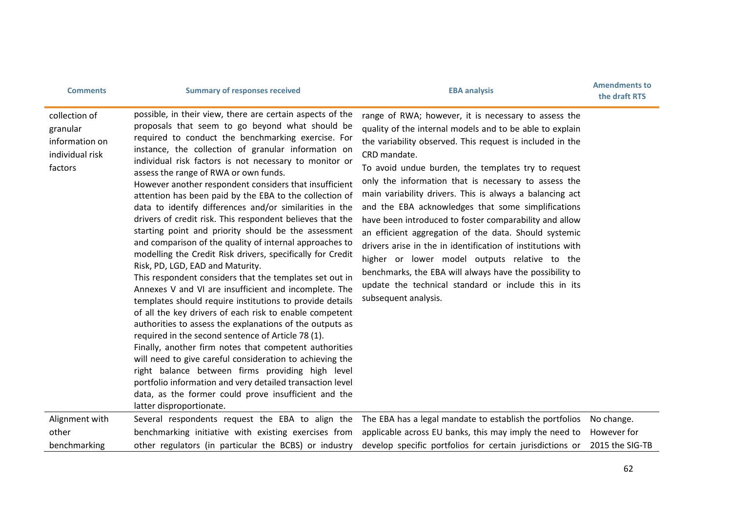| <b>Comments</b>                                                           | <b>Summary of responses received</b>                                                                                                                                                                                                                                                                                                                                                                                                                                                                                                                                                                                                                                                                                                                                                                                                                                                                                                                                                                                                                                                                                                                                                                                                                                                                                                                                                                                                                                                   | <b>EBA analysis</b>                                                                                                                                                                                                                                                                                                                                                                                                                                                                                                                                                                                                                                                                                                                                                                                          | <b>Amendments to</b><br>the draft RTS        |
|---------------------------------------------------------------------------|----------------------------------------------------------------------------------------------------------------------------------------------------------------------------------------------------------------------------------------------------------------------------------------------------------------------------------------------------------------------------------------------------------------------------------------------------------------------------------------------------------------------------------------------------------------------------------------------------------------------------------------------------------------------------------------------------------------------------------------------------------------------------------------------------------------------------------------------------------------------------------------------------------------------------------------------------------------------------------------------------------------------------------------------------------------------------------------------------------------------------------------------------------------------------------------------------------------------------------------------------------------------------------------------------------------------------------------------------------------------------------------------------------------------------------------------------------------------------------------|--------------------------------------------------------------------------------------------------------------------------------------------------------------------------------------------------------------------------------------------------------------------------------------------------------------------------------------------------------------------------------------------------------------------------------------------------------------------------------------------------------------------------------------------------------------------------------------------------------------------------------------------------------------------------------------------------------------------------------------------------------------------------------------------------------------|----------------------------------------------|
| collection of<br>granular<br>information on<br>individual risk<br>factors | possible, in their view, there are certain aspects of the<br>proposals that seem to go beyond what should be<br>required to conduct the benchmarking exercise. For<br>instance, the collection of granular information on<br>individual risk factors is not necessary to monitor or<br>assess the range of RWA or own funds.<br>However another respondent considers that insufficient<br>attention has been paid by the EBA to the collection of<br>data to identify differences and/or similarities in the<br>drivers of credit risk. This respondent believes that the<br>starting point and priority should be the assessment<br>and comparison of the quality of internal approaches to<br>modelling the Credit Risk drivers, specifically for Credit<br>Risk, PD, LGD, EAD and Maturity.<br>This respondent considers that the templates set out in<br>Annexes V and VI are insufficient and incomplete. The<br>templates should require institutions to provide details<br>of all the key drivers of each risk to enable competent<br>authorities to assess the explanations of the outputs as<br>required in the second sentence of Article 78 (1).<br>Finally, another firm notes that competent authorities<br>will need to give careful consideration to achieving the<br>right balance between firms providing high level<br>portfolio information and very detailed transaction level<br>data, as the former could prove insufficient and the<br>latter disproportionate. | range of RWA; however, it is necessary to assess the<br>quality of the internal models and to be able to explain<br>the variability observed. This request is included in the<br>CRD mandate.<br>To avoid undue burden, the templates try to request<br>only the information that is necessary to assess the<br>main variability drivers. This is always a balancing act<br>and the EBA acknowledges that some simplifications<br>have been introduced to foster comparability and allow<br>an efficient aggregation of the data. Should systemic<br>drivers arise in the in identification of institutions with<br>higher or lower model outputs relative to the<br>benchmarks, the EBA will always have the possibility to<br>update the technical standard or include this in its<br>subsequent analysis. |                                              |
| Alignment with<br>other<br>benchmarking                                   | benchmarking initiative with existing exercises from<br>other regulators (in particular the BCBS) or industry                                                                                                                                                                                                                                                                                                                                                                                                                                                                                                                                                                                                                                                                                                                                                                                                                                                                                                                                                                                                                                                                                                                                                                                                                                                                                                                                                                          | Several respondents request the EBA to align the The EBA has a legal mandate to establish the portfolios<br>applicable across EU banks, this may imply the need to<br>develop specific portfolios for certain jurisdictions or                                                                                                                                                                                                                                                                                                                                                                                                                                                                                                                                                                               | No change.<br>However for<br>2015 the SIG-TB |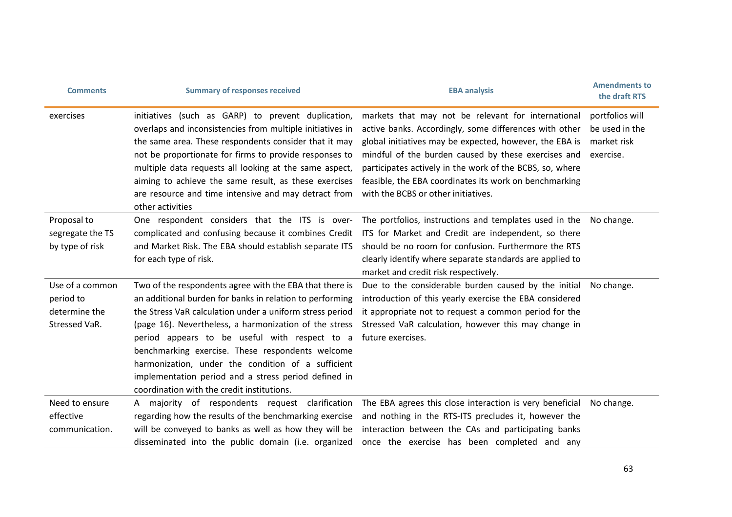| <b>Comments</b>                                                | <b>Summary of responses received</b>                                                                                                                                                                                                                                                                                                                                                                                                                                                                       | <b>EBA analysis</b>                                                                                                                                                                                                                                                                                                                                                                         | <b>Amendments to</b><br>the draft RTS                         |
|----------------------------------------------------------------|------------------------------------------------------------------------------------------------------------------------------------------------------------------------------------------------------------------------------------------------------------------------------------------------------------------------------------------------------------------------------------------------------------------------------------------------------------------------------------------------------------|---------------------------------------------------------------------------------------------------------------------------------------------------------------------------------------------------------------------------------------------------------------------------------------------------------------------------------------------------------------------------------------------|---------------------------------------------------------------|
| exercises                                                      | initiatives (such as GARP) to prevent duplication,<br>overlaps and inconsistencies from multiple initiatives in<br>the same area. These respondents consider that it may<br>not be proportionate for firms to provide responses to<br>multiple data requests all looking at the same aspect,<br>aiming to achieve the same result, as these exercises<br>are resource and time intensive and may detract from<br>other activities                                                                          | markets that may not be relevant for international<br>active banks. Accordingly, some differences with other<br>global initiatives may be expected, however, the EBA is<br>mindful of the burden caused by these exercises and<br>participates actively in the work of the BCBS, so, where<br>feasible, the EBA coordinates its work on benchmarking<br>with the BCBS or other initiatives. | portfolios will<br>be used in the<br>market risk<br>exercise. |
| Proposal to<br>segregate the TS<br>by type of risk             | One respondent considers that the ITS is over-<br>complicated and confusing because it combines Credit<br>and Market Risk. The EBA should establish separate ITS<br>for each type of risk.                                                                                                                                                                                                                                                                                                                 | The portfolios, instructions and templates used in the No change.<br>ITS for Market and Credit are independent, so there<br>should be no room for confusion. Furthermore the RTS<br>clearly identify where separate standards are applied to<br>market and credit risk respectively.                                                                                                        |                                                               |
| Use of a common<br>period to<br>determine the<br>Stressed VaR. | Two of the respondents agree with the EBA that there is<br>an additional burden for banks in relation to performing<br>the Stress VaR calculation under a uniform stress period<br>(page 16). Nevertheless, a harmonization of the stress<br>period appears to be useful with respect to a<br>benchmarking exercise. These respondents welcome<br>harmonization, under the condition of a sufficient<br>implementation period and a stress period defined in<br>coordination with the credit institutions. | Due to the considerable burden caused by the initial<br>introduction of this yearly exercise the EBA considered<br>it appropriate not to request a common period for the<br>Stressed VaR calculation, however this may change in<br>future exercises.                                                                                                                                       | No change.                                                    |
| Need to ensure<br>effective<br>communication.                  | A majority of respondents request clarification<br>regarding how the results of the benchmarking exercise<br>will be conveyed to banks as well as how they will be<br>disseminated into the public domain (i.e. organized                                                                                                                                                                                                                                                                                  | The EBA agrees this close interaction is very beneficial<br>and nothing in the RTS-ITS precludes it, however the<br>interaction between the CAs and participating banks<br>once the exercise has been completed and any                                                                                                                                                                     | No change.                                                    |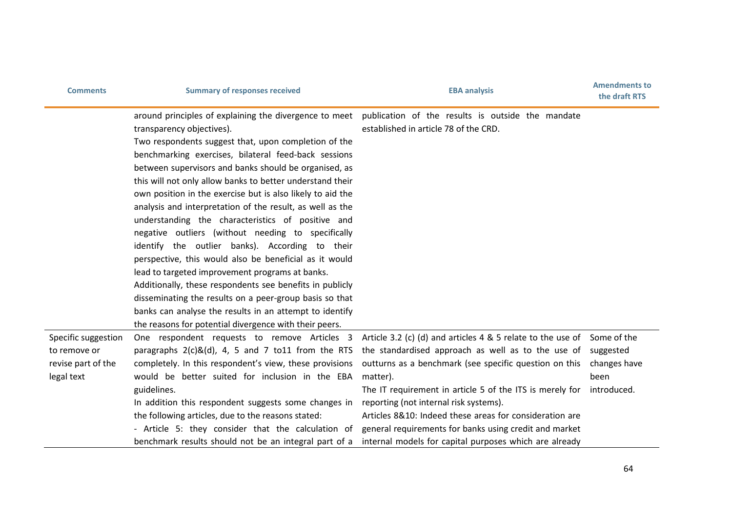| <b>Comments</b>                                                         | <b>Summary of responses received</b>                                                                                                                                                                                                                                                                                                                                                                                                                                                                                                                                                                                                                                                                                                                                                                                                                                                                                                                                                                                          | <b>EBA analysis</b>                                                                                                                                                                                                                                                                                                                                                                                                                                             | <b>Amendments to</b><br>the draft RTS                           |
|-------------------------------------------------------------------------|-------------------------------------------------------------------------------------------------------------------------------------------------------------------------------------------------------------------------------------------------------------------------------------------------------------------------------------------------------------------------------------------------------------------------------------------------------------------------------------------------------------------------------------------------------------------------------------------------------------------------------------------------------------------------------------------------------------------------------------------------------------------------------------------------------------------------------------------------------------------------------------------------------------------------------------------------------------------------------------------------------------------------------|-----------------------------------------------------------------------------------------------------------------------------------------------------------------------------------------------------------------------------------------------------------------------------------------------------------------------------------------------------------------------------------------------------------------------------------------------------------------|-----------------------------------------------------------------|
|                                                                         | around principles of explaining the divergence to meet publication of the results is outside the mandate<br>transparency objectives).<br>Two respondents suggest that, upon completion of the<br>benchmarking exercises, bilateral feed-back sessions<br>between supervisors and banks should be organised, as<br>this will not only allow banks to better understand their<br>own position in the exercise but is also likely to aid the<br>analysis and interpretation of the result, as well as the<br>understanding the characteristics of positive and<br>negative outliers (without needing to specifically<br>identify the outlier banks). According to their<br>perspective, this would also be beneficial as it would<br>lead to targeted improvement programs at banks.<br>Additionally, these respondents see benefits in publicly<br>disseminating the results on a peer-group basis so that<br>banks can analyse the results in an attempt to identify<br>the reasons for potential divergence with their peers. | established in article 78 of the CRD.                                                                                                                                                                                                                                                                                                                                                                                                                           |                                                                 |
| Specific suggestion<br>to remove or<br>revise part of the<br>legal text | paragraphs $2(c)$ &(d), 4, 5 and 7 to11 from the RTS<br>completely. In this respondent's view, these provisions<br>would be better suited for inclusion in the EBA<br>guidelines.<br>In addition this respondent suggests some changes in<br>the following articles, due to the reasons stated:<br>- Article 5: they consider that the calculation of                                                                                                                                                                                                                                                                                                                                                                                                                                                                                                                                                                                                                                                                         | One respondent requests to remove Articles 3 Article 3.2 (c) (d) and articles 4 & 5 relate to the use of<br>the standardised approach as well as to the use of<br>outturns as a benchmark (see specific question on this<br>matter).<br>The IT requirement in article 5 of the ITS is merely for<br>reporting (not internal risk systems).<br>Articles 8&10: Indeed these areas for consideration are<br>general requirements for banks using credit and market | Some of the<br>suggested<br>changes have<br>been<br>introduced. |
|                                                                         | benchmark results should not be an integral part of a                                                                                                                                                                                                                                                                                                                                                                                                                                                                                                                                                                                                                                                                                                                                                                                                                                                                                                                                                                         | internal models for capital purposes which are already                                                                                                                                                                                                                                                                                                                                                                                                          |                                                                 |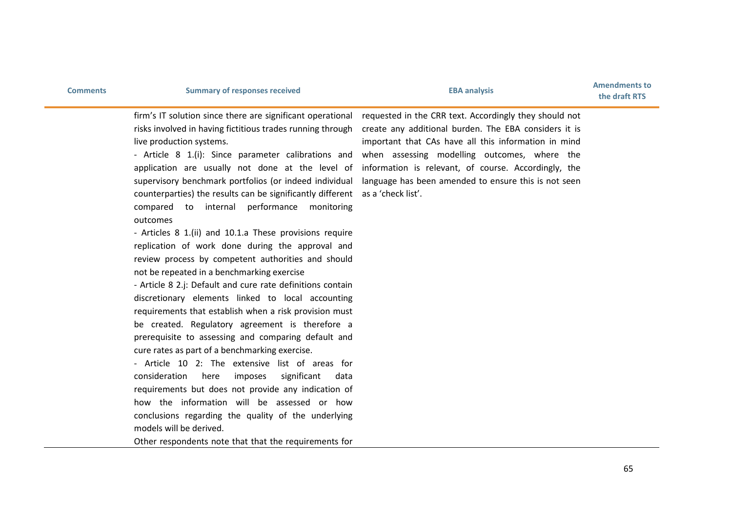firm's IT solution since there are significant operational risks involved in having fictitious trades running through live production systems.

- Article 8 1.(i): Since parameter calibrations and application are usually not done at the level of supervisory benchmark portfolios (or indeed individual counterparties) the results can be significantly different as a 'check list'. compared to internal performance monitoring outcomes

- Articles 8 1.(ii) and 10.1.a These provisions require replication of work done during the approval and review process by competent authorities and should not be repeated in a benchmarking exercise

- Article 8 2.j: Default and cure rate definitions contain discretionary elements linked to local accounting requirements that establish when a risk provision must be created. Regulatory agreement is therefore a prerequisite to assessing and comparing default and cure rates as part of a benchmarking exercise.

- Article 10 2: The extensive list of areas for consideration here imposes significant data requirements but does not provide any indication of how the information will be assessed or how conclusions regarding the quality of the underlying models will be derived.

Other respondents note that that the requirements for

requested in the CRR text. Accordingly they should not create any additional burden. The EBA considers it is important that CAs have all this information in mind when assessing modelling outcomes, where the information is relevant, of course. Accordingly, the language has been amended to ensure this is not seen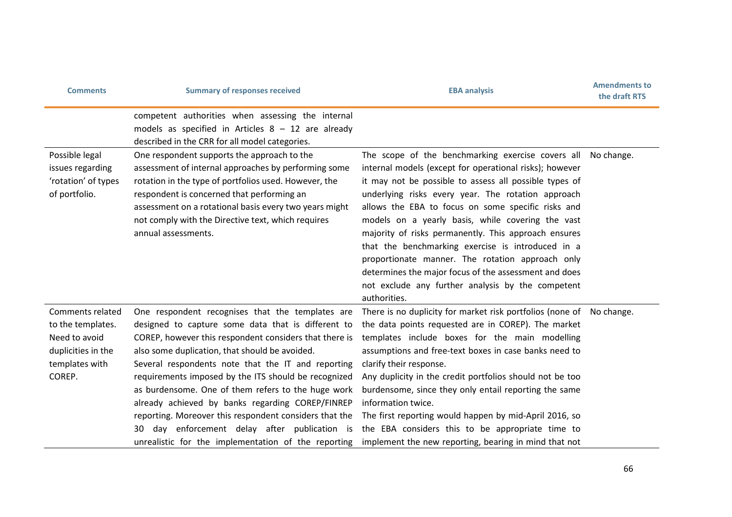| <b>Comments</b>                                                                                          | <b>Summary of responses received</b>                                                                                                                                                                                                                                                                                                                                                                                                                                                                                                                                                                            | <b>EBA analysis</b>                                                                                                                                                                                                                                                                                                                                                                                                                                                                                                                                                                                                                    | <b>Amendments to</b><br>the draft RTS |
|----------------------------------------------------------------------------------------------------------|-----------------------------------------------------------------------------------------------------------------------------------------------------------------------------------------------------------------------------------------------------------------------------------------------------------------------------------------------------------------------------------------------------------------------------------------------------------------------------------------------------------------------------------------------------------------------------------------------------------------|----------------------------------------------------------------------------------------------------------------------------------------------------------------------------------------------------------------------------------------------------------------------------------------------------------------------------------------------------------------------------------------------------------------------------------------------------------------------------------------------------------------------------------------------------------------------------------------------------------------------------------------|---------------------------------------|
|                                                                                                          | competent authorities when assessing the internal<br>models as specified in Articles $8 - 12$ are already<br>described in the CRR for all model categories.                                                                                                                                                                                                                                                                                                                                                                                                                                                     |                                                                                                                                                                                                                                                                                                                                                                                                                                                                                                                                                                                                                                        |                                       |
| Possible legal<br>issues regarding<br>'rotation' of types<br>of portfolio.                               | One respondent supports the approach to the<br>assessment of internal approaches by performing some<br>rotation in the type of portfolios used. However, the<br>respondent is concerned that performing an<br>assessment on a rotational basis every two years might<br>not comply with the Directive text, which requires<br>annual assessments.                                                                                                                                                                                                                                                               | The scope of the benchmarking exercise covers all<br>internal models (except for operational risks); however<br>it may not be possible to assess all possible types of<br>underlying risks every year. The rotation approach<br>allows the EBA to focus on some specific risks and<br>models on a yearly basis, while covering the vast<br>majority of risks permanently. This approach ensures<br>that the benchmarking exercise is introduced in a<br>proportionate manner. The rotation approach only<br>determines the major focus of the assessment and does<br>not exclude any further analysis by the competent<br>authorities. | No change.                            |
| Comments related<br>to the templates.<br>Need to avoid<br>duplicities in the<br>templates with<br>COREP. | One respondent recognises that the templates are<br>designed to capture some data that is different to<br>COREP, however this respondent considers that there is<br>also some duplication, that should be avoided.<br>Several respondents note that the IT and reporting<br>requirements imposed by the ITS should be recognized<br>as burdensome. One of them refers to the huge work<br>already achieved by banks regarding COREP/FINREP<br>reporting. Moreover this respondent considers that the<br>day enforcement delay after publication is<br>30<br>unrealistic for the implementation of the reporting | There is no duplicity for market risk portfolios (none of No change.<br>the data points requested are in COREP). The market<br>templates include boxes for the main modelling<br>assumptions and free-text boxes in case banks need to<br>clarify their response.<br>Any duplicity in the credit portfolios should not be too<br>burdensome, since they only entail reporting the same<br>information twice.<br>The first reporting would happen by mid-April 2016, so<br>the EBA considers this to be appropriate time to<br>implement the new reporting, bearing in mind that not                                                    |                                       |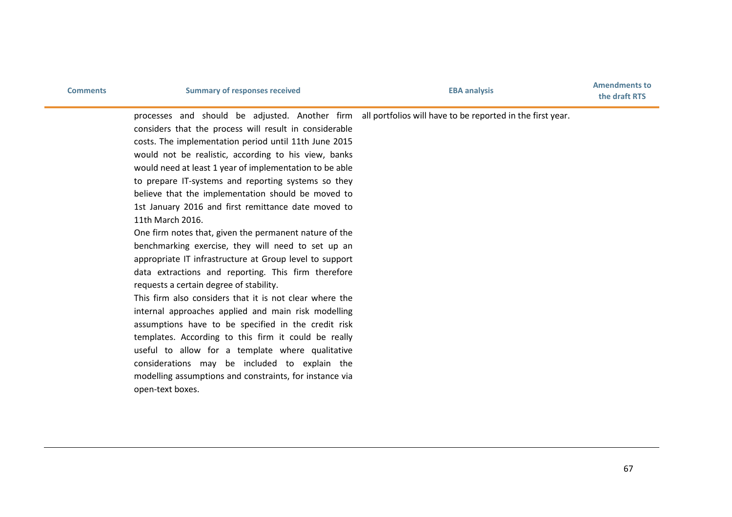## **Comments EBA analysis Comments EBA Amendments to EBA Amendments EBA EBA EBA EBA EBA EBA EBA EBA EBA EBA EBA EBA EBA EBA EBA EBA EBA EBA EBA EBA EBA EBA EBA EBA**

processes and should be adjusted. Another firm all portfolios will have to be reported in the first year.

considers that the process will result in considerable costs. The implementation period until 11th June 2015 would not be realistic, according to his view, banks would need at least 1 year of implementation to be able to prepare IT-systems and reporting systems so they believe that the implementation should be moved to 1st January 2016 and first remittance date moved to 11th March 2016.

One firm notes that, given the permanent nature of the benchmarking exercise, they will need to set up an appropriate IT infrastructure at Group level to support data extractions and reporting. This firm therefore requests a certain degree of stability.

This firm also considers that it is not clear where the internal approaches applied and main risk modelling assumptions have to be specified in the credit risk templates. According to this firm it could be really useful to allow for a template where qualitative considerations may be included to explain the modelling assumptions and constraints, for instance via open-text boxes.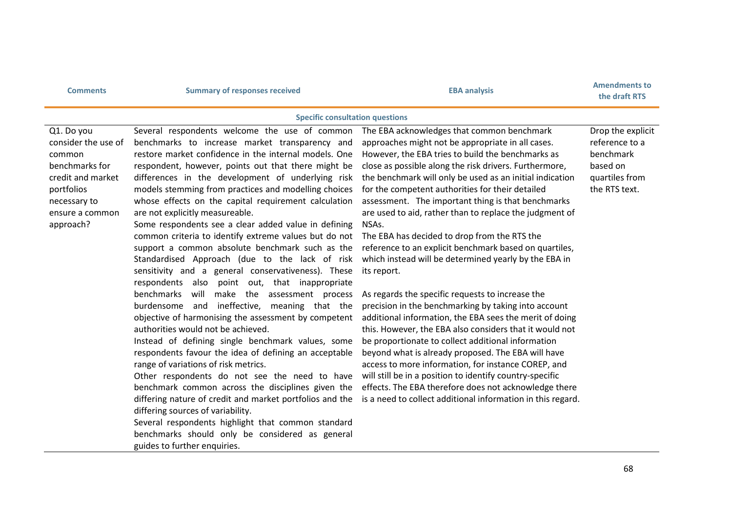| <b>Comments</b>                                                                                                                                  | <b>Summary of responses received</b>                                                                                                                                                                                                                                                                                                                                                                                                                                                                                                                                                                                                                                                                                                                                                                                                                                                                                                                                                                                                                                                                                                                                                                                                                                                                                                                                                                                                                              | <b>EBA analysis</b>                                                                                                                                                                                                                                                                                                                                                                                                                                                                                                                                                                                                                                                                                                                                                                                                                                                                                                                                                                                                                                                                                                                                                                                                                 | <b>Amendments to</b><br>the draft RTS                                                           |
|--------------------------------------------------------------------------------------------------------------------------------------------------|-------------------------------------------------------------------------------------------------------------------------------------------------------------------------------------------------------------------------------------------------------------------------------------------------------------------------------------------------------------------------------------------------------------------------------------------------------------------------------------------------------------------------------------------------------------------------------------------------------------------------------------------------------------------------------------------------------------------------------------------------------------------------------------------------------------------------------------------------------------------------------------------------------------------------------------------------------------------------------------------------------------------------------------------------------------------------------------------------------------------------------------------------------------------------------------------------------------------------------------------------------------------------------------------------------------------------------------------------------------------------------------------------------------------------------------------------------------------|-------------------------------------------------------------------------------------------------------------------------------------------------------------------------------------------------------------------------------------------------------------------------------------------------------------------------------------------------------------------------------------------------------------------------------------------------------------------------------------------------------------------------------------------------------------------------------------------------------------------------------------------------------------------------------------------------------------------------------------------------------------------------------------------------------------------------------------------------------------------------------------------------------------------------------------------------------------------------------------------------------------------------------------------------------------------------------------------------------------------------------------------------------------------------------------------------------------------------------------|-------------------------------------------------------------------------------------------------|
|                                                                                                                                                  | <b>Specific consultation questions</b>                                                                                                                                                                                                                                                                                                                                                                                                                                                                                                                                                                                                                                                                                                                                                                                                                                                                                                                                                                                                                                                                                                                                                                                                                                                                                                                                                                                                                            |                                                                                                                                                                                                                                                                                                                                                                                                                                                                                                                                                                                                                                                                                                                                                                                                                                                                                                                                                                                                                                                                                                                                                                                                                                     |                                                                                                 |
| Q1. Do you<br>consider the use of<br>common<br>benchmarks for<br>credit and market<br>portfolios<br>necessary to<br>ensure a common<br>approach? | Several respondents welcome the use of common<br>benchmarks to increase market transparency and<br>restore market confidence in the internal models. One<br>respondent, however, points out that there might be<br>differences in the development of underlying risk<br>models stemming from practices and modelling choices<br>whose effects on the capital requirement calculation<br>are not explicitly measureable.<br>Some respondents see a clear added value in defining<br>common criteria to identify extreme values but do not<br>support a common absolute benchmark such as the<br>Standardised Approach (due to the lack of risk<br>sensitivity and a general conservativeness). These<br>respondents also point out, that inappropriate<br>benchmarks<br>will<br>make the assessment process<br>and ineffective, meaning that the<br>burdensome<br>objective of harmonising the assessment by competent<br>authorities would not be achieved.<br>Instead of defining single benchmark values, some<br>respondents favour the idea of defining an acceptable<br>range of variations of risk metrics.<br>Other respondents do not see the need to have<br>benchmark common across the disciplines given the<br>differing nature of credit and market portfolios and the<br>differing sources of variability.<br>Several respondents highlight that common standard<br>benchmarks should only be considered as general<br>guides to further enquiries. | The EBA acknowledges that common benchmark<br>approaches might not be appropriate in all cases.<br>However, the EBA tries to build the benchmarks as<br>close as possible along the risk drivers. Furthermore,<br>the benchmark will only be used as an initial indication<br>for the competent authorities for their detailed<br>assessment. The important thing is that benchmarks<br>are used to aid, rather than to replace the judgment of<br>NSAs.<br>The EBA has decided to drop from the RTS the<br>reference to an explicit benchmark based on quartiles,<br>which instead will be determined yearly by the EBA in<br>its report.<br>As regards the specific requests to increase the<br>precision in the benchmarking by taking into account<br>additional information, the EBA sees the merit of doing<br>this. However, the EBA also considers that it would not<br>be proportionate to collect additional information<br>beyond what is already proposed. The EBA will have<br>access to more information, for instance COREP, and<br>will still be in a position to identify country-specific<br>effects. The EBA therefore does not acknowledge there<br>is a need to collect additional information in this regard. | Drop the explicit<br>reference to a<br>benchmark<br>based on<br>quartiles from<br>the RTS text. |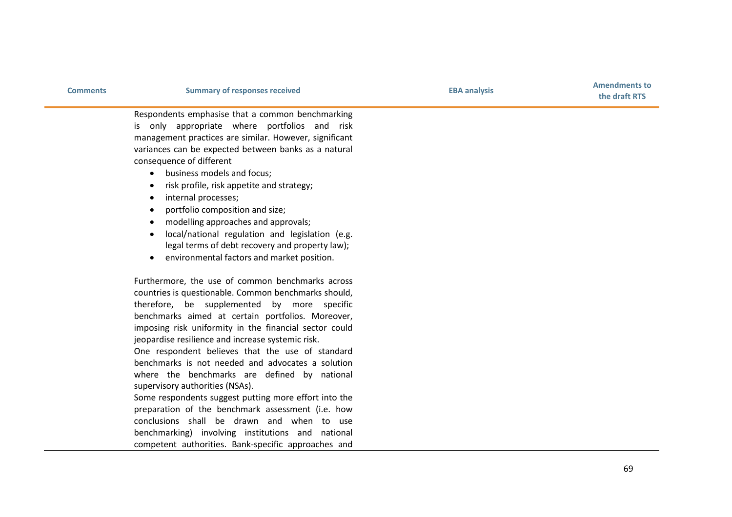|  |  |  | <b>Comments</b> |
|--|--|--|-----------------|
|  |  |  |                 |

**the draft RTS**

Respondents emphasise that a common benchmarking is only appropriate where portfolios and risk management practices are similar. However, significant variances can be expected between banks as a natural consequence of different

- business models and focus ;
- risk profile, risk appetite and strategy ;
- internal processes ;
- portfolio composition and size ;
- modelling approaches and approvals ;
- local/national regulation and legislation (e.g. legal terms of debt recovery and property law) ;
- environmental factors and market position.

Furthermore, the use of common benchmarks across countries is questionable. Common benchmarks should, therefore, be supplemented by more specific benchmarks aimed at certain portfolios. Moreover, imposing risk uniformity in the financial sector could jeopardise resilience and increase systemic risk.

One respondent believes that the use of standard benchmarks is not needed and advocates a solution where the benchmarks are defined by national supervisory authorities (NSAs) .

Some respondents suggest putting more effort into the preparation of the benchmark assessment (i.e. how conclusions shall be drawn and when to use benchmarking) involving institutions and national competent authorities. Bank -specific approaches and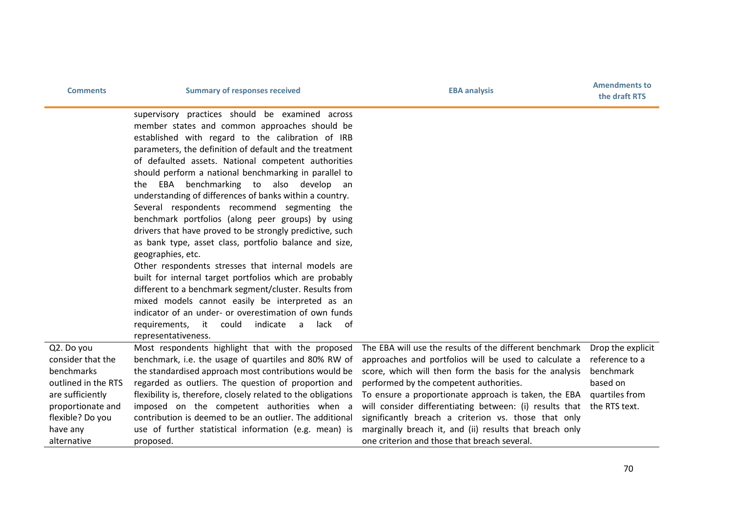| <b>Comments</b>                       | <b>Summary of responses received</b>                                                                   | <b>EBA analysis</b>                                                                                             | <b>Amendments to</b><br>the draft RTS |
|---------------------------------------|--------------------------------------------------------------------------------------------------------|-----------------------------------------------------------------------------------------------------------------|---------------------------------------|
|                                       | supervisory practices should be examined across                                                        |                                                                                                                 |                                       |
|                                       | member states and common approaches should be                                                          |                                                                                                                 |                                       |
|                                       | established with regard to the calibration of IRB                                                      |                                                                                                                 |                                       |
|                                       | parameters, the definition of default and the treatment                                                |                                                                                                                 |                                       |
|                                       | of defaulted assets. National competent authorities                                                    |                                                                                                                 |                                       |
|                                       | should perform a national benchmarking in parallel to                                                  |                                                                                                                 |                                       |
|                                       | EBA benchmarking to also develop<br>the<br>an                                                          |                                                                                                                 |                                       |
|                                       | understanding of differences of banks within a country.                                                |                                                                                                                 |                                       |
|                                       | Several respondents recommend segmenting the                                                           |                                                                                                                 |                                       |
|                                       | benchmark portfolios (along peer groups) by using                                                      |                                                                                                                 |                                       |
|                                       | drivers that have proved to be strongly predictive, such                                               |                                                                                                                 |                                       |
|                                       | as bank type, asset class, portfolio balance and size,                                                 |                                                                                                                 |                                       |
|                                       | geographies, etc.                                                                                      |                                                                                                                 |                                       |
|                                       | Other respondents stresses that internal models are                                                    |                                                                                                                 |                                       |
|                                       | built for internal target portfolios which are probably                                                |                                                                                                                 |                                       |
|                                       | different to a benchmark segment/cluster. Results from                                                 |                                                                                                                 |                                       |
|                                       | mixed models cannot easily be interpreted as an                                                        |                                                                                                                 |                                       |
|                                       | indicator of an under- or overestimation of own funds                                                  |                                                                                                                 |                                       |
|                                       | requirements, it could<br>indicate<br>lack of<br>a                                                     |                                                                                                                 |                                       |
|                                       | representativeness.                                                                                    |                                                                                                                 |                                       |
| Q2. Do you                            | Most respondents highlight that with the proposed                                                      | The EBA will use the results of the different benchmark                                                         | Drop the explicit                     |
| consider that the<br>benchmarks       | benchmark, i.e. the usage of quartiles and 80% RW of                                                   | approaches and portfolios will be used to calculate a                                                           | reference to a<br>benchmark           |
| outlined in the RTS                   | the standardised approach most contributions would be                                                  | score, which will then form the basis for the analysis                                                          | based on                              |
| are sufficiently                      | regarded as outliers. The question of proportion and                                                   | performed by the competent authorities.                                                                         | quartiles from                        |
|                                       | flexibility is, therefore, closely related to the obligations                                          | To ensure a proportionate approach is taken, the EBA                                                            | the RTS text.                         |
| proportionate and<br>flexible? Do you | imposed on the competent authorities when a<br>contribution is deemed to be an outlier. The additional | will consider differentiating between: (i) results that<br>significantly breach a criterion vs. those that only |                                       |
|                                       | use of further statistical information (e.g. mean) is                                                  | marginally breach it, and (ii) results that breach only                                                         |                                       |
| have any<br>alternative               | proposed.                                                                                              | one criterion and those that breach several.                                                                    |                                       |
|                                       |                                                                                                        |                                                                                                                 |                                       |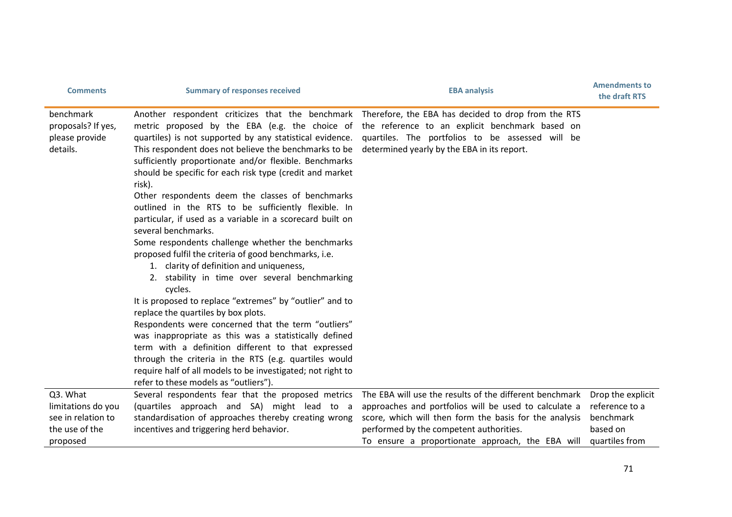| <b>Comments</b>                                               | <b>Summary of responses received</b>                                                                                                                                                                                                                                                                                                                                                                                                                                                                                                                                                                                                                                                                                                                                                                                                                                                                                                                                                                                                                  | <b>EBA analysis</b>                                                                                                                                                                                                                                                                                                                                                | <b>Amendments to</b><br>the draft RTS |
|---------------------------------------------------------------|-------------------------------------------------------------------------------------------------------------------------------------------------------------------------------------------------------------------------------------------------------------------------------------------------------------------------------------------------------------------------------------------------------------------------------------------------------------------------------------------------------------------------------------------------------------------------------------------------------------------------------------------------------------------------------------------------------------------------------------------------------------------------------------------------------------------------------------------------------------------------------------------------------------------------------------------------------------------------------------------------------------------------------------------------------|--------------------------------------------------------------------------------------------------------------------------------------------------------------------------------------------------------------------------------------------------------------------------------------------------------------------------------------------------------------------|---------------------------------------|
| benchmark<br>proposals? If yes,<br>please provide<br>details. | This respondent does not believe the benchmarks to be<br>sufficiently proportionate and/or flexible. Benchmarks<br>should be specific for each risk type (credit and market<br>risk).<br>Other respondents deem the classes of benchmarks<br>outlined in the RTS to be sufficiently flexible. In<br>particular, if used as a variable in a scorecard built on<br>several benchmarks.<br>Some respondents challenge whether the benchmarks<br>proposed fulfil the criteria of good benchmarks, i.e.<br>1. clarity of definition and uniqueness,<br>2. stability in time over several benchmarking<br>cycles.<br>It is proposed to replace "extremes" by "outlier" and to<br>replace the quartiles by box plots.<br>Respondents were concerned that the term "outliers"<br>was inappropriate as this was a statistically defined<br>term with a definition different to that expressed<br>through the criteria in the RTS (e.g. quartiles would<br>require half of all models to be investigated; not right to<br>refer to these models as "outliers"). | Another respondent criticizes that the benchmark Therefore, the EBA has decided to drop from the RTS<br>metric proposed by the EBA (e.g. the choice of the reference to an explicit benchmark based on<br>quartiles) is not supported by any statistical evidence. quartiles. The portfolios to be assessed will be<br>determined yearly by the EBA in its report. |                                       |
| Q3. What                                                      | Several respondents fear that the proposed metrics                                                                                                                                                                                                                                                                                                                                                                                                                                                                                                                                                                                                                                                                                                                                                                                                                                                                                                                                                                                                    | The EBA will use the results of the different benchmark                                                                                                                                                                                                                                                                                                            | Drop the explicit                     |
| limitations do you                                            | (quartiles approach and SA) might lead to a                                                                                                                                                                                                                                                                                                                                                                                                                                                                                                                                                                                                                                                                                                                                                                                                                                                                                                                                                                                                           | approaches and portfolios will be used to calculate a                                                                                                                                                                                                                                                                                                              | reference to a                        |
| see in relation to                                            | standardisation of approaches thereby creating wrong                                                                                                                                                                                                                                                                                                                                                                                                                                                                                                                                                                                                                                                                                                                                                                                                                                                                                                                                                                                                  | score, which will then form the basis for the analysis                                                                                                                                                                                                                                                                                                             | benchmark                             |
| the use of the                                                | incentives and triggering herd behavior.                                                                                                                                                                                                                                                                                                                                                                                                                                                                                                                                                                                                                                                                                                                                                                                                                                                                                                                                                                                                              | performed by the competent authorities.                                                                                                                                                                                                                                                                                                                            | based on                              |
| proposed                                                      |                                                                                                                                                                                                                                                                                                                                                                                                                                                                                                                                                                                                                                                                                                                                                                                                                                                                                                                                                                                                                                                       | To ensure a proportionate approach, the EBA will                                                                                                                                                                                                                                                                                                                   | quartiles from                        |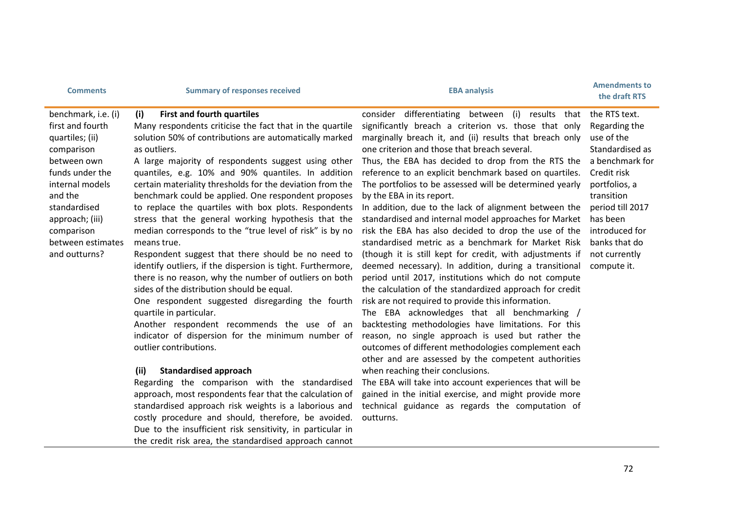| <b>Comments</b>                                                                                                                                                                                                                 | <b>Summary of responses received</b>                                                                                                                                                                                                                                                                                                                                                                                                                                                                                                                                                                                                                                                                                                                                                                                                                                                                                                                                                                                                                                                                                                                                                                                                                                                                                                                                                                                                            | <b>EBA analysis</b>                                                                                                                                                                                                                                                                                                                                                                                                                                                                                                                                                                                                                                                                                                                                                                                                                                                                                                                                                                                                                                                                                                                                                                                                                                                                                                                                                                                                                                             | <b>Amendments to</b><br>the draft RTS                                                                                                                                                                                               |
|---------------------------------------------------------------------------------------------------------------------------------------------------------------------------------------------------------------------------------|-------------------------------------------------------------------------------------------------------------------------------------------------------------------------------------------------------------------------------------------------------------------------------------------------------------------------------------------------------------------------------------------------------------------------------------------------------------------------------------------------------------------------------------------------------------------------------------------------------------------------------------------------------------------------------------------------------------------------------------------------------------------------------------------------------------------------------------------------------------------------------------------------------------------------------------------------------------------------------------------------------------------------------------------------------------------------------------------------------------------------------------------------------------------------------------------------------------------------------------------------------------------------------------------------------------------------------------------------------------------------------------------------------------------------------------------------|-----------------------------------------------------------------------------------------------------------------------------------------------------------------------------------------------------------------------------------------------------------------------------------------------------------------------------------------------------------------------------------------------------------------------------------------------------------------------------------------------------------------------------------------------------------------------------------------------------------------------------------------------------------------------------------------------------------------------------------------------------------------------------------------------------------------------------------------------------------------------------------------------------------------------------------------------------------------------------------------------------------------------------------------------------------------------------------------------------------------------------------------------------------------------------------------------------------------------------------------------------------------------------------------------------------------------------------------------------------------------------------------------------------------------------------------------------------------|-------------------------------------------------------------------------------------------------------------------------------------------------------------------------------------------------------------------------------------|
| benchmark, i.e. (i)<br>first and fourth<br>quartiles; (ii)<br>comparison<br>between own<br>funds under the<br>internal models<br>and the<br>standardised<br>approach; (iii)<br>comparison<br>between estimates<br>and outturns? | (i)<br><b>First and fourth quartiles</b><br>Many respondents criticise the fact that in the quartile<br>solution 50% of contributions are automatically marked<br>as outliers.<br>A large majority of respondents suggest using other<br>quantiles, e.g. 10% and 90% quantiles. In addition<br>certain materiality thresholds for the deviation from the<br>benchmark could be applied. One respondent proposes<br>to replace the quartiles with box plots. Respondents<br>stress that the general working hypothesis that the<br>median corresponds to the "true level of risk" is by no<br>means true.<br>Respondent suggest that there should be no need to<br>identify outliers, if the dispersion is tight. Furthermore,<br>there is no reason, why the number of outliers on both<br>sides of the distribution should be equal.<br>One respondent suggested disregarding the fourth<br>quartile in particular.<br>Another respondent recommends the use of an<br>indicator of dispersion for the minimum number of<br>outlier contributions.<br>(ii)<br><b>Standardised approach</b><br>Regarding the comparison with the standardised<br>approach, most respondents fear that the calculation of<br>standardised approach risk weights is a laborious and<br>costly procedure and should, therefore, be avoided.<br>Due to the insufficient risk sensitivity, in particular in<br>the credit risk area, the standardised approach cannot | consider differentiating between (i) results that<br>significantly breach a criterion vs. those that only<br>marginally breach it, and (ii) results that breach only<br>one criterion and those that breach several.<br>Thus, the EBA has decided to drop from the RTS the<br>reference to an explicit benchmark based on quartiles.<br>The portfolios to be assessed will be determined yearly<br>by the EBA in its report.<br>In addition, due to the lack of alignment between the<br>standardised and internal model approaches for Market<br>risk the EBA has also decided to drop the use of the<br>standardised metric as a benchmark for Market Risk<br>(though it is still kept for credit, with adjustments if<br>deemed necessary). In addition, during a transitional<br>period until 2017, institutions which do not compute<br>the calculation of the standardized approach for credit<br>risk are not required to provide this information.<br>The EBA acknowledges that all benchmarking /<br>backtesting methodologies have limitations. For this<br>reason, no single approach is used but rather the<br>outcomes of different methodologies complement each<br>other and are assessed by the competent authorities<br>when reaching their conclusions.<br>The EBA will take into account experiences that will be<br>gained in the initial exercise, and might provide more<br>technical guidance as regards the computation of<br>outturns. | the RTS text.<br>Regarding the<br>use of the<br>Standardised as<br>a benchmark for<br>Credit risk<br>portfolios, a<br>transition<br>period till 2017<br>has been<br>introduced for<br>banks that do<br>not currently<br>compute it. |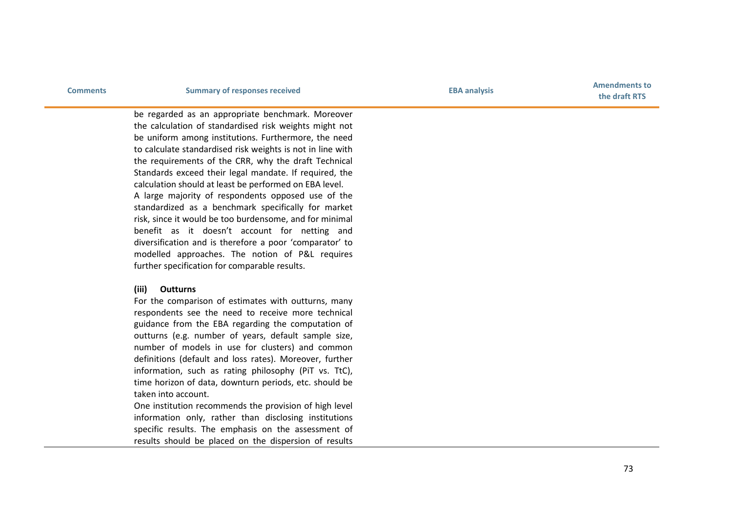# **Comments EBA analysis Comments EBA Amendments Comments EBA Amendments EBA Amendments Comments EBA Amendments Comments Comments Comments Comments Comments Comments Comments Comments**

**the draft RTS**

be regarded as an appropriate benchmark. Moreover the calculation of standardised risk weights might not be uniform among institutions. Furthermore, the need to calculate standardised risk weights is not in line with the requirements of the CRR, why the draft Technical Standards exceed their legal mandate. If required, the calculation should at least be performed on EBA level. A large majority of respondents opposed use of the standardized as a benchmark specifically for market risk, since it would be too burdensome, and for minimal benefit as it doesn't account for netting and diversification and is therefore a poor 'comparator ' to modelled approaches. The notion of P&L requires further specification for comparable results.

#### **(iii) Outturns**

For the comparison of estimates with outturns, many respondents see the need to receive more technical guidance from the EBA regarding the computation of outturns (e.g. number of years, default sample size, number of models in use for clusters) and common definitions (default and loss rates). Moreover, further information , such as rating philosophy (PiT vs. TtC), time horizon of data, downturn periods, etc. should be taken into account.

One institution recommends the provision of high level information only, rather than disclosing institutions specific results. The emphasis on the assessment of results should be placed on the dispersion of results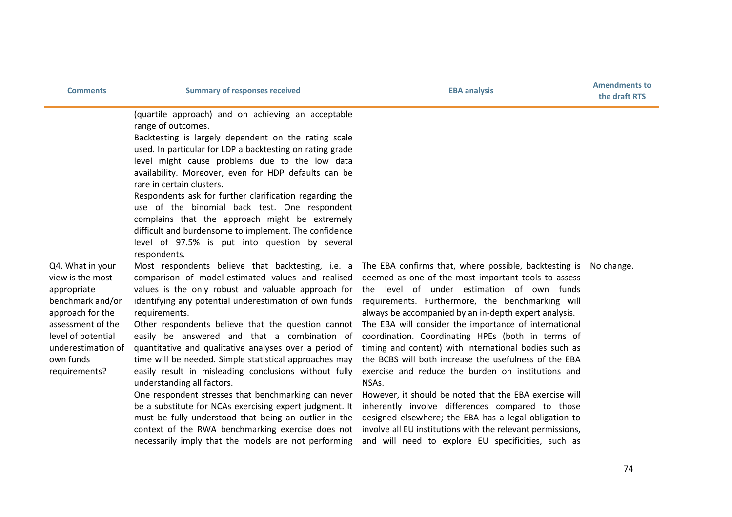| <b>Comments</b>                                                                                                                                                                            | <b>Summary of responses received</b>                                                                                                                                                                                                                                                                                                                                                                                                                                                                                                                                                                                                                                                                                                                                                         | <b>EBA analysis</b>                                                                                                                                                                                                                                                                                                                                                                                                                                                                                                                                                                                                                                                                                                                                                                                                                                                                                                           | <b>Amendments to</b><br>the draft RTS |
|--------------------------------------------------------------------------------------------------------------------------------------------------------------------------------------------|----------------------------------------------------------------------------------------------------------------------------------------------------------------------------------------------------------------------------------------------------------------------------------------------------------------------------------------------------------------------------------------------------------------------------------------------------------------------------------------------------------------------------------------------------------------------------------------------------------------------------------------------------------------------------------------------------------------------------------------------------------------------------------------------|-------------------------------------------------------------------------------------------------------------------------------------------------------------------------------------------------------------------------------------------------------------------------------------------------------------------------------------------------------------------------------------------------------------------------------------------------------------------------------------------------------------------------------------------------------------------------------------------------------------------------------------------------------------------------------------------------------------------------------------------------------------------------------------------------------------------------------------------------------------------------------------------------------------------------------|---------------------------------------|
|                                                                                                                                                                                            | (quartile approach) and on achieving an acceptable<br>range of outcomes.<br>Backtesting is largely dependent on the rating scale<br>used. In particular for LDP a backtesting on rating grade<br>level might cause problems due to the low data<br>availability. Moreover, even for HDP defaults can be<br>rare in certain clusters.<br>Respondents ask for further clarification regarding the<br>use of the binomial back test. One respondent<br>complains that the approach might be extremely<br>difficult and burdensome to implement. The confidence<br>level of 97.5% is put into question by several<br>respondents.                                                                                                                                                                |                                                                                                                                                                                                                                                                                                                                                                                                                                                                                                                                                                                                                                                                                                                                                                                                                                                                                                                               |                                       |
| Q4. What in your<br>view is the most<br>appropriate<br>benchmark and/or<br>approach for the<br>assessment of the<br>level of potential<br>underestimation of<br>own funds<br>requirements? | comparison of model-estimated values and realised<br>values is the only robust and valuable approach for<br>identifying any potential underestimation of own funds<br>requirements.<br>Other respondents believe that the question cannot<br>easily be answered and that a combination of<br>quantitative and qualitative analyses over a period of<br>time will be needed. Simple statistical approaches may<br>easily result in misleading conclusions without fully<br>understanding all factors.<br>One respondent stresses that benchmarking can never<br>be a substitute for NCAs exercising expert judgment. It<br>must be fully understood that being an outlier in the<br>context of the RWA benchmarking exercise does not<br>necessarily imply that the models are not performing | Most respondents believe that backtesting, i.e. a The EBA confirms that, where possible, backtesting is Nochange.<br>deemed as one of the most important tools to assess<br>the level of under estimation of own funds<br>requirements. Furthermore, the benchmarking will<br>always be accompanied by an in-depth expert analysis.<br>The EBA will consider the importance of international<br>coordination. Coordinating HPEs (both in terms of<br>timing and content) with international bodies such as<br>the BCBS will both increase the usefulness of the EBA<br>exercise and reduce the burden on institutions and<br>NSAs.<br>However, it should be noted that the EBA exercise will<br>inherently involve differences compared to those<br>designed elsewhere; the EBA has a legal obligation to<br>involve all EU institutions with the relevant permissions,<br>and will need to explore EU specificities, such as |                                       |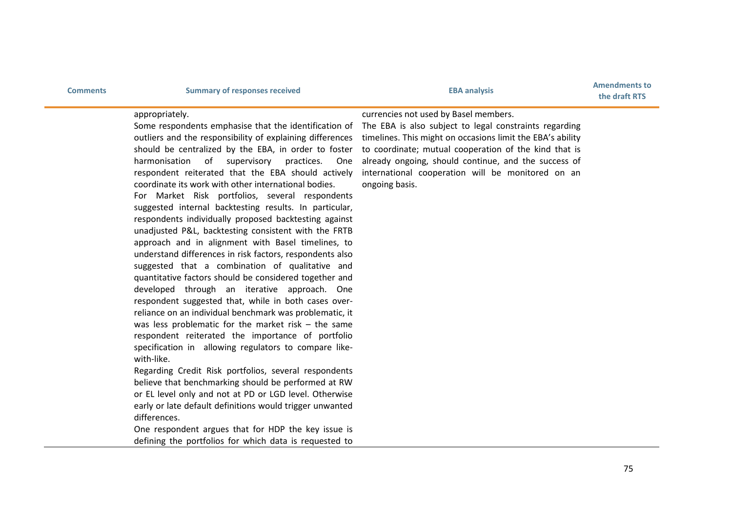| Comments |  |  |  |  |  |  |  |
|----------|--|--|--|--|--|--|--|
|----------|--|--|--|--|--|--|--|

# **Comments Comments Comments Comments Comments Comments Amendments Comments Comments Comments Comments Comments Comments Comments Comments Comments Comments Comments Comments Comments**

### appropriately.

Some respondents emphasise that the identification of outliers and the responsibility of explaining differences should be centralized by the EBA, in order to foster harmonisation of supervisory practices. One respondent reiterated that the EBA should actively coordinate its work with other international bodies. For Market Risk portfolios, several respondents suggested internal backtesting results. In particular, respondents individually proposed backtesting against unadjusted P&L, backtesting consistent with the FRTB approach and in alignment with Basel timelines, to understand differences in risk factors, respondents also suggested that a combination of qualitative and quantitative factors should be considered together and developed through an iterative approach. One respondent suggested that, while in both cases overreliance on an individual benchmark was problematic, it was less problematic for the market risk – the same respondent reiterated the importance of portfolio specification in allowing regulators to compare likewith-like.

Regarding Credit Risk portfolios, several respondents believe that benchmarking should be performed at RW or EL level only and not at PD or LGD level. Otherwise early or late default definitions would trigger unwanted differences.

One respondent argues that for HDP the key issue is defining the portfolios for which data is requested to

### currencies not used by Basel members.

The EBA is also subject to legal constraints regarding timelines. This might on occasions limit the EBA's ability to coordinate; mutual cooperation of the kind that is already ongoing, should continue, and the success of international cooperation will be monitored on an ongoing basis.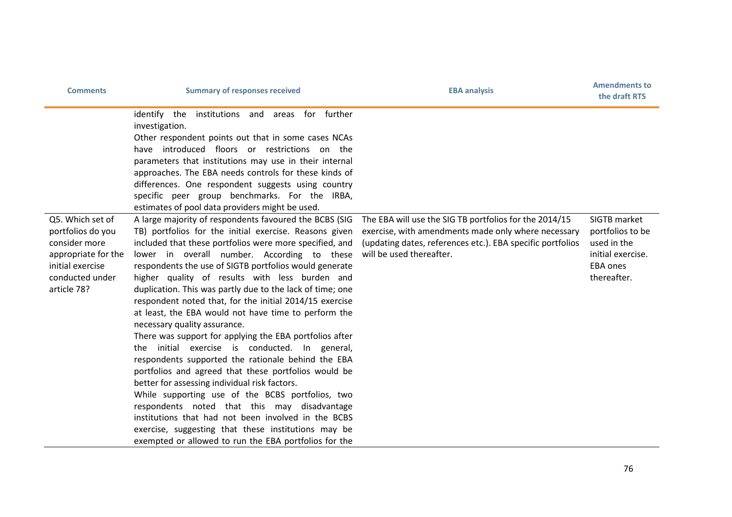| <b>Comments</b>                                                                                                                     | <b>Summary of responses received</b>                                                                                                                                                                                                                                                                                                                                                                                                                                                                                                                                                                                                                                                                                                                                                                                                                                                                                                                                                                                                                                                                          | <b>EBA analysis</b>                                                                                                                                                                                     | <b>Amendments to</b><br>the draft RTS                                                                  |
|-------------------------------------------------------------------------------------------------------------------------------------|---------------------------------------------------------------------------------------------------------------------------------------------------------------------------------------------------------------------------------------------------------------------------------------------------------------------------------------------------------------------------------------------------------------------------------------------------------------------------------------------------------------------------------------------------------------------------------------------------------------------------------------------------------------------------------------------------------------------------------------------------------------------------------------------------------------------------------------------------------------------------------------------------------------------------------------------------------------------------------------------------------------------------------------------------------------------------------------------------------------|---------------------------------------------------------------------------------------------------------------------------------------------------------------------------------------------------------|--------------------------------------------------------------------------------------------------------|
|                                                                                                                                     | identify the institutions and areas for further<br>investigation.<br>Other respondent points out that in some cases NCAs<br>have introduced floors or restrictions on the<br>parameters that institutions may use in their internal<br>approaches. The EBA needs controls for these kinds of<br>differences. One respondent suggests using country<br>specific peer group benchmarks. For the IRBA,<br>estimates of pool data providers might be used.                                                                                                                                                                                                                                                                                                                                                                                                                                                                                                                                                                                                                                                        |                                                                                                                                                                                                         |                                                                                                        |
| Q5. Which set of<br>portfolios do you<br>consider more<br>appropriate for the<br>initial exercise<br>conducted under<br>article 78? | A large majority of respondents favoured the BCBS (SIG<br>TB) portfolios for the initial exercise. Reasons given<br>included that these portfolios were more specified, and<br>lower in overall number. According to these<br>respondents the use of SIGTB portfolios would generate<br>higher quality of results with less burden and<br>duplication. This was partly due to the lack of time; one<br>respondent noted that, for the initial 2014/15 exercise<br>at least, the EBA would not have time to perform the<br>necessary quality assurance.<br>There was support for applying the EBA portfolios after<br>the initial exercise is conducted. In general,<br>respondents supported the rationale behind the EBA<br>portfolios and agreed that these portfolios would be<br>better for assessing individual risk factors.<br>While supporting use of the BCBS portfolios, two<br>respondents noted that this may disadvantage<br>institutions that had not been involved in the BCBS<br>exercise, suggesting that these institutions may be<br>exempted or allowed to run the EBA portfolios for the | The EBA will use the SIG TB portfolios for the 2014/15<br>exercise, with amendments made only where necessary<br>(updating dates, references etc.). EBA specific portfolios<br>will be used thereafter. | SIGTB market<br>portfolios to be<br>used in the<br>initial exercise.<br><b>EBA</b> ones<br>thereafter. |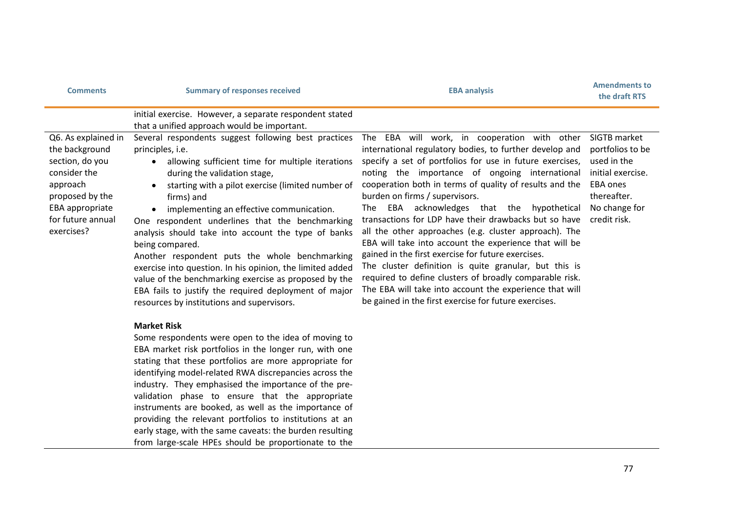| <b>Comments</b>                                                                                                                                               | <b>Summary of responses received</b>                                                                                                                                                                                                                                                                                                                                                                                                                                                                                                                                                                                                                                                                 | <b>EBA analysis</b>                                                                                                                                                                                                                                                                                                                                                                                                                                                                                                                                                                                                                                                                                                                                                                                                                        | <b>Amendments to</b><br>the draft RTS                                                                                                   |
|---------------------------------------------------------------------------------------------------------------------------------------------------------------|------------------------------------------------------------------------------------------------------------------------------------------------------------------------------------------------------------------------------------------------------------------------------------------------------------------------------------------------------------------------------------------------------------------------------------------------------------------------------------------------------------------------------------------------------------------------------------------------------------------------------------------------------------------------------------------------------|--------------------------------------------------------------------------------------------------------------------------------------------------------------------------------------------------------------------------------------------------------------------------------------------------------------------------------------------------------------------------------------------------------------------------------------------------------------------------------------------------------------------------------------------------------------------------------------------------------------------------------------------------------------------------------------------------------------------------------------------------------------------------------------------------------------------------------------------|-----------------------------------------------------------------------------------------------------------------------------------------|
|                                                                                                                                                               | initial exercise. However, a separate respondent stated<br>that a unified approach would be important.                                                                                                                                                                                                                                                                                                                                                                                                                                                                                                                                                                                               |                                                                                                                                                                                                                                                                                                                                                                                                                                                                                                                                                                                                                                                                                                                                                                                                                                            |                                                                                                                                         |
| Q6. As explained in<br>the background<br>section, do you<br>consider the<br>approach<br>proposed by the<br>EBA appropriate<br>for future annual<br>exercises? | Several respondents suggest following best practices<br>principles, i.e.<br>allowing sufficient time for multiple iterations<br>$\bullet$<br>during the validation stage,<br>starting with a pilot exercise (limited number of<br>firms) and<br>implementing an effective communication.<br>One respondent underlines that the benchmarking<br>analysis should take into account the type of banks<br>being compared.<br>Another respondent puts the whole benchmarking<br>exercise into question. In his opinion, the limited added<br>value of the benchmarking exercise as proposed by the<br>EBA fails to justify the required deployment of major<br>resources by institutions and supervisors. | The EBA will work, in cooperation with other<br>international regulatory bodies, to further develop and<br>specify a set of portfolios for use in future exercises,<br>noting the importance of ongoing international<br>cooperation both in terms of quality of results and the<br>burden on firms / supervisors.<br>The EBA acknowledges that the hypothetical<br>transactions for LDP have their drawbacks but so have<br>all the other approaches (e.g. cluster approach). The<br>EBA will take into account the experience that will be<br>gained in the first exercise for future exercises.<br>The cluster definition is quite granular, but this is<br>required to define clusters of broadly comparable risk.<br>The EBA will take into account the experience that will<br>be gained in the first exercise for future exercises. | SIGTB market<br>portfolios to be<br>used in the<br>initial exercise.<br><b>EBA ones</b><br>thereafter.<br>No change for<br>credit risk. |
|                                                                                                                                                               | <b>Market Risk</b><br>Some respondents were open to the idea of moving to<br>EBA market risk portfolios in the longer run, with one<br>stating that these portfolios are more appropriate for<br>identifying model-related RWA discrepancies across the<br>industry. They emphasised the importance of the pre-<br>validation phase to ensure that the appropriate<br>instruments are booked, as well as the importance of<br>providing the relevant portfolios to institutions at an<br>early stage, with the same caveats: the burden resulting<br>from large-scale HPEs should be proportionate to the                                                                                            |                                                                                                                                                                                                                                                                                                                                                                                                                                                                                                                                                                                                                                                                                                                                                                                                                                            |                                                                                                                                         |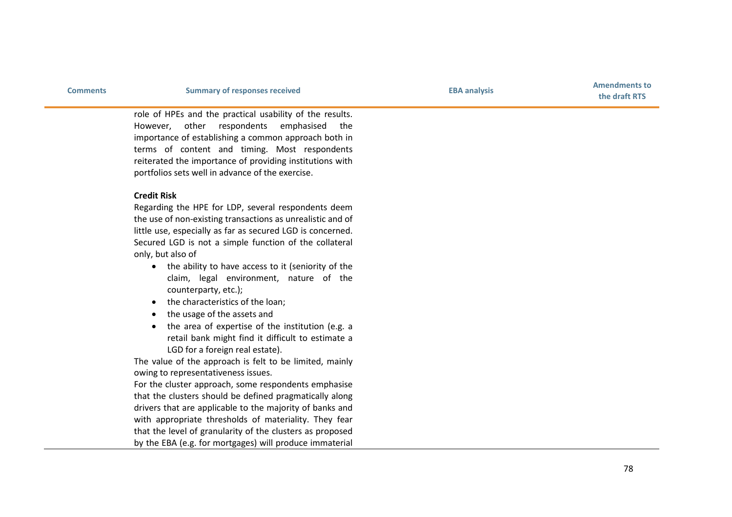**the draft RTS**

role of HPEs and the practical usability of the results. However, other respondents emphasised the importance of establishing a common approach both in terms of content and timing. Most respondents reiterated the importance of providing institutions with portfolios sets well in advance of the exercise.

## **Credit Risk**

Regarding the HPE for LDP, several respondents deem the use of non -existing transactions as unrealistic and of little use, especially as far as secured LGD is concerned. Secured LGD is not a simple function of the collateral only, but also of

- the ability to have access to it (seniority of the claim, legal environment, nature of the counterparty, etc.) ;
- the characteristics of the loan;
- the usage of the assets and
- the area of expertise of the institution (e.g. a retail bank might find it difficult to estimate a LGD for a foreign real estate).

The value of the approach is felt to be limited, mainly owing to representativeness issues.

For the cluster approach, some respondents emphasise that the clusters should be defined pragmatically along drivers that are applicable to the majority of banks and with appropriate thresholds of materiality. They fear that the level of granularity of the clusters as proposed by the EBA (e.g. for mortgages) will produce immaterial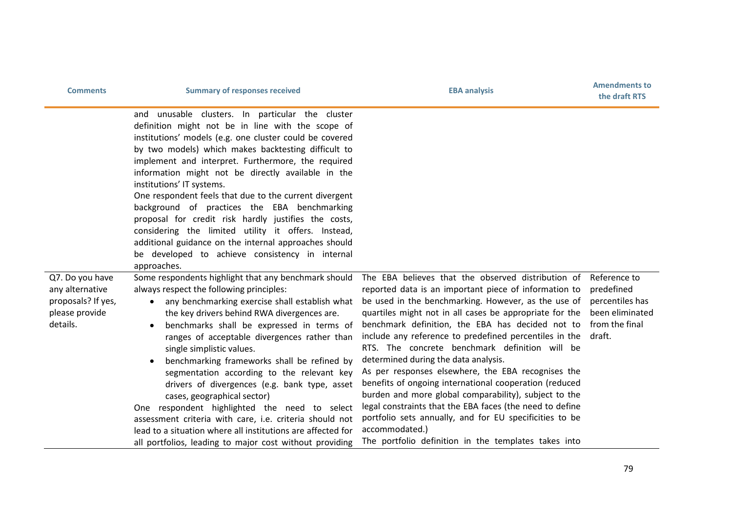| <b>Comments</b>                                                                        | <b>Summary of responses received</b>                                                                                                                                                                                                                                                                                                                                                                                                                                                                                                                                                                                                                                                                                                                                     | <b>EBA analysis</b>                                                                                                                                                                                                                                                                                                                                                                                                                                                                                                                                                                                                                                                                                                                                                                                             | <b>Amendments to</b><br>the draft RTS                                                        |
|----------------------------------------------------------------------------------------|--------------------------------------------------------------------------------------------------------------------------------------------------------------------------------------------------------------------------------------------------------------------------------------------------------------------------------------------------------------------------------------------------------------------------------------------------------------------------------------------------------------------------------------------------------------------------------------------------------------------------------------------------------------------------------------------------------------------------------------------------------------------------|-----------------------------------------------------------------------------------------------------------------------------------------------------------------------------------------------------------------------------------------------------------------------------------------------------------------------------------------------------------------------------------------------------------------------------------------------------------------------------------------------------------------------------------------------------------------------------------------------------------------------------------------------------------------------------------------------------------------------------------------------------------------------------------------------------------------|----------------------------------------------------------------------------------------------|
|                                                                                        | unusable clusters. In particular the cluster<br>and<br>definition might not be in line with the scope of<br>institutions' models (e.g. one cluster could be covered<br>by two models) which makes backtesting difficult to<br>implement and interpret. Furthermore, the required<br>information might not be directly available in the<br>institutions' IT systems.<br>One respondent feels that due to the current divergent<br>background of practices the EBA benchmarking<br>proposal for credit risk hardly justifies the costs,<br>considering the limited utility it offers. Instead,<br>additional guidance on the internal approaches should<br>be developed to achieve consistency in internal<br>approaches.                                                  |                                                                                                                                                                                                                                                                                                                                                                                                                                                                                                                                                                                                                                                                                                                                                                                                                 |                                                                                              |
| Q7. Do you have<br>any alternative<br>proposals? If yes,<br>please provide<br>details. | Some respondents highlight that any benchmark should<br>always respect the following principles:<br>any benchmarking exercise shall establish what<br>$\bullet$<br>the key drivers behind RWA divergences are.<br>benchmarks shall be expressed in terms of<br>$\bullet$<br>ranges of acceptable divergences rather than<br>single simplistic values.<br>benchmarking frameworks shall be refined by<br>segmentation according to the relevant key<br>drivers of divergences (e.g. bank type, asset<br>cases, geographical sector)<br>One respondent highlighted the need to select<br>assessment criteria with care, i.e. criteria should not<br>lead to a situation where all institutions are affected for<br>all portfolios, leading to major cost without providing | The EBA believes that the observed distribution of<br>reported data is an important piece of information to<br>be used in the benchmarking. However, as the use of<br>quartiles might not in all cases be appropriate for the<br>benchmark definition, the EBA has decided not to<br>include any reference to predefined percentiles in the<br>RTS. The concrete benchmark definition will be<br>determined during the data analysis.<br>As per responses elsewhere, the EBA recognises the<br>benefits of ongoing international cooperation (reduced<br>burden and more global comparability), subject to the<br>legal constraints that the EBA faces (the need to define<br>portfolio sets annually, and for EU specificities to be<br>accommodated.)<br>The portfolio definition in the templates takes into | Reference to<br>predefined<br>percentiles has<br>been eliminated<br>from the final<br>draft. |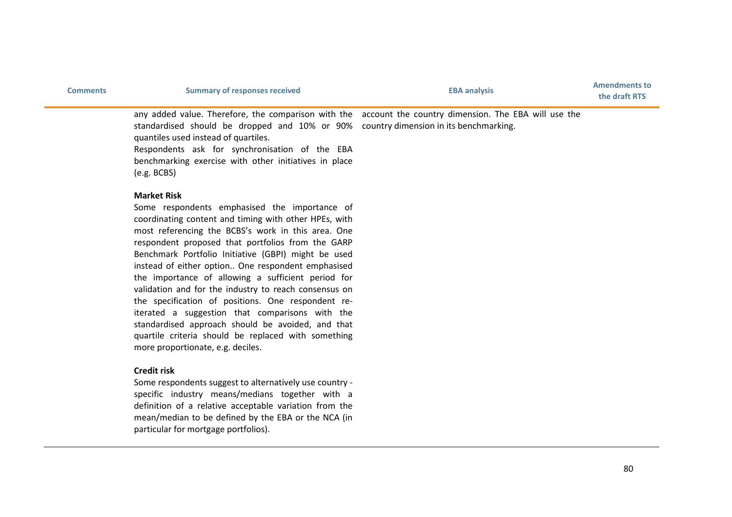| <b>Comments</b> | <b>Summary of responses received</b>                                                                                                                                                                                                                                                                                                                              | <b>EBA analysis</b> | <b>Amendments to</b><br>the draft RTS |
|-----------------|-------------------------------------------------------------------------------------------------------------------------------------------------------------------------------------------------------------------------------------------------------------------------------------------------------------------------------------------------------------------|---------------------|---------------------------------------|
|                 | any added value. Therefore, the comparison with the account the country dimension. The EBA will use the<br>standardised should be dropped and 10% or 90% country dimension in its benchmarking.<br>quantiles used instead of quartiles.<br>Respondents ask for synchronisation of the EBA<br>benchmarking exercise with other initiatives in place<br>(e.g. BCBS) |                     |                                       |

#### **Market Risk**

Some respondents emphasised the importance of coordinating content and timing with other HPEs, with most referencing the BCBS's work in this area. One respondent proposed that portfolios from the GARP Benchmark Portfolio Initiative (GBPI) might be used instead of either option.. One respondent emphasised the importance of allowing a sufficient period for validation and for the industry to reach consensus on the specification of positions. One respondent reiterated a suggestion that comparisons with the standardised approach should be avoided, and that quartile criteria should be replaced with something more proportionate, e.g. deciles.

## **Credit risk**

Some respondents suggest to alternatively use country specific industry means/medians together with a definition of a relative acceptable variation from the mean/median to be defined by the EBA or the NCA (in particular for mortgage portfolios).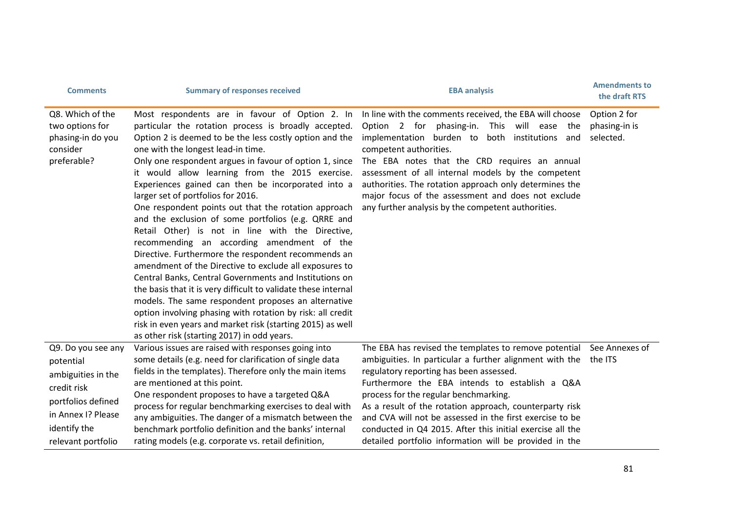| <b>Comments</b>                                                                                                                                        | <b>Summary of responses received</b>                                                                                                                                                                                                                                                                                                                                                                                                                                                                                                                                                                                                                                                                                                                                                                                                                                                                                                                                                                                                                                                                              | <b>EBA analysis</b>                                                                                                                                                                                                                                                                                                                                                                                                                                                                                                         | <b>Amendments to</b><br>the draft RTS      |
|--------------------------------------------------------------------------------------------------------------------------------------------------------|-------------------------------------------------------------------------------------------------------------------------------------------------------------------------------------------------------------------------------------------------------------------------------------------------------------------------------------------------------------------------------------------------------------------------------------------------------------------------------------------------------------------------------------------------------------------------------------------------------------------------------------------------------------------------------------------------------------------------------------------------------------------------------------------------------------------------------------------------------------------------------------------------------------------------------------------------------------------------------------------------------------------------------------------------------------------------------------------------------------------|-----------------------------------------------------------------------------------------------------------------------------------------------------------------------------------------------------------------------------------------------------------------------------------------------------------------------------------------------------------------------------------------------------------------------------------------------------------------------------------------------------------------------------|--------------------------------------------|
| Q8. Which of the<br>two options for<br>phasing-in do you<br>consider<br>preferable?                                                                    | Most respondents are in favour of Option 2. In<br>particular the rotation process is broadly accepted.<br>Option 2 is deemed to be the less costly option and the<br>one with the longest lead-in time.<br>Only one respondent argues in favour of option 1, since<br>it would allow learning from the 2015 exercise.<br>Experiences gained can then be incorporated into a<br>larger set of portfolios for 2016.<br>One respondent points out that the rotation approach<br>and the exclusion of some portfolios (e.g. QRRE and<br>Retail Other) is not in line with the Directive,<br>recommending an according amendment of the<br>Directive. Furthermore the respondent recommends an<br>amendment of the Directive to exclude all exposures to<br>Central Banks, Central Governments and Institutions on<br>the basis that it is very difficult to validate these internal<br>models. The same respondent proposes an alternative<br>option involving phasing with rotation by risk: all credit<br>risk in even years and market risk (starting 2015) as well<br>as other risk (starting 2017) in odd years. | In line with the comments received, the EBA will choose<br>Option 2 for phasing-in. This will ease the<br>implementation burden to both institutions and<br>competent authorities.<br>The EBA notes that the CRD requires an annual<br>assessment of all internal models by the competent<br>authorities. The rotation approach only determines the<br>major focus of the assessment and does not exclude<br>any further analysis by the competent authorities.                                                             | Option 2 for<br>phasing-in is<br>selected. |
| Q9. Do you see any<br>potential<br>ambiguities in the<br>credit risk<br>portfolios defined<br>in Annex I? Please<br>identify the<br>relevant portfolio | Various issues are raised with responses going into<br>some details (e.g. need for clarification of single data<br>fields in the templates). Therefore only the main items<br>are mentioned at this point.<br>One respondent proposes to have a targeted Q&A<br>process for regular benchmarking exercises to deal with<br>any ambiguities. The danger of a mismatch between the<br>benchmark portfolio definition and the banks' internal<br>rating models (e.g. corporate vs. retail definition,                                                                                                                                                                                                                                                                                                                                                                                                                                                                                                                                                                                                                | The EBA has revised the templates to remove potential See Annexes of<br>ambiguities. In particular a further alignment with the the ITS<br>regulatory reporting has been assessed.<br>Furthermore the EBA intends to establish a Q&A<br>process for the regular benchmarking.<br>As a result of the rotation approach, counterparty risk<br>and CVA will not be assessed in the first exercise to be<br>conducted in Q4 2015. After this initial exercise all the<br>detailed portfolio information will be provided in the |                                            |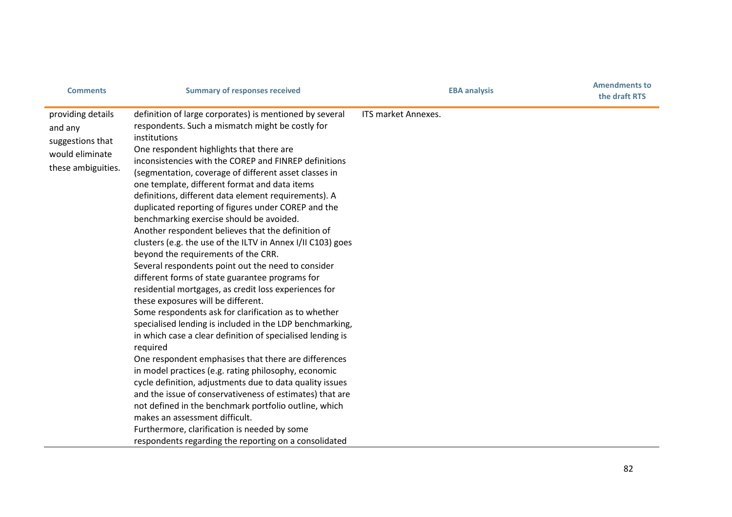| <b>Comments</b>                                                                           | <b>Summary of responses received</b>                                                                                                                                                                                                                                                                                                                                                                                                                                                                                                                                                                                                                                                                                                                                                                                                                                                                                                                                                                                                                                                                                                                                                                                                                                                                                                                                                                                                                                                                                | <b>EBA analysis</b> | <b>Amendments to</b><br>the draft RTS |
|-------------------------------------------------------------------------------------------|---------------------------------------------------------------------------------------------------------------------------------------------------------------------------------------------------------------------------------------------------------------------------------------------------------------------------------------------------------------------------------------------------------------------------------------------------------------------------------------------------------------------------------------------------------------------------------------------------------------------------------------------------------------------------------------------------------------------------------------------------------------------------------------------------------------------------------------------------------------------------------------------------------------------------------------------------------------------------------------------------------------------------------------------------------------------------------------------------------------------------------------------------------------------------------------------------------------------------------------------------------------------------------------------------------------------------------------------------------------------------------------------------------------------------------------------------------------------------------------------------------------------|---------------------|---------------------------------------|
| providing details<br>and any<br>suggestions that<br>would eliminate<br>these ambiguities. | definition of large corporates) is mentioned by several<br>respondents. Such a mismatch might be costly for<br>institutions<br>One respondent highlights that there are<br>inconsistencies with the COREP and FINREP definitions<br>(segmentation, coverage of different asset classes in<br>one template, different format and data items<br>definitions, different data element requirements). A<br>duplicated reporting of figures under COREP and the<br>benchmarking exercise should be avoided.<br>Another respondent believes that the definition of<br>clusters (e.g. the use of the ILTV in Annex I/II C103) goes<br>beyond the requirements of the CRR.<br>Several respondents point out the need to consider<br>different forms of state guarantee programs for<br>residential mortgages, as credit loss experiences for<br>these exposures will be different.<br>Some respondents ask for clarification as to whether<br>specialised lending is included in the LDP benchmarking,<br>in which case a clear definition of specialised lending is<br>required<br>One respondent emphasises that there are differences<br>in model practices (e.g. rating philosophy, economic<br>cycle definition, adjustments due to data quality issues<br>and the issue of conservativeness of estimates) that are<br>not defined in the benchmark portfolio outline, which<br>makes an assessment difficult.<br>Furthermore, clarification is needed by some<br>respondents regarding the reporting on a consolidated | ITS market Annexes. |                                       |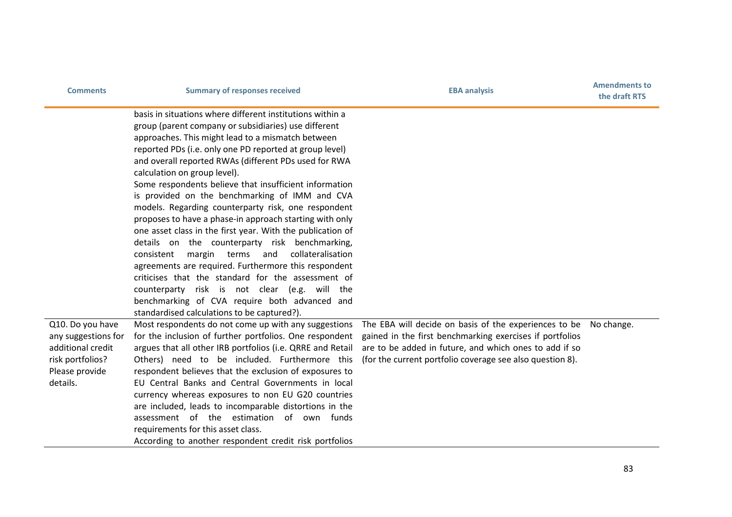| <b>Comments</b>                                                                                                | <b>Summary of responses received</b>                                                                                                                                                                                                                                                                                                                                                                                                                                                                                                                                                                                                                                                                                                                                                                                                                                                                                                                                                                                                                                                                                                                                                                                                                                                                                                                                                                                                                                                                            | <b>EBA analysis</b>                                                                                                                                                                                                                      | <b>Amendments to</b><br>the draft RTS |
|----------------------------------------------------------------------------------------------------------------|-----------------------------------------------------------------------------------------------------------------------------------------------------------------------------------------------------------------------------------------------------------------------------------------------------------------------------------------------------------------------------------------------------------------------------------------------------------------------------------------------------------------------------------------------------------------------------------------------------------------------------------------------------------------------------------------------------------------------------------------------------------------------------------------------------------------------------------------------------------------------------------------------------------------------------------------------------------------------------------------------------------------------------------------------------------------------------------------------------------------------------------------------------------------------------------------------------------------------------------------------------------------------------------------------------------------------------------------------------------------------------------------------------------------------------------------------------------------------------------------------------------------|------------------------------------------------------------------------------------------------------------------------------------------------------------------------------------------------------------------------------------------|---------------------------------------|
| Q10. Do you have<br>any suggestions for<br>additional credit<br>risk portfolios?<br>Please provide<br>details. | basis in situations where different institutions within a<br>group (parent company or subsidiaries) use different<br>approaches. This might lead to a mismatch between<br>reported PDs (i.e. only one PD reported at group level)<br>and overall reported RWAs (different PDs used for RWA<br>calculation on group level).<br>Some respondents believe that insufficient information<br>is provided on the benchmarking of IMM and CVA<br>models. Regarding counterparty risk, one respondent<br>proposes to have a phase-in approach starting with only<br>one asset class in the first year. With the publication of<br>details on the counterparty risk benchmarking,<br>margin terms<br>and<br>collateralisation<br>consistent<br>agreements are required. Furthermore this respondent<br>criticises that the standard for the assessment of<br>counterparty risk is not clear (e.g. will the<br>benchmarking of CVA require both advanced and<br>standardised calculations to be captured?).<br>Most respondents do not come up with any suggestions<br>for the inclusion of further portfolios. One respondent<br>argues that all other IRB portfolios (i.e. QRRE and Retail<br>Others) need to be included. Furthermore this<br>respondent believes that the exclusion of exposures to<br>EU Central Banks and Central Governments in local<br>currency whereas exposures to non EU G20 countries<br>are included, leads to incomparable distortions in the<br>assessment of the estimation of own funds | The EBA will decide on basis of the experiences to be<br>gained in the first benchmarking exercises if portfolios<br>are to be added in future, and which ones to add if so<br>(for the current portfolio coverage see also question 8). | No change.                            |
|                                                                                                                | requirements for this asset class.<br>According to another respondent credit risk portfolios                                                                                                                                                                                                                                                                                                                                                                                                                                                                                                                                                                                                                                                                                                                                                                                                                                                                                                                                                                                                                                                                                                                                                                                                                                                                                                                                                                                                                    |                                                                                                                                                                                                                                          |                                       |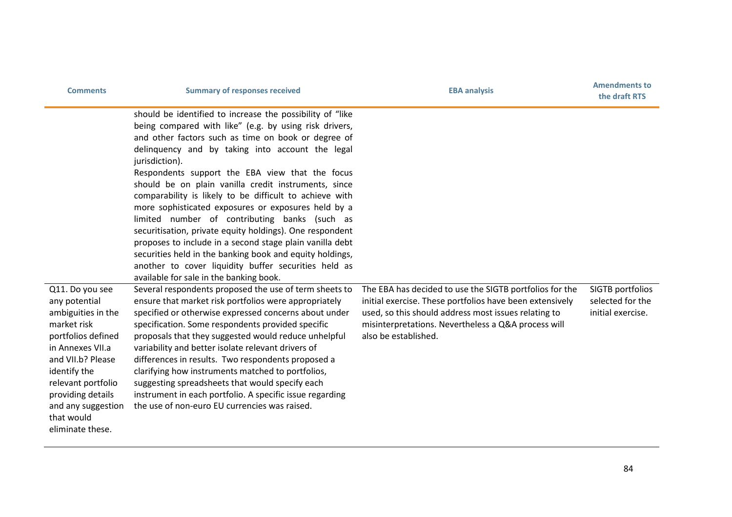| <b>Comments</b>                                                                                                                                                                                                                                         | <b>Summary of responses received</b>                                                                                                                                                                                                                                                                                                                                                                                                                                                                                                                                                                                                                                                                                                                                                                                  | <b>EBA analysis</b>                                                                                                                                                                                                                                        | <b>Amendments to</b><br>the draft RTS                     |
|---------------------------------------------------------------------------------------------------------------------------------------------------------------------------------------------------------------------------------------------------------|-----------------------------------------------------------------------------------------------------------------------------------------------------------------------------------------------------------------------------------------------------------------------------------------------------------------------------------------------------------------------------------------------------------------------------------------------------------------------------------------------------------------------------------------------------------------------------------------------------------------------------------------------------------------------------------------------------------------------------------------------------------------------------------------------------------------------|------------------------------------------------------------------------------------------------------------------------------------------------------------------------------------------------------------------------------------------------------------|-----------------------------------------------------------|
|                                                                                                                                                                                                                                                         | should be identified to increase the possibility of "like<br>being compared with like" (e.g. by using risk drivers,<br>and other factors such as time on book or degree of<br>delinguency and by taking into account the legal<br>jurisdiction).<br>Respondents support the EBA view that the focus<br>should be on plain vanilla credit instruments, since<br>comparability is likely to be difficult to achieve with<br>more sophisticated exposures or exposures held by a<br>limited number of contributing banks (such as<br>securitisation, private equity holdings). One respondent<br>proposes to include in a second stage plain vanilla debt<br>securities held in the banking book and equity holdings,<br>another to cover liquidity buffer securities held as<br>available for sale in the banking book. |                                                                                                                                                                                                                                                            |                                                           |
| Q11. Do you see<br>any potential<br>ambiguities in the<br>market risk<br>portfolios defined<br>in Annexes VII.a<br>and VII.b? Please<br>identify the<br>relevant portfolio<br>providing details<br>and any suggestion<br>that would<br>eliminate these. | Several respondents proposed the use of term sheets to<br>ensure that market risk portfolios were appropriately<br>specified or otherwise expressed concerns about under<br>specification. Some respondents provided specific<br>proposals that they suggested would reduce unhelpful<br>variability and better isolate relevant drivers of<br>differences in results. Two respondents proposed a<br>clarifying how instruments matched to portfolios,<br>suggesting spreadsheets that would specify each<br>instrument in each portfolio. A specific issue regarding<br>the use of non-euro EU currencies was raised.                                                                                                                                                                                                | The EBA has decided to use the SIGTB portfolios for the<br>initial exercise. These portfolios have been extensively<br>used, so this should address most issues relating to<br>misinterpretations. Nevertheless a Q&A process will<br>also be established. | SIGTB portfolios<br>selected for the<br>initial exercise. |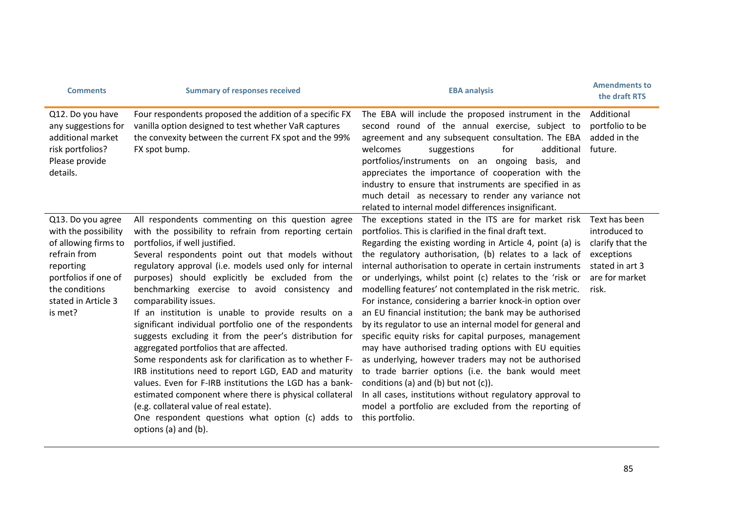| <b>Comments</b>                                                                                                                                                            | <b>Summary of responses received</b>                                                                                                                                                                                                                                                                                                                                                                                                                                                                                                                                                                                                                                                                                                                                                                                                                                                                                                                                                 | <b>EBA analysis</b>                                                                                                                                                                                                                                                                                                                                                                                                                                                                                                                                                                                                                                                                                                                                                                                                                                                                                                                                                                                                              | <b>Amendments to</b><br>the draft RTS                                                                          |
|----------------------------------------------------------------------------------------------------------------------------------------------------------------------------|--------------------------------------------------------------------------------------------------------------------------------------------------------------------------------------------------------------------------------------------------------------------------------------------------------------------------------------------------------------------------------------------------------------------------------------------------------------------------------------------------------------------------------------------------------------------------------------------------------------------------------------------------------------------------------------------------------------------------------------------------------------------------------------------------------------------------------------------------------------------------------------------------------------------------------------------------------------------------------------|----------------------------------------------------------------------------------------------------------------------------------------------------------------------------------------------------------------------------------------------------------------------------------------------------------------------------------------------------------------------------------------------------------------------------------------------------------------------------------------------------------------------------------------------------------------------------------------------------------------------------------------------------------------------------------------------------------------------------------------------------------------------------------------------------------------------------------------------------------------------------------------------------------------------------------------------------------------------------------------------------------------------------------|----------------------------------------------------------------------------------------------------------------|
| Q12. Do you have<br>any suggestions for<br>additional market<br>risk portfolios?<br>Please provide<br>details.                                                             | Four respondents proposed the addition of a specific FX<br>vanilla option designed to test whether VaR captures<br>the convexity between the current FX spot and the 99%<br>FX spot bump.                                                                                                                                                                                                                                                                                                                                                                                                                                                                                                                                                                                                                                                                                                                                                                                            | The EBA will include the proposed instrument in the<br>second round of the annual exercise, subject to<br>agreement and any subsequent consultation. The EBA<br>welcomes<br>additional<br>suggestions<br>for<br>portfolios/instruments on an ongoing basis, and<br>appreciates the importance of cooperation with the<br>industry to ensure that instruments are specified in as<br>much detail as necessary to render any variance not<br>related to internal model differences insignificant.                                                                                                                                                                                                                                                                                                                                                                                                                                                                                                                                  | Additional<br>portfolio to be<br>added in the<br>future.                                                       |
| Q13. Do you agree<br>with the possibility<br>of allowing firms to<br>refrain from<br>reporting<br>portfolios if one of<br>the conditions<br>stated in Article 3<br>is met? | All respondents commenting on this question agree<br>with the possibility to refrain from reporting certain<br>portfolios, if well justified.<br>Several respondents point out that models without<br>regulatory approval (i.e. models used only for internal<br>purposes) should explicitly be excluded from the<br>benchmarking exercise to avoid consistency and<br>comparability issues.<br>If an institution is unable to provide results on a<br>significant individual portfolio one of the respondents<br>suggests excluding it from the peer's distribution for<br>aggregated portfolios that are affected.<br>Some respondents ask for clarification as to whether F-<br>IRB institutions need to report LGD, EAD and maturity<br>values. Even for F-IRB institutions the LGD has a bank-<br>estimated component where there is physical collateral<br>(e.g. collateral value of real estate).<br>One respondent questions what option (c) adds to<br>options (a) and (b). | The exceptions stated in the ITS are for market risk<br>portfolios. This is clarified in the final draft text.<br>Regarding the existing wording in Article 4, point (a) is<br>the regulatory authorisation, (b) relates to a lack of<br>internal authorisation to operate in certain instruments<br>or underlyings, whilst point (c) relates to the 'risk or<br>modelling features' not contemplated in the risk metric.<br>For instance, considering a barrier knock-in option over<br>an EU financial institution; the bank may be authorised<br>by its regulator to use an internal model for general and<br>specific equity risks for capital purposes, management<br>may have authorised trading options with EU equities<br>as underlying, however traders may not be authorised<br>to trade barrier options (i.e. the bank would meet<br>conditions (a) and (b) but not $(c)$ ).<br>In all cases, institutions without regulatory approval to<br>model a portfolio are excluded from the reporting of<br>this portfolio. | Text has been<br>introduced to<br>clarify that the<br>exceptions<br>stated in art 3<br>are for market<br>risk. |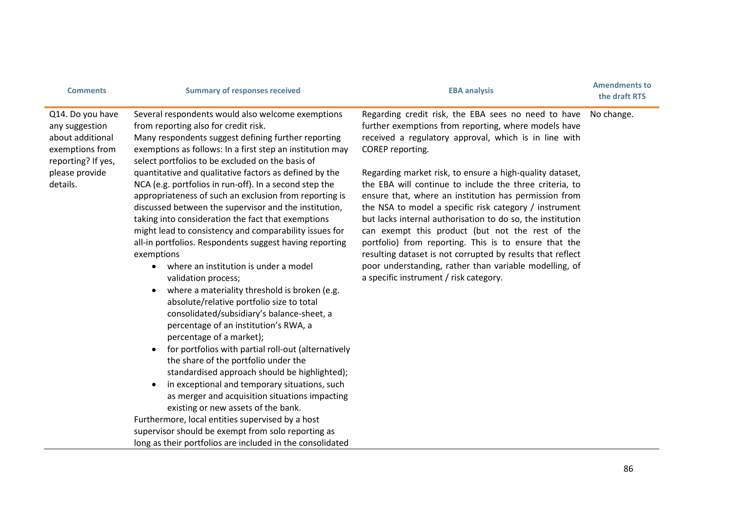| <b>Comments</b>                                                                                                               | <b>Summary of responses received</b>                                                                                                                                                                                                                                                                                                                                                                                                                                                                                                                                                                                                                                                                                                                                                                                                                                                                                                                                                                                                                                                                                                                                                                                                                                                                                                                                                                                                                             | <b>EBA analysis</b>                                                                                                                                                                                                                                                                                                                                                                                                                                                                                                                                                                                                                                                                                                                                                             | <b>Amendments to</b><br>the draft RTS |
|-------------------------------------------------------------------------------------------------------------------------------|------------------------------------------------------------------------------------------------------------------------------------------------------------------------------------------------------------------------------------------------------------------------------------------------------------------------------------------------------------------------------------------------------------------------------------------------------------------------------------------------------------------------------------------------------------------------------------------------------------------------------------------------------------------------------------------------------------------------------------------------------------------------------------------------------------------------------------------------------------------------------------------------------------------------------------------------------------------------------------------------------------------------------------------------------------------------------------------------------------------------------------------------------------------------------------------------------------------------------------------------------------------------------------------------------------------------------------------------------------------------------------------------------------------------------------------------------------------|---------------------------------------------------------------------------------------------------------------------------------------------------------------------------------------------------------------------------------------------------------------------------------------------------------------------------------------------------------------------------------------------------------------------------------------------------------------------------------------------------------------------------------------------------------------------------------------------------------------------------------------------------------------------------------------------------------------------------------------------------------------------------------|---------------------------------------|
| Q14. Do you have<br>any suggestion<br>about additional<br>exemptions from<br>reporting? If yes,<br>please provide<br>details. | Several respondents would also welcome exemptions<br>from reporting also for credit risk.<br>Many respondents suggest defining further reporting<br>exemptions as follows: In a first step an institution may<br>select portfolios to be excluded on the basis of<br>quantitative and qualitative factors as defined by the<br>NCA (e.g. portfolios in run-off). In a second step the<br>appropriateness of such an exclusion from reporting is<br>discussed between the supervisor and the institution,<br>taking into consideration the fact that exemptions<br>might lead to consistency and comparability issues for<br>all-in portfolios. Respondents suggest having reporting<br>exemptions<br>where an institution is under a model<br>$\bullet$<br>validation process;<br>where a materiality threshold is broken (e.g.<br>absolute/relative portfolio size to total<br>consolidated/subsidiary's balance-sheet, a<br>percentage of an institution's RWA, a<br>percentage of a market);<br>for portfolios with partial roll-out (alternatively<br>the share of the portfolio under the<br>standardised approach should be highlighted);<br>in exceptional and temporary situations, such<br>as merger and acquisition situations impacting<br>existing or new assets of the bank.<br>Furthermore, local entities supervised by a host<br>supervisor should be exempt from solo reporting as<br>long as their portfolios are included in the consolidated | Regarding credit risk, the EBA sees no need to have<br>further exemptions from reporting, where models have<br>received a regulatory approval, which is in line with<br>COREP reporting.<br>Regarding market risk, to ensure a high-quality dataset,<br>the EBA will continue to include the three criteria, to<br>ensure that, where an institution has permission from<br>the NSA to model a specific risk category / instrument<br>but lacks internal authorisation to do so, the institution<br>can exempt this product (but not the rest of the<br>portfolio) from reporting. This is to ensure that the<br>resulting dataset is not corrupted by results that reflect<br>poor understanding, rather than variable modelling, of<br>a specific instrument / risk category. | No change.                            |